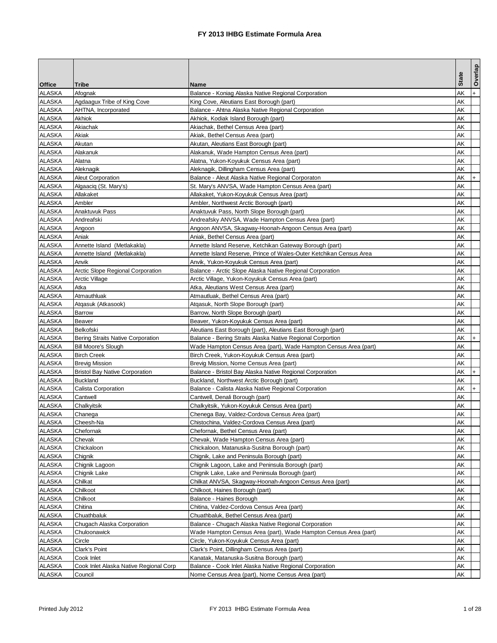|               |                                        |                                                                     |              | Overlap |
|---------------|----------------------------------------|---------------------------------------------------------------------|--------------|---------|
| <b>Office</b> | Tribe                                  | Name                                                                | <b>State</b> |         |
| ALASKA        | Afognak                                | Balance - Koniag Alaska Native Regional Corporation                 | AΚ           | $+$     |
| <b>ALASKA</b> | Agdaagux Tribe of King Cove            | King Cove, Aleutians East Borough (part)                            | AΚ           |         |
| <b>ALASKA</b> | AHTNA, Incorporated                    | Balance - Ahtna Alaska Native Regional Corporation                  | AΚ           |         |
| <b>ALASKA</b> | Akhiok                                 | Akhiok. Kodiak Island Borough (part)                                | AΚ           |         |
| <b>ALASKA</b> | Akiachak                               | Akiachak, Bethel Census Area (part)                                 | AΚ           |         |
| <b>ALASKA</b> | Akiak                                  | Akiak, Bethel Census Area (part)                                    | AΚ           |         |
| <b>ALASKA</b> | Akutan                                 | Akutan, Aleutians East Borough (part)                               | AΚ           |         |
| ALASKA        | Alakanuk                               | Alakanuk, Wade Hampton Census Area (part)                           | AΚ           |         |
| <b>ALASKA</b> | <b>Alatna</b>                          | Alatna, Yukon-Koyukuk Census Area (part)                            | AΚ           |         |
| <b>ALASKA</b> | Aleknagik                              | Aleknagik, Dillingham Census Area (part)                            | AΚ           |         |
| <b>ALASKA</b> | <b>Aleut Corporation</b>               | Balance - Aleut Alaska Native Regional Corporaton                   | AΚ           |         |
| ALASKA        | Algaaciq (St. Mary's)                  | St. Mary's ANVSA, Wade Hampton Census Area (part)                   | AΚ           |         |
| ALASKA        | Allakaket                              | Allakaket, Yukon-Koyukuk Census Area (part)                         | AΚ           |         |
| <b>ALASKA</b> | Ambler                                 | Ambler, Northwest Arctic Borough (part)                             | AΚ           |         |
| <b>ALASKA</b> | Anaktuvuk Pass                         | Anaktuvuk Pass, North Slope Borough (part)                          | AΚ           |         |
| ALASKA        | Andreafski                             | Andreafsky ANVSA, Wade Hampton Census Area (part)                   | AΚ           |         |
| <b>ALASKA</b> | Angoon                                 | Angoon ANVSA, Skagway-Hoonah-Angoon Census Area (part)              | AΚ           |         |
| <b>ALASKA</b> | Aniak                                  | Aniak, Bethel Census Area (part)                                    | AΚ           |         |
| <b>ALASKA</b> | Annette Island (Metlakakla)            | Annette Island Reserve, Ketchikan Gateway Borough (part)            | AΚ           |         |
| <b>ALASKA</b> | Annette Island (Metlakakla)            | Annette Island Reserve, Prince of Wales-Outer Ketchikan Census Area | AΚ           |         |
| <b>ALASKA</b> | Anvik                                  | Anvik, Yukon-Koyukuk Census Area (part)                             | AΚ           |         |
| <b>ALASKA</b> | Arctic Slope Regional Corporation      | Balance - Arctic Slope Alaska Native Regional Corporation           | AΚ           |         |
| ALASKA        | <b>Arctic Village</b>                  | Arctic Village, Yukon-Koyukuk Census Area (part)                    | AΚ           |         |
| ALASKA        | Atka                                   | Atka, Aleutians West Census Area (part)                             | AΚ           |         |
| <b>ALASKA</b> | Atmauthluak                            | Atmautluak, Bethel Census Area (part)                               | AΚ           |         |
| <b>ALASKA</b> | Atgasuk (Atkasook)                     | Atgasuk, North Slope Borough (part)                                 | AΚ           |         |
| ALASKA        | <b>Barrow</b>                          | Barrow, North Slope Borough (part)                                  | AΚ           |         |
| ALASKA        | Beaver                                 | Beaver, Yukon-Koyukuk Census Area (part)                            | AΚ           |         |
| ALASKA        | Belkofski                              | Aleutians East Borough (part), Aleutians East Borough (part)        | AΚ           |         |
| ALASKA        | Bering Straits Native Corporation      | Balance - Bering Straits Alaska Native Regional Corportion          | AΚ           |         |
| ALASKA        | Bill Moore's Slough                    | Wade Hampton Census Area (part), Wade Hampton Census Area (part)    | AΚ           |         |
| <b>ALASKA</b> | <b>Birch Creek</b>                     | Birch Creek, Yukon-Koyukuk Census Area (part)                       | AΚ           |         |
| <b>ALASKA</b> | <b>Brevig Mission</b>                  | Brevig Mission, Nome Census Area (part)                             | AΚ           |         |
| ALASKA        | <b>Bristol Bay Native Corporation</b>  | Balance - Bristol Bay Alaska Native Regional Corporation            | AΚ           | $+$     |
| ALASKA        | <b>Buckland</b>                        | Buckland, Northwest Arctic Borough (part)                           | AΚ           |         |
| <b>ALASKA</b> | Calista Corporation                    | Balance - Calista Alaska Native Regional Corporation                | AΚ           | $+$     |
| <b>ALASKA</b> | Cantwell                               | Cantwell, Denali Borough (part)                                     | AΚ           |         |
| <b>ALASKA</b> | Chalkyitsik                            | Chalkyitsik, Yukon-Koyukuk Census Area (part)                       | AΚ           |         |
| ALASKA        | Chanega                                | Chenega Bay, Valdez-Cordova Census Area (part)                      | AΚ           |         |
| <b>ALASKA</b> | Cheesh-Na                              | Chistochina, Valdez-Cordova Census Area (part)                      | <b>AK</b>    |         |
| <b>ALASKA</b> | Chefornak                              | Chefornak, Bethel Census Area (part)                                | AΚ           |         |
| <b>ALASKA</b> | Chevak                                 | Chevak, Wade Hampton Census Area (part)                             | AΚ           |         |
| <b>ALASKA</b> | Chickaloon                             | Chickaloon, Matanuska-Susitna Borough (part)                        | AΚ           |         |
| <b>ALASKA</b> | Chignik                                | Chignik, Lake and Peninsula Borough (part)                          | AΚ           |         |
| <b>ALASKA</b> | Chignik Lagoon                         | Chignik Lagoon, Lake and Peninsula Borough (part)                   | AΚ           |         |
| <b>ALASKA</b> | Chignik Lake                           | Chignik Lake, Lake and Peninsula Borough (part)                     | AΚ           |         |
| <b>ALASKA</b> | Chilkat                                | Chilkat ANVSA, Skagway-Hoonah-Angoon Census Area (part)             | AΚ           |         |
| <b>ALASKA</b> | Chilkoot                               | Chilkoot, Haines Borough (part)                                     | AΚ           |         |
| <b>ALASKA</b> | Chilkoot                               | Balance - Haines Borough                                            | AΚ           |         |
| <b>ALASKA</b> | Chitina                                | Chitina, Valdez-Cordova Census Area (part)                          | AΚ           |         |
| <b>ALASKA</b> | Chuathbaluk                            | Chuathbaluk, Bethel Census Area (part)                              | AΚ           |         |
| <b>ALASKA</b> | Chugach Alaska Corporation             | Balance - Chugach Alaska Native Regional Corporation                | AΚ           |         |
| <b>ALASKA</b> | Chuloonawick                           | Wade Hampton Census Area (part), Wade Hampton Census Area (part)    | AΚ           |         |
| <b>ALASKA</b> | Circle                                 | Circle, Yukon-Koyukuk Census Area (part)                            | AΚ           |         |
| <b>ALASKA</b> | Clark's Point                          | Clark's Point, Dillingham Census Area (part)                        | AΚ           |         |
| <b>ALASKA</b> | Cook Inlet                             | Kanatak, Matanuska-Susitna Borough (part)                           | AΚ           |         |
| <b>ALASKA</b> | Cook Inlet Alaska Native Regional Corp | Balance - Cook Inlet Alaska Native Regional Corporation             | AΚ           |         |
| ALASKA        | Council                                | Nome Census Area (part), Nome Census Area (part)                    | AΚ           |         |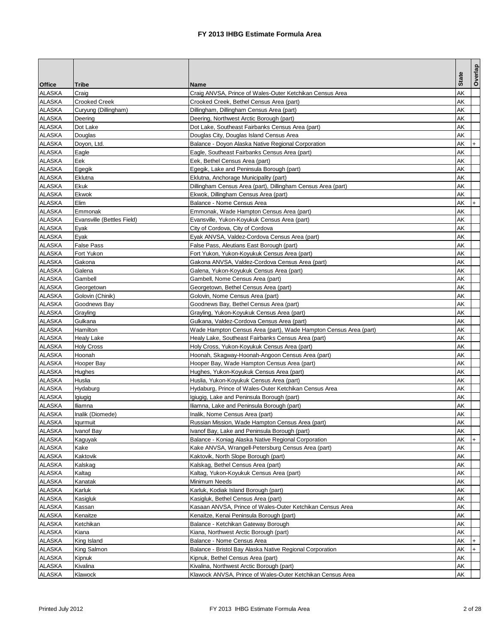|               |                            |                                                                  | <b>State</b> | Overlap   |
|---------------|----------------------------|------------------------------------------------------------------|--------------|-----------|
| <b>Office</b> | Tribe                      | Name                                                             |              |           |
| ALASKA        | Craig                      | Craig ANVSA, Prince of Wales-Outer Ketchikan Census Area         | AΚ           |           |
| <b>ALASKA</b> | <b>Crooked Creek</b>       | Crooked Creek, Bethel Census Area (part)                         | AΚ           |           |
| <b>ALASKA</b> | Curyung (Dillingham)       | Dillingham, Dillingham Census Area (part)                        | AΚ           |           |
| <b>ALASKA</b> | Deering                    | Deering, Northwest Arctic Borough (part)                         | AΚ           |           |
| ALASKA        | Dot Lake                   | Dot Lake, Southeast Fairbanks Census Area (part)                 | AΚ           |           |
| <b>ALASKA</b> | Douglas                    | Douglas City, Douglas Island Census Area                         | AK           |           |
| ALASKA        | Doyon, Ltd.                | Balance - Doyon Alaska Native Regional Corporation               | AK           |           |
| <b>ALASKA</b> | Eagle                      | Eagle, Southeast Fairbanks Census Area (part)                    | AΚ           |           |
| <b>ALASKA</b> | Eek                        | Eek, Bethel Census Area (part)                                   | AΚ           |           |
| <b>ALASKA</b> | Egegik                     | Egegik, Lake and Peninsula Borough (part)                        | AΚ           |           |
| <b>ALASKA</b> | Eklutna                    | Eklutna, Anchorage Municipality (part)                           | AΚ           |           |
| <b>ALASKA</b> | Ekuk                       | Dillingham Census Area (part), Dillingham Census Area (part)     | AΚ           |           |
| <b>ALASKA</b> | Ekwok                      | Ekwok, Dillingham Census Area (part)                             | AΚ           |           |
| <b>ALASKA</b> | Elim                       | Balance - Nome Census Area                                       | AΚ           | $+$       |
| <b>ALASKA</b> | Emmonak                    | Emmonak, Wade Hampton Census Area (part)                         | AΚ           |           |
| ALASKA        | Evansville (Bettles Field) | Evansville, Yukon-Koyukuk Census Area (part)                     | AΚ           |           |
| <b>ALASKA</b> | Eyak                       | City of Cordova, City of Cordova                                 | AΚ           |           |
| <b>ALASKA</b> | Eyak                       | Eyak ANVSA, Valdez-Cordova Census Area (part)                    | AΚ           |           |
| <b>ALASKA</b> | False Pass                 | False Pass, Aleutians East Borough (part)                        | AΚ           |           |
| ALASKA        | Fort Yukon                 | Fort Yukon, Yukon-Koyukuk Census Area (part)                     | AΚ           |           |
| <b>ALASKA</b> | Gakona                     | Gakona ANVSA, Valdez-Cordova Census Area (part)                  | AΚ           |           |
| ALASKA        | Galena                     | Galena, Yukon-Koyukuk Census Area (part)                         | AΚ           |           |
| <b>ALASKA</b> | Gambell                    | Gambell, Nome Census Area (part)                                 | AΚ           |           |
| <b>ALASKA</b> | Georgetown                 | Georgetown, Bethel Census Area (part)                            | AΚ           |           |
| <b>ALASKA</b> | Golovin (Chinik)           | Golovin, Nome Census Area (part)                                 | AK           |           |
| <b>ALASKA</b> | Goodnews Bay               | Goodnews Bay, Bethel Census Area (part)                          | AΚ           |           |
| <b>ALASKA</b> | Grayling                   | Grayling, Yukon-Koyukuk Census Area (part)                       | AΚ           |           |
| <b>ALASKA</b> | Gulkana                    | Gulkana, Valdez-Cordova Census Area (part)                       | AΚ           |           |
| <b>ALASKA</b> | Hamilton                   | Wade Hampton Census Area (part), Wade Hampton Census Area (part) | AΚ           |           |
| <b>ALASKA</b> | Healy Lake                 | Healy Lake, Southeast Fairbanks Census Area (part)               | AΚ           |           |
| ALASKA        | <b>Holy Cross</b>          | Holy Cross, Yukon-Koyukuk Census Area (part)                     | AΚ           |           |
| <b>ALASKA</b> | Hoonah                     | Hoonah, Skagway-Hoonah-Angoon Census Area (part)                 | AΚ           |           |
| <b>ALASKA</b> | Hooper Bay                 | Hooper Bay, Wade Hampton Census Area (part)                      | AΚ           |           |
| <b>ALASKA</b> | Hughes                     | Hughes, Yukon-Koyukuk Census Area (part)                         | AΚ           |           |
| ALASKA        | Huslia                     | Huslia, Yukon-Koyukuk Census Area (part)                         | AΚ           |           |
| <b>ALASKA</b> | Hydaburg                   | Hydaburg, Prince of Wales-Outer Ketchikan Census Area            | AΚ           |           |
| <b>ALASKA</b> | Igiugig                    | Igiugig, Lake and Peninsula Borough (part)                       | AΚ           |           |
| <b>ALASKA</b> | Iliamna                    | Iliamna, Lake and Peninsula Borough (part)                       | AΚ           |           |
| <b>ALASKA</b> | Inalik (Diomede)           | Inalik, Nome Census Area (part)                                  | AΚ           |           |
| <b>ALASKA</b> | lqurmuit                   | Russian Mission, Wade Hampton Census Area (part)                 | AK           |           |
| <b>ALASKA</b> | Ivanof Bay                 | Ivanof Bay, Lake and Peninsula Borough (part)                    | AΚ           |           |
| ALASKA        | Kaguyak                    | Balance - Koniag Alaska Native Regional Corporation              | AK           | $\ddot{}$ |
| <b>ALASKA</b> | Kake                       | Kake ANVSA, Wrangell-Petersburg Census Area (part)               | AΚ           |           |
| <b>ALASKA</b> | Kaktovik                   | Kaktovik, North Slope Borough (part)                             | AΚ           |           |
| <b>ALASKA</b> | Kalskag                    | Kalskag, Bethel Census Area (part)                               | AΚ           |           |
| <b>ALASKA</b> | Kaltag                     | Kaltag, Yukon-Koyukuk Census Area (part)                         | AΚ           |           |
| <b>ALASKA</b> | Kanatak                    | Minimum Needs                                                    | AΚ           |           |
| <b>ALASKA</b> | Karluk                     | Karluk, Kodiak Island Borough (part)                             | AΚ           |           |
| <b>ALASKA</b> | Kasigluk                   | Kasigluk, Bethel Census Area (part)                              | AΚ           |           |
| ALASKA        | Kassan                     | Kasaan ANVSA, Prince of Wales-Outer Ketchikan Census Area        | AΚ           |           |
| <b>ALASKA</b> | Kenaitze                   | Kenaitze, Kenai Peninsula Borough (part)                         | AΚ           |           |
| <b>ALASKA</b> | Ketchikan                  | Balance - Ketchikan Gateway Borough                              | AΚ           |           |
| <b>ALASKA</b> | Kiana                      | Kiana, Northwest Arctic Borough (part)                           | AΚ           |           |
| <b>ALASKA</b> | King Island                | Balance - Nome Census Area                                       | AΚ           | $\ddot{}$ |
| <b>ALASKA</b> | King Salmon                | Balance - Bristol Bay Alaska Native Regional Corporation         | AΚ           |           |
| <b>ALASKA</b> | Kipnuk                     | Kipnuk, Bethel Census Area (part)                                | AΚ           |           |
| ALASKA        | Kivalina                   | Kivalina, Northwest Arctic Borough (part)                        | AΚ           |           |
| ALASKA        | Klawock                    | Klawock ANVSA, Prince of Wales-Outer Ketchikan Census Area       | AΚ           |           |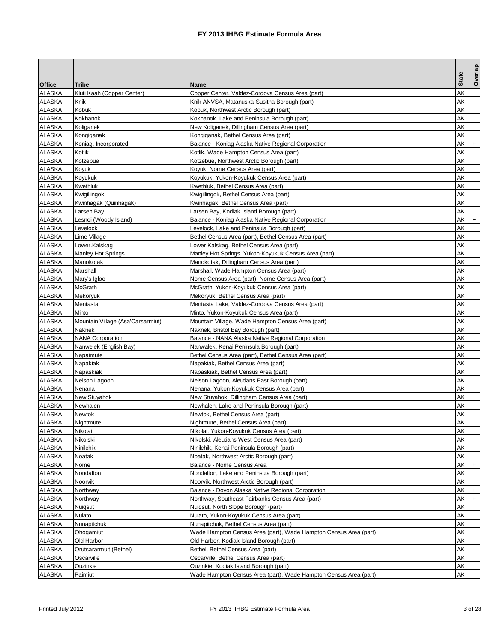|               |                                   |                                                                  |              | Overlap   |
|---------------|-----------------------------------|------------------------------------------------------------------|--------------|-----------|
| <b>Office</b> | <b>Tribe</b>                      | Name                                                             | <b>State</b> |           |
| ALASKA        | Kluti Kaah (Copper Center)        | Copper Center, Valdez-Cordova Census Area (part)                 | AΚ           |           |
| <b>ALASKA</b> | Knik                              | Knik ANVSA, Matanuska-Susitna Borough (part)                     | AΚ           |           |
| <b>ALASKA</b> | Kobuk                             | Kobuk, Northwest Arctic Borough (part)                           | AΚ           |           |
| <b>ALASKA</b> | Kokhanok                          | Kokhanok, Lake and Peninsula Borough (part)                      | AΚ           |           |
| ALASKA        | Koliganek                         | New Koliganek, Dillingham Census Area (part)                     | AΚ           |           |
| <b>ALASKA</b> | Kongiganak                        | Kongiganak, Bethel Census Area (part)                            | AΚ           |           |
| <b>ALASKA</b> | Koniag, Incorporated              | Balance - Koniag Alaska Native Regional Corporation              | AΚ           |           |
| <b>ALASKA</b> | Kotlik                            | Kotlik, Wade Hampton Census Area (part)                          | AΚ           |           |
| <b>ALASKA</b> | Kotzebue                          | Kotzebue, Northwest Arctic Borough (part)                        | AΚ           |           |
| <b>ALASKA</b> | Koyuk                             | Koyuk, Nome Census Area (part)                                   | AΚ           |           |
| <b>ALASKA</b> | Koyukuk                           | Koyukuk, Yukon-Koyukuk Census Area (part)                        | AΚ           |           |
| <b>ALASKA</b> | Kwethluk                          | Kwethluk, Bethel Census Area (part)                              | AΚ           |           |
| ALASKA        | Kwigillingok                      | Kwigillingok, Bethel Census Area (part)                          | AΚ           |           |
| <b>ALASKA</b> | Kwinhagak (Quinhagak)             | Kwinhagak, Bethel Census Area (part)                             | AΚ           |           |
| <b>ALASKA</b> | Larsen Bay                        | Larsen Bay, Kodiak Island Borough (part)                         | AΚ           |           |
| <b>ALASKA</b> | Lesnoi (Woody Island)             | Balance - Koniag Alaska Native Regional Corporation              | AΚ           | $\ddot{}$ |
| <b>ALASKA</b> | Levelock                          | Levelock, Lake and Peninsula Borough (part)                      | AΚ           |           |
| <b>ALASKA</b> | Lime Village                      | Bethel Census Area (part), Bethel Census Area (part)             | AΚ           |           |
| <b>ALASKA</b> | Lower.Kalskag                     | Lower Kalskag, Bethel Census Area (part)                         | AΚ           |           |
| ALASKA        | Manley Hot Springs                | Manley Hot Springs, Yukon-Koyukuk Census Area (part)             | AΚ           |           |
| <b>ALASKA</b> | Manokotak                         | Manokotak, Dillingham Census Area (part)                         | AΚ           |           |
| <b>ALASKA</b> | Marshall                          | Marshall, Wade Hampton Census Area (part)                        | AΚ           |           |
| <b>ALASKA</b> | Mary's Igloo                      | Nome Census Area (part), Nome Census Area (part)                 | AΚ           |           |
| <b>ALASKA</b> | <b>McGrath</b>                    | McGrath, Yukon-Koyukuk Census Area (part)                        | AΚ           |           |
| <b>ALASKA</b> | Mekoryuk                          | Mekoryuk, Bethel Census Area (part)                              | AΚ           |           |
| <b>ALASKA</b> | Mentasta                          | Mentasta Lake, Valdez-Cordova Census Area (part)                 | AΚ           |           |
| ALASKA        | Minto                             | Minto, Yukon-Koyukuk Census Area (part)                          | AΚ           |           |
| ALASKA        | Mountain Village (Asa'Carsarmiut) | Mountain Village, Wade Hampton Census Area (part)                | AΚ           |           |
| <b>ALASKA</b> | Naknek                            | Naknek, Bristol Bay Borough (part)                               | AΚ           |           |
| <b>ALASKA</b> | <b>NANA Corporation</b>           | Balance - NANA Alaska Native Regional Corporation                | AΚ           |           |
| ALASKA        | Nanwelek (English Bay)            | Nanwalek, Kenai Peninsula Borough (part)                         | AΚ           |           |
| <b>ALASKA</b> | Napaimute                         | Bethel Census Area (part), Bethel Census Area (part)             | AΚ           |           |
| <b>ALASKA</b> | Napakiak                          | Napakiak, Bethel Census Area (part)                              | AΚ           |           |
| <b>ALASKA</b> | Napaskiak                         | Napaskiak, Bethel Census Area (part)                             | AΚ           |           |
| ALASKA        | Nelson Lagoon                     | Nelson Lagoon, Aleutians East Borough (part)                     | AΚ           |           |
| <b>ALASKA</b> | Nenana                            | Nenana, Yukon-Koyukuk Census Area (part)                         | AΚ           |           |
| <b>ALASKA</b> | <b>New Stuyahok</b>               | New Stuyahok, Dillingham Census Area (part)                      | AΚ           |           |
| <b>ALASKA</b> | Newhalen                          | Newhalen, Lake and Peninsula Borough (part)                      | AΚ           |           |
| <b>ALASKA</b> | <b>Newtok</b>                     | Newtok, Bethel Census Area (part)                                | AΚ           |           |
| <b>ALASKA</b> | Nightmute                         | Nightmute, Bethel Census Area (part)                             | AK           |           |
| <b>ALASKA</b> | Nikolai                           | Nikolai, Yukon-Koyukuk Census Area (part)                        | AΚ           |           |
| ALASKA        | Nikolski                          | Nikolski, Aleutians West Census Area (part)                      | AΚ           |           |
| <b>ALASKA</b> | Ninilchik                         | Ninilchik, Kenai Peninsula Borough (part)                        | AΚ           |           |
| <b>ALASKA</b> | Noatak                            | Noatak, Northwest Arctic Borough (part)                          | AΚ           |           |
| <b>ALASKA</b> | Nome                              | Balance - Nome Census Area                                       | АK           |           |
| <b>ALASKA</b> | Nondalton                         | Nondalton, Lake and Peninsula Borough (part)                     | AΚ           |           |
| <b>ALASKA</b> | Noorvik                           | Noorvik, Northwest Arctic Borough (part)                         | AΚ           |           |
| <b>ALASKA</b> | Northway                          | Balance - Doyon Alaska Native Regional Corporation               | AΚ           |           |
| <b>ALASKA</b> | Northway                          | Northway, Southeast Fairbanks Census Area (part)                 | AΚ           |           |
| <b>ALASKA</b> | Nuiqsut                           | Nuigsut, North Slope Borough (part)                              | AΚ           |           |
| <b>ALASKA</b> | Nulato                            | Nulato, Yukon-Koyukuk Census Area (part)                         | AΚ           |           |
| <b>ALASKA</b> | Nunapitchuk                       | Nunapitchuk, Bethel Census Area (part)                           | AΚ           |           |
| <b>ALASKA</b> | Ohogamiut                         | Wade Hampton Census Area (part), Wade Hampton Census Area (part) | AΚ           |           |
| <b>ALASKA</b> | Old Harbor                        | Old Harbor, Kodiak Island Borough (part)                         | AΚ           |           |
| <b>ALASKA</b> | Orutsararmuit (Bethel)            | Bethel, Bethel Census Area (part)                                | AΚ           |           |
| <b>ALASKA</b> | Oscarville                        | Oscarville, Bethel Census Area (part)                            | AΚ           |           |
| <b>ALASKA</b> | Ouzinkie                          | Ouzinkie, Kodiak Island Borough (part)                           | AΚ           |           |
| <b>ALASKA</b> | Paimiut                           | Wade Hampton Census Area (part), Wade Hampton Census Area (part) | AΚ           |           |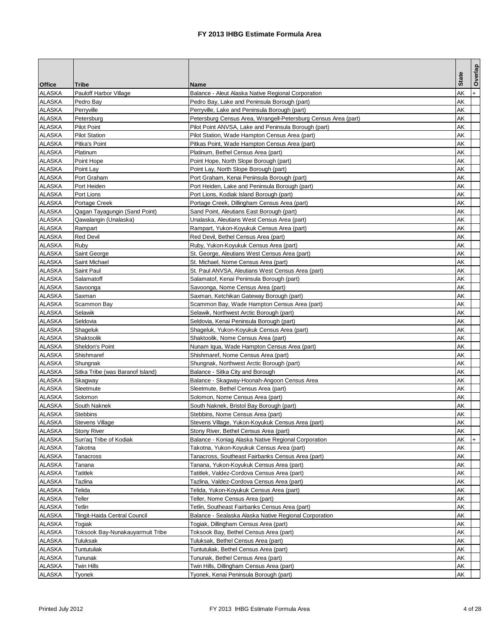|                                |                                         |                                                                                           |              | Overlap |
|--------------------------------|-----------------------------------------|-------------------------------------------------------------------------------------------|--------------|---------|
| <b>Office</b>                  | <b>Tribe</b>                            | Name                                                                                      | <b>State</b> |         |
| ALASKA                         | Pauloff Harbor Village                  | Balance - Aleut Alaska Native Regional Corporation                                        | AΚ           |         |
| <b>ALASKA</b>                  | Pedro Bay                               | Pedro Bay, Lake and Peninsula Borough (part)                                              | AΚ           |         |
| <b>ALASKA</b>                  | Perryville                              | Perryville, Lake and Peninsula Borough (part)                                             | AΚ           |         |
| <b>ALASKA</b>                  | Petersburg                              | Petersburg Census Area, Wrangell-Petersburg Census Area (part)                            | AΚ           |         |
| ALASKA                         | <b>Pilot Point</b>                      | Pilot Point ANVSA, Lake and Peninsula Borough (part)                                      | AΚ           |         |
| <b>ALASKA</b>                  | <b>Pilot Station</b>                    | Pilot Station, Wade Hampton Census Area (part)                                            | AΚ           |         |
| <b>ALASKA</b>                  | Pitka's Point                           | Pitkas Point, Wade Hampton Census Area (part)                                             | AΚ           |         |
| <b>ALASKA</b>                  | Platinum                                | Platinum, Bethel Census Area (part)                                                       | AΚ           |         |
| <b>ALASKA</b>                  | Point Hope                              | Point Hope, North Slope Borough (part)                                                    | AΚ           |         |
| <b>ALASKA</b>                  | Point Lay                               | Point Lay, North Slope Borough (part)                                                     | AΚ           |         |
| <b>ALASKA</b>                  | Port Graham                             | Port Graham, Kenai Peninsula Borough (part)                                               | AΚ           |         |
| <b>ALASKA</b>                  | Port Heiden                             | Port Heiden, Lake and Peninsula Borough (part)                                            | AΚ           |         |
| ALASKA                         | Port Lions                              | Port Lions, Kodiak Island Borough (part)                                                  | AΚ           |         |
| <b>ALASKA</b>                  | Portage Creek                           | Portage Creek, Dillingham Census Area (part)                                              | AΚ           |         |
| <b>ALASKA</b>                  | Qagan Tayagungin (Sand Point)           | Sand Point, Aleutians East Borough (part)                                                 | AΚ           |         |
| <b>ALASKA</b>                  | Qawalangin (Unalaska)                   | Unalaska, Aleutians West Census Area (part)                                               | AΚ           |         |
| <b>ALASKA</b>                  | Rampart                                 | Rampart, Yukon-Koyukuk Census Area (part)                                                 | AΚ           |         |
| <b>ALASKA</b>                  | <b>Red Devil</b>                        | Red Devil, Bethel Census Area (part)                                                      | AΚ           |         |
| <b>ALASKA</b>                  | Ruby                                    | Ruby, Yukon-Koyukuk Census Area (part)                                                    | AΚ           |         |
| ALASKA                         | Saint George                            | St. George, Aleutians West Census Area (part)                                             | AΚ           |         |
| <b>ALASKA</b>                  | Saint Michael                           | St. Michael, Nome Census Area (part)                                                      | AΚ           |         |
| <b>ALASKA</b>                  | Saint Paul                              | St. Paul ANVSA, Aleutians West Census Area (part)                                         | AΚ           |         |
| <b>ALASKA</b>                  | Salamatoff                              | Salamatof, Kenai Peninsula Borough (part)                                                 | AΚ           |         |
| <b>ALASKA</b>                  | Savoonga                                | Savoonga, Nome Census Area (part)                                                         | AΚ           |         |
| <b>ALASKA</b>                  | Saxman                                  | Saxman, Ketchikan Gateway Borough (part)                                                  | AΚ           |         |
| <b>ALASKA</b>                  | Scammon Bay                             | Scammon Bay, Wade Hampton Census Area (part)                                              | AΚ           |         |
| ALASKA                         | Selawik                                 | Selawik, Northwest Arctic Borough (part)                                                  | AΚ           |         |
| <b>ALASKA</b>                  | Seldovia                                | Seldovia, Kenai Peninsula Borough (part)                                                  | AΚ           |         |
| <b>ALASKA</b>                  | Shageluk                                | Shageluk, Yukon-Koyukuk Census Area (part)                                                | AΚ           |         |
| <b>ALASKA</b>                  | Shaktoolik                              | Shaktoolik, Nome Census Area (part)                                                       | AΚ           |         |
| ALASKA                         | Sheldon's Point                         | Nunam Iqua, Wade Hampton Census Area (part)                                               | AΚ           |         |
| <b>ALASKA</b>                  | Shishmaref                              | Shishmaref, Nome Census Area (part)                                                       | AΚ           |         |
| <b>ALASKA</b>                  | Shungnak                                | Shungnak, Northwest Arctic Borough (part)                                                 | AΚ           |         |
| <b>ALASKA</b>                  | Sitka Tribe (was Baranof Island)        | Balance - Sitka City and Borough                                                          | AΚ           |         |
| ALASKA                         | Skagway                                 | Balance - Skagway-Hoonah-Angoon Census Area                                               | AΚ           |         |
| <b>ALASKA</b>                  | Sleetmute                               | Sleetmute, Bethel Census Area (part)                                                      | AΚ           |         |
| <b>ALASKA</b>                  | Solomon                                 | Solomon, Nome Census Area (part)                                                          | AΚ           |         |
| <b>ALASKA</b>                  | South Naknek                            | South Naknek, Bristol Bay Borough (part)                                                  | AΚ           |         |
| <b>ALASKA</b>                  | <b>Stebbins</b>                         | Stebbins, Nome Census Area (part)                                                         | AΚ           |         |
| <b>ALASKA</b>                  | <b>Stevens Village</b>                  | Stevens Village, Yukon-Koyukuk Census Area (part)                                         | AK           |         |
| <b>ALASKA</b>                  | <b>Stony River</b>                      | Stony River, Bethel Census Area (part)                                                    | AΚ           |         |
| ALASKA<br><b>ALASKA</b>        | Sun'ag Tribe of Kodiak                  | Balance - Koniag Alaska Native Regional Corporation                                       | AK<br>AΚ     | $+$     |
| <b>ALASKA</b>                  | Takotna<br>Tanacross                    | Takotna, Yukon-Koyukuk Census Area (part)                                                 |              |         |
| <b>ALASKA</b>                  |                                         | Tanacross, Southeast Fairbanks Census Area (part)                                         | AΚ           |         |
| <b>ALASKA</b>                  | Tanana                                  | Tanana, Yukon-Koyukuk Census Area (part)                                                  | AΚ<br>AΚ     |         |
| <b>ALASKA</b>                  | Tatitlek<br>Tazlina                     | Tatitlek, Valdez-Cordova Census Area (part)<br>Tazlina, Valdez-Cordova Census Area (part) | AΚ           |         |
|                                |                                         |                                                                                           |              |         |
| <b>ALASKA</b>                  | Telida                                  | Telida, Yukon-Koyukuk Census Area (part)                                                  | AΚ           |         |
| <b>ALASKA</b><br><b>ALASKA</b> | Teller                                  | Teller, Nome Census Area (part)                                                           | AΚ<br>AΚ     |         |
| <b>ALASKA</b>                  | Tetlin<br>Tlingit-Haida Central Council | Tetlin, Southeast Fairbanks Census Area (part)                                            | AΚ           |         |
| <b>ALASKA</b>                  |                                         | Balance - Sealaska Alaska Native Regional Corporation                                     |              |         |
|                                | Togiak                                  | Togiak, Dillingham Census Area (part)                                                     | AΚ           |         |
| <b>ALASKA</b>                  | Toksook Bay-Nunakauyarmuit Tribe        | Toksook Bay, Bethel Census Area (part)                                                    | AΚ           |         |
| <b>ALASKA</b><br><b>ALASKA</b> | Tuluksak                                | Tuluksak, Bethel Census Area (part)                                                       | AΚ<br>AΚ     |         |
| <b>ALASKA</b>                  | Tuntutuliak                             | Tuntutuliak, Bethel Census Area (part)                                                    |              |         |
|                                | Tununak                                 | Tununak, Bethel Census Area (part)                                                        | AΚ           |         |
| <b>ALASKA</b>                  | Twin Hills                              | Twin Hills, Dillingham Census Area (part)                                                 | AΚ           |         |
| <b>ALASKA</b>                  | Tyonek                                  | Tyonek, Kenai Peninsula Borough (part)                                                    | AΚ           |         |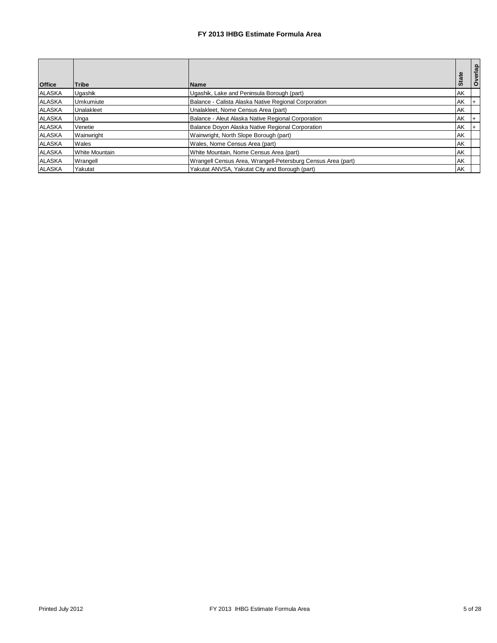| <b>Office</b> | <b>Tribe</b>          | <b>Name</b>                                                  | <b>State</b> | Overlap |
|---------------|-----------------------|--------------------------------------------------------------|--------------|---------|
| <b>ALASKA</b> | Ugashik               | Ugashik, Lake and Peninsula Borough (part)                   | AK           |         |
| <b>ALASKA</b> | <b>Umkumiute</b>      | Balance - Calista Alaska Native Regional Corporation         | AK           |         |
| <b>ALASKA</b> | Unalakleet            | Unalakleet, Nome Census Area (part)                          | AK           |         |
| <b>ALASKA</b> | Unga                  | Balance - Aleut Alaska Native Regional Corporation           | AK           |         |
| <b>ALASKA</b> | Venetie               | Balance Doyon Alaska Native Regional Corporation             | AK           |         |
| <b>ALASKA</b> | Wainwright            | Wainwright, North Slope Borough (part)                       | AK           |         |
| <b>ALASKA</b> | Wales                 | Wales, Nome Census Area (part)                               | AK           |         |
| <b>ALASKA</b> | <b>White Mountain</b> | White Mountain, Nome Census Area (part)                      | AK           |         |
| <b>ALASKA</b> | Wrangell              | Wrangell Census Area, Wrangell-Petersburg Census Area (part) | AK           |         |
| <b>ALASKA</b> | Yakutat               | Yakutat ANVSA. Yakutat City and Borough (part)               | AK           |         |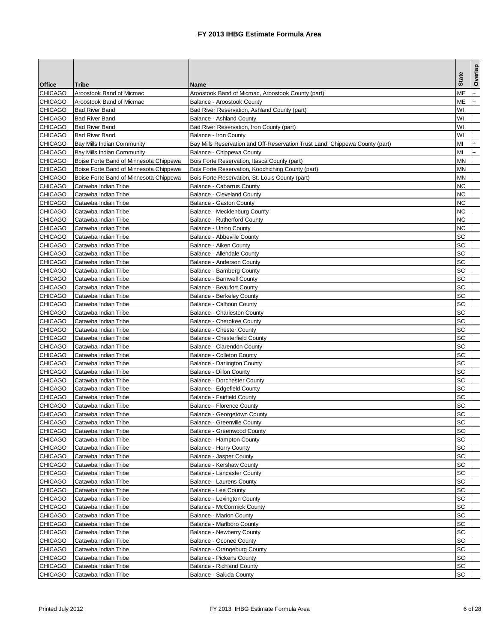|                                  |                                              |                                                                              |              | Overlap |
|----------------------------------|----------------------------------------------|------------------------------------------------------------------------------|--------------|---------|
| <b>Office</b>                    | Tribe                                        | Name                                                                         | <b>State</b> |         |
| <b>CHICAGO</b>                   | Aroostook Band of Micmac                     | Aroostook Band of Micmac, Aroostook County (part)                            | МЕ           | $+$     |
| <b>CHICAGO</b>                   | Aroostook Band of Micmac                     | Balance - Aroostook County                                                   | МE           | $+$     |
| <b>CHICAGO</b>                   | <b>Bad River Band</b>                        | Bad River Reservation, Ashland County (part)                                 | W١           |         |
| <b>CHICAGO</b>                   | <b>Bad River Band</b>                        | Balance - Ashland County                                                     | W١           |         |
| <b>CHICAGO</b>                   | <b>Bad River Band</b>                        | Bad River Reservation, Iron County (part)                                    | W١           |         |
| <b>CHICAGO</b>                   | <b>Bad River Band</b>                        | Balance - Iron County                                                        | WI           |         |
| <b>CHICAGO</b>                   | <b>Bay Mills Indian Community</b>            | Bay Mills Reservation and Off-Reservation Trust Land, Chippewa County (part) | MI           |         |
| <b>CHICAGO</b>                   | <b>Bay Mills Indian Community</b>            | Balance - Chippewa County                                                    | MI           | $+$     |
| <b>CHICAGO</b>                   | Boise Forte Band of Minnesota Chippewa       | Bois Forte Reservation, Itasca County (part)                                 | MΝ           |         |
| <b>CHICAGO</b>                   | Boise Forte Band of Minnesota Chippewa       | Bois Forte Reservation, Koochiching County (part)                            | ΜN           |         |
| <b>CHICAGO</b>                   | Boise Forte Band of Minnesota Chippewa       | Bois Forte Reservation, St. Louis County (part)                              | MΝ           |         |
| <b>CHICAGO</b>                   | Catawba Indian Tribe                         | Balance - Cabarrus County                                                    | ΝC           |         |
| <b>CHICAGO</b>                   | Catawba Indian Tribe                         | Balance - Cleveland County                                                   | ΝC           |         |
| <b>CHICAGO</b>                   | Catawba Indian Tribe                         | <b>Balance - Gaston County</b>                                               | ΝC           |         |
| <b>CHICAGO</b>                   | Catawba Indian Tribe                         | Balance - Mecklenburg County                                                 | ΝC           |         |
| <b>CHICAGO</b>                   | Catawba Indian Tribe                         | Balance - Rutherford County                                                  | ΝC           |         |
| <b>CHICAGO</b>                   | Catawba Indian Tribe                         | <b>Balance - Union County</b>                                                | ΝC           |         |
| <b>CHICAGO</b>                   | Catawba Indian Tribe                         | Balance - Abbeville County                                                   | SC           |         |
| <b>CHICAGO</b>                   | Catawba Indian Tribe                         | Balance - Aiken County                                                       | SC           |         |
| <b>CHICAGO</b>                   | Catawba Indian Tribe                         | Balance - Allendale County                                                   | SC           |         |
| <b>CHICAGO</b>                   | Catawba Indian Tribe                         | Balance - Anderson County                                                    | SC           |         |
| <b>CHICAGO</b>                   | Catawba Indian Tribe                         | Balance - Bamberg County                                                     | SC           |         |
| <b>CHICAGO</b>                   | Catawba Indian Tribe                         | <b>Balance - Barnwell County</b>                                             | SC           |         |
| <b>CHICAGO</b>                   | Catawba Indian Tribe                         | <b>Balance - Beaufort County</b>                                             | SC           |         |
| <b>CHICAGO</b>                   | Catawba Indian Tribe                         | <b>Balance - Berkeley County</b>                                             | SC           |         |
| <b>CHICAGO</b>                   | Catawba Indian Tribe                         | Balance - Calhoun County                                                     | SC           |         |
| <b>CHICAGO</b>                   | Catawba Indian Tribe                         | Balance - Charleston County                                                  | SC           |         |
| <b>CHICAGO</b>                   | Catawba Indian Tribe                         | Balance - Cherokee County                                                    | SC           |         |
| <b>CHICAGO</b>                   | Catawba Indian Tribe                         | <b>Balance - Chester County</b>                                              | SC           |         |
| <b>CHICAGO</b>                   | Catawba Indian Tribe                         | <b>Balance - Chesterfield County</b>                                         | SC           |         |
| <b>CHICAGO</b>                   | Catawba Indian Tribe                         | Balance - Clarendon County                                                   | SC           |         |
| <b>CHICAGO</b>                   | Catawba Indian Tribe                         | <b>Balance - Colleton County</b>                                             | SC           |         |
| <b>CHICAGO</b>                   | Catawba Indian Tribe                         | Balance - Darlington County                                                  | SC           |         |
| <b>CHICAGO</b>                   | Catawba Indian Tribe                         | Balance - Dillon County                                                      | SC           |         |
| <b>CHICAGO</b>                   | Catawba Indian Tribe                         | Balance - Dorchester County                                                  | SC           |         |
| <b>CHICAGO</b>                   | Catawba Indian Tribe                         | Balance - Edgefield County                                                   | SC           |         |
| <b>CHICAGO</b>                   | Catawba Indian Tribe                         | <b>Balance - Fairfield County</b>                                            | SC           |         |
| <b>CHICAGO</b>                   | Catawba Indian Tribe                         | Balance - Florence County                                                    | SC           |         |
| <b>CHICAGO</b>                   | Catawba Indian Tribe                         | Balance - Georgetown County                                                  | SC<br>SC     |         |
| <b>CHICAGO</b><br><b>CHICAGO</b> | Catawba Indian Tribe                         | <b>Balance - Greenville County</b>                                           |              |         |
| <b>CHICAGO</b>                   | Catawba Indian Tribe<br>Catawba Indian Tribe | Balance - Greenwood County<br>Balance - Hampton County                       | SC<br>SC     |         |
| <b>CHICAGO</b>                   | Catawba Indian Tribe                         | Balance - Horry County                                                       | SC           |         |
| <b>CHICAGO</b>                   | Catawba Indian Tribe                         | Balance - Jasper County                                                      | SC           |         |
| <b>CHICAGO</b>                   | Catawba Indian Tribe                         | Balance - Kershaw County                                                     | SC           |         |
| <b>CHICAGO</b>                   | Catawba Indian Tribe                         | Balance - Lancaster County                                                   | SC           |         |
| <b>CHICAGO</b>                   | Catawba Indian Tribe                         | Balance - Laurens County                                                     | SC           |         |
| <b>CHICAGO</b>                   | Catawba Indian Tribe                         | Balance - Lee County                                                         | SC           |         |
| <b>CHICAGO</b>                   | Catawba Indian Tribe                         | Balance - Lexington County                                                   | SC           |         |
| <b>CHICAGO</b>                   | Catawba Indian Tribe                         | Balance - McCormick County                                                   | SC           |         |
| <b>CHICAGO</b>                   | Catawba Indian Tribe                         | Balance - Marion County                                                      | SC           |         |
| <b>CHICAGO</b>                   | Catawba Indian Tribe                         | Balance - Marlboro County                                                    | SC           |         |
| <b>CHICAGO</b>                   | Catawba Indian Tribe                         | <b>Balance - Newberry County</b>                                             | SC           |         |
| <b>CHICAGO</b>                   | Catawba Indian Tribe                         | <b>Balance - Oconee County</b>                                               | SC           |         |
| <b>CHICAGO</b>                   | Catawba Indian Tribe                         | Balance - Orangeburg County                                                  | SC           |         |
| <b>CHICAGO</b>                   | Catawba Indian Tribe                         | <b>Balance - Pickens County</b>                                              | SC           |         |
| <b>CHICAGO</b>                   | Catawba Indian Tribe                         | <b>Balance - Richland County</b>                                             | SC           |         |
| <b>CHICAGO</b>                   | Catawba Indian Tribe                         | Balance - Saluda County                                                      | SC           |         |
|                                  |                                              |                                                                              |              |         |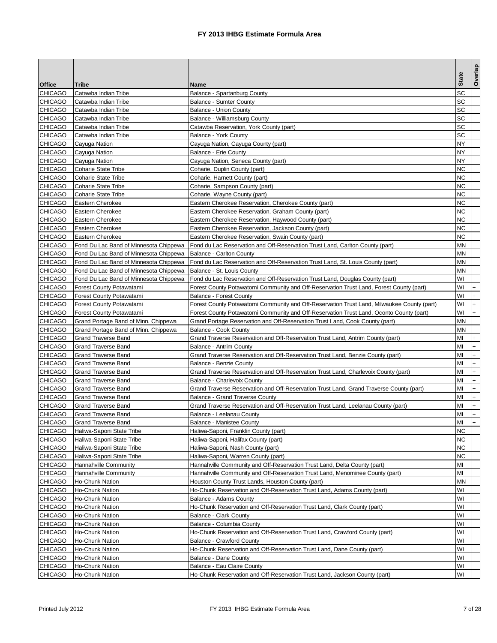| <b>Office</b><br>Tribe<br>Name<br>SC<br><b>CHICAGO</b><br>Catawba Indian Tribe<br>Balance - Spartanburg County<br>SC<br><b>CHICAGO</b><br>Catawba Indian Tribe<br><b>Balance - Sumter County</b><br><b>CHICAGO</b><br>SC<br>Catawba Indian Tribe<br><b>Balance - Union County</b><br><b>CHICAGO</b><br>SC<br>Balance - Williamsburg County<br>Catawba Indian Tribe<br><b>CHICAGO</b><br>SC<br>Catawba Indian Tribe<br>Catawba Reservation, York County (part)<br>SC<br><b>CHICAGO</b><br>Balance - York County<br>Catawba Indian Tribe<br><b>CHICAGO</b><br>NΥ<br>Cayuga Nation<br>Cayuga Nation, Cayuga County (part)<br><b>CHICAGO</b><br>NY<br>Cayuga Nation<br>Balance - Erie County<br><b>CHICAGO</b><br>NΥ<br>Cayuga Nation<br>Cayuga Nation, Seneca County (part)<br><b>CHICAGO</b><br>ΝC<br><b>Coharie State Tribe</b><br>Coharie, Duplin County (part)<br><b>CHICAGO</b><br>ΝC<br>Coharie State Tribe<br>Coharie, Harnett County (part)<br><b>CHICAGO</b><br>ΝC<br>Coharie State Tribe<br>Coharie, Sampson County (part)<br>ΝC<br><b>CHICAGO</b><br>Coharie, Wayne County (part)<br>Coharie State Tribe<br><b>CHICAGO</b><br>Eastern Cherokee Reservation, Cherokee County (part)<br>ΝC<br>Eastern Cherokee<br><b>CHICAGO</b><br>ΝC<br>Eastern Cherokee<br>Eastern Cherokee Reservation, Graham County (part)<br><b>CHICAGO</b><br>ΝC<br>Eastern Cherokee<br>Eastern Cherokee Reservation, Haywood County (part)<br><b>CHICAGO</b><br>ΝC<br>Eastern Cherokee Reservation, Jackson County (part)<br>Eastern Cherokee<br><b>CHICAGO</b><br>ΝC<br>Eastern Cherokee Reservation, Swain County (part)<br>Eastern Cherokee<br><b>CHICAGO</b><br>Fond du Lac Reservation and Off-Reservation Trust Land, Carlton County (part)<br>ΜN<br>Fond Du Lac Band of Minnesota Chippewa<br><b>CHICAGO</b><br>MΝ<br>Fond Du Lac Band of Minnesota Chippewa<br>Balance - Carlton County<br><b>CHICAGO</b><br>Fond Du Lac Band of Minnesota Chippewa<br>MΝ<br>Fond du Lac Reservation and Off-Reservation Trust Land, St. Louis County (part)<br><b>CHICAGO</b><br>MΝ<br>Fond Du Lac Band of Minnesota Chippewa<br>Balance - St. Louis County<br>W١<br><b>CHICAGO</b><br>Fond du Lac Reservation and Off-Reservation Trust Land, Douglas County (part)<br>Fond Du Lac Band of Minnesota Chippewa<br><b>CHICAGO</b><br>Forest County Potawatomi Community and Off-Reservation Trust Land, Forest County (part)<br>W١<br>Forest County Potawatami<br>$+$<br>W١<br>$+$<br><b>CHICAGO</b><br>Forest County Potawatami<br><b>Balance - Forest County</b><br>$+$<br><b>CHICAGO</b><br>W١<br>Forest County Potawatami<br>Forest County Potawatomi Community and Off-Reservation Trust Land, Milwaukee County (part)<br>$+$<br><b>CHICAGO</b><br>W١<br>Forest County Potawatami<br>Forest County Potawatomi Community and Off-Reservation Trust Land, Oconto County (part)<br><b>CHICAGO</b><br>Grand Portage Band of Minn. Chippewa<br>Grand Portage Reservation and Off-Reservation Trust Land, Cook County (part)<br>MΝ<br><b>CHICAGO</b><br>MΝ<br>Grand Portage Band of Minn. Chippewa<br>Balance - Cook County<br>MI<br><b>CHICAGO</b><br>Grand Traverse Reservation and Off-Reservation Trust Land, Antrim County (part)<br>Grand Traverse Band<br>$+$<br><b>CHICAGO</b><br>Grand Traverse Band<br>Balance - Antrim County<br>MI<br>$\ddot{}$<br>$+$<br>MI<br><b>CHICAGO</b><br><b>Grand Traverse Band</b><br>Grand Traverse Reservation and Off-Reservation Trust Land, Benzie County (part)<br><b>CHICAGO</b><br>$+$<br>MI<br>Grand Traverse Band<br>Balance - Benzie County<br>$+$<br><b>CHICAGO</b><br><b>Grand Traverse Band</b><br>Grand Traverse Reservation and Off-Reservation Trust Land, Charlevoix County (part)<br>MI<br><b>CHICAGO</b><br>MI<br>$+$<br>Grand Traverse Band<br>Balance - Charlevoix County<br>$+$<br><b>CHICAGO</b><br>Grand Traverse Reservation and Off-Reservation Trust Land, Grand Traverse County (part)<br>MI<br>Grand Traverse Band<br>$+$<br><b>CHICAGO</b><br>MI<br>Grand Traverse Band<br>Balance - Grand Traverse County<br>$+$<br><b>CHICAGO</b><br>Grand Traverse Band<br>Grand Traverse Reservation and Off-Reservation Trust Land, Leelanau County (part)<br>MI<br>$+$<br><b>CHICAGO</b><br>MI<br>Grand Traverse Band<br>Balance - Leelanau County<br>M <sub>l</sub><br><b>CHICAGO</b><br><b>Grand Traverse Band</b><br>Balance - Manistee County<br><b>CHICAGO</b><br>ΝC<br>Haliwa-Saponi State Tribe<br>Haliwa-Saponi, Franklin County (part)<br><b>CHICAGO</b><br>Haliwa-Saponi State Tribe<br>Haliwa-Saponi, Halifax County (part)<br>ΝC<br><b>CHICAGO</b><br>ΝC<br>Haliwa-Saponi State Tribe<br>Haliwa-Saponi, Nash County (part)<br><b>CHICAGO</b><br>Haliwa-Saponi State Tribe<br>Haliwa-Saponi, Warren County (part)<br>ΝC<br><b>CHICAGO</b><br>МI<br>Hannahville Community<br>Hannahville Community and Off-Reservation Trust Land, Delta County (part)<br><b>CHICAGO</b><br>MI<br>Hannahville Community<br>Hannahville Community and Off-Reservation Trust Land, Menominee County (part)<br><b>CHICAGO</b><br>ΜN<br>Ho-Chunk Nation<br>Houston County Trust Lands, Houston County (part)<br><b>CHICAGO</b><br>W١<br>Ho-Chunk Nation<br>Ho-Chunk Reservation and Off-Reservation Trust Land, Adams County (part)<br><b>CHICAGO</b><br>W١<br>Ho-Chunk Nation<br>Balance - Adams County<br><b>CHICAGO</b><br>Ho-Chunk Reservation and Off-Reservation Trust Land, Clark County (part)<br>W١<br>Ho-Chunk Nation<br><b>CHICAGO</b><br>W١<br>Ho-Chunk Nation<br>Balance - Clark County<br><b>CHICAGO</b><br>W١<br>Ho-Chunk Nation<br>Balance - Columbia County<br><b>CHICAGO</b><br>W١<br>Ho-Chunk Nation<br>Ho-Chunk Reservation and Off-Reservation Trust Land, Crawford County (part)<br><b>CHICAGO</b><br>W١<br>Ho-Chunk Nation<br>Balance - Crawford County<br>W١<br><b>CHICAGO</b><br>Ho-Chunk Reservation and Off-Reservation Trust Land, Dane County (part)<br>Ho-Chunk Nation<br><b>CHICAGO</b><br>WI<br>Ho-Chunk Nation<br>Balance - Dane County<br><b>CHICAGO</b><br>Ho-Chunk Nation<br>Balance - Eau Claire County<br>W١ |                |                 |                                                                            | <b>State</b> | Overlap |
|---------------------------------------------------------------------------------------------------------------------------------------------------------------------------------------------------------------------------------------------------------------------------------------------------------------------------------------------------------------------------------------------------------------------------------------------------------------------------------------------------------------------------------------------------------------------------------------------------------------------------------------------------------------------------------------------------------------------------------------------------------------------------------------------------------------------------------------------------------------------------------------------------------------------------------------------------------------------------------------------------------------------------------------------------------------------------------------------------------------------------------------------------------------------------------------------------------------------------------------------------------------------------------------------------------------------------------------------------------------------------------------------------------------------------------------------------------------------------------------------------------------------------------------------------------------------------------------------------------------------------------------------------------------------------------------------------------------------------------------------------------------------------------------------------------------------------------------------------------------------------------------------------------------------------------------------------------------------------------------------------------------------------------------------------------------------------------------------------------------------------------------------------------------------------------------------------------------------------------------------------------------------------------------------------------------------------------------------------------------------------------------------------------------------------------------------------------------------------------------------------------------------------------------------------------------------------------------------------------------------------------------------------------------------------------------------------------------------------------------------------------------------------------------------------------------------------------------------------------------------------------------------------------------------------------------------------------------------------------------------------------------------------------------------------------------------------------------------------------------------------------------------------------------------------------------------------------------------------------------------------------------------------------------------------------------------------------------------------------------------------------------------------------------------------------------------------------------------------------------------------------------------------------------------------------------------------------------------------------------------------------------------------------------------------------------------------------------------------------------------------------------------------------------------------------------------------------------------------------------------------------------------------------------------------------------------------------------------------------------------------------------------------------------------------------------------------------------------------------------------------------------------------------------------------------------------------------------------------------------------------------------------------------------------------------------------------------------------------------------------------------------------------------------------------------------------------------------------------------------------------------------------------------------------------------------------------------------------------------------------------------------------------------------------------------------------------------------------------------------------------------------------------------------------------------------------------------------------------------------------------------------------------------------------------------------------------------------------------------------------------------------------------------------------------------------------------------------------------------------------------------------------------------------------------------------------------------------------------------------------------------------------------------------------------------------------------------------------------------------------------------------------------------------------------------------------------------------------------------------------------------------------------------------------------------------------------------------------------------------------------------------------------------------------------------------------------------------------------------------------------------------------------------------------------------------------------------------------------------------------------------------------------------------------------------------------------------------------------------------------------------------------------------------------------------------------------|----------------|-----------------|----------------------------------------------------------------------------|--------------|---------|
|                                                                                                                                                                                                                                                                                                                                                                                                                                                                                                                                                                                                                                                                                                                                                                                                                                                                                                                                                                                                                                                                                                                                                                                                                                                                                                                                                                                                                                                                                                                                                                                                                                                                                                                                                                                                                                                                                                                                                                                                                                                                                                                                                                                                                                                                                                                                                                                                                                                                                                                                                                                                                                                                                                                                                                                                                                                                                                                                                                                                                                                                                                                                                                                                                                                                                                                                                                                                                                                                                                                                                                                                                                                                                                                                                                                                                                                                                                                                                                                                                                                                                                                                                                                                                                                                                                                                                                                                                                                                                                                                                                                                                                                                                                                                                                                                                                                                                                                                                                                                                                                                                                                                                                                                                                                                                                                                                                                                                                                                                                                                                                                                                                                                                                                                                                                                                                                                                                                                                                                                                                                                           |                |                 |                                                                            |              |         |
|                                                                                                                                                                                                                                                                                                                                                                                                                                                                                                                                                                                                                                                                                                                                                                                                                                                                                                                                                                                                                                                                                                                                                                                                                                                                                                                                                                                                                                                                                                                                                                                                                                                                                                                                                                                                                                                                                                                                                                                                                                                                                                                                                                                                                                                                                                                                                                                                                                                                                                                                                                                                                                                                                                                                                                                                                                                                                                                                                                                                                                                                                                                                                                                                                                                                                                                                                                                                                                                                                                                                                                                                                                                                                                                                                                                                                                                                                                                                                                                                                                                                                                                                                                                                                                                                                                                                                                                                                                                                                                                                                                                                                                                                                                                                                                                                                                                                                                                                                                                                                                                                                                                                                                                                                                                                                                                                                                                                                                                                                                                                                                                                                                                                                                                                                                                                                                                                                                                                                                                                                                                                           |                |                 |                                                                            |              |         |
|                                                                                                                                                                                                                                                                                                                                                                                                                                                                                                                                                                                                                                                                                                                                                                                                                                                                                                                                                                                                                                                                                                                                                                                                                                                                                                                                                                                                                                                                                                                                                                                                                                                                                                                                                                                                                                                                                                                                                                                                                                                                                                                                                                                                                                                                                                                                                                                                                                                                                                                                                                                                                                                                                                                                                                                                                                                                                                                                                                                                                                                                                                                                                                                                                                                                                                                                                                                                                                                                                                                                                                                                                                                                                                                                                                                                                                                                                                                                                                                                                                                                                                                                                                                                                                                                                                                                                                                                                                                                                                                                                                                                                                                                                                                                                                                                                                                                                                                                                                                                                                                                                                                                                                                                                                                                                                                                                                                                                                                                                                                                                                                                                                                                                                                                                                                                                                                                                                                                                                                                                                                                           |                |                 |                                                                            |              |         |
|                                                                                                                                                                                                                                                                                                                                                                                                                                                                                                                                                                                                                                                                                                                                                                                                                                                                                                                                                                                                                                                                                                                                                                                                                                                                                                                                                                                                                                                                                                                                                                                                                                                                                                                                                                                                                                                                                                                                                                                                                                                                                                                                                                                                                                                                                                                                                                                                                                                                                                                                                                                                                                                                                                                                                                                                                                                                                                                                                                                                                                                                                                                                                                                                                                                                                                                                                                                                                                                                                                                                                                                                                                                                                                                                                                                                                                                                                                                                                                                                                                                                                                                                                                                                                                                                                                                                                                                                                                                                                                                                                                                                                                                                                                                                                                                                                                                                                                                                                                                                                                                                                                                                                                                                                                                                                                                                                                                                                                                                                                                                                                                                                                                                                                                                                                                                                                                                                                                                                                                                                                                                           |                |                 |                                                                            |              |         |
|                                                                                                                                                                                                                                                                                                                                                                                                                                                                                                                                                                                                                                                                                                                                                                                                                                                                                                                                                                                                                                                                                                                                                                                                                                                                                                                                                                                                                                                                                                                                                                                                                                                                                                                                                                                                                                                                                                                                                                                                                                                                                                                                                                                                                                                                                                                                                                                                                                                                                                                                                                                                                                                                                                                                                                                                                                                                                                                                                                                                                                                                                                                                                                                                                                                                                                                                                                                                                                                                                                                                                                                                                                                                                                                                                                                                                                                                                                                                                                                                                                                                                                                                                                                                                                                                                                                                                                                                                                                                                                                                                                                                                                                                                                                                                                                                                                                                                                                                                                                                                                                                                                                                                                                                                                                                                                                                                                                                                                                                                                                                                                                                                                                                                                                                                                                                                                                                                                                                                                                                                                                                           |                |                 |                                                                            |              |         |
|                                                                                                                                                                                                                                                                                                                                                                                                                                                                                                                                                                                                                                                                                                                                                                                                                                                                                                                                                                                                                                                                                                                                                                                                                                                                                                                                                                                                                                                                                                                                                                                                                                                                                                                                                                                                                                                                                                                                                                                                                                                                                                                                                                                                                                                                                                                                                                                                                                                                                                                                                                                                                                                                                                                                                                                                                                                                                                                                                                                                                                                                                                                                                                                                                                                                                                                                                                                                                                                                                                                                                                                                                                                                                                                                                                                                                                                                                                                                                                                                                                                                                                                                                                                                                                                                                                                                                                                                                                                                                                                                                                                                                                                                                                                                                                                                                                                                                                                                                                                                                                                                                                                                                                                                                                                                                                                                                                                                                                                                                                                                                                                                                                                                                                                                                                                                                                                                                                                                                                                                                                                                           |                |                 |                                                                            |              |         |
|                                                                                                                                                                                                                                                                                                                                                                                                                                                                                                                                                                                                                                                                                                                                                                                                                                                                                                                                                                                                                                                                                                                                                                                                                                                                                                                                                                                                                                                                                                                                                                                                                                                                                                                                                                                                                                                                                                                                                                                                                                                                                                                                                                                                                                                                                                                                                                                                                                                                                                                                                                                                                                                                                                                                                                                                                                                                                                                                                                                                                                                                                                                                                                                                                                                                                                                                                                                                                                                                                                                                                                                                                                                                                                                                                                                                                                                                                                                                                                                                                                                                                                                                                                                                                                                                                                                                                                                                                                                                                                                                                                                                                                                                                                                                                                                                                                                                                                                                                                                                                                                                                                                                                                                                                                                                                                                                                                                                                                                                                                                                                                                                                                                                                                                                                                                                                                                                                                                                                                                                                                                                           |                |                 |                                                                            |              |         |
|                                                                                                                                                                                                                                                                                                                                                                                                                                                                                                                                                                                                                                                                                                                                                                                                                                                                                                                                                                                                                                                                                                                                                                                                                                                                                                                                                                                                                                                                                                                                                                                                                                                                                                                                                                                                                                                                                                                                                                                                                                                                                                                                                                                                                                                                                                                                                                                                                                                                                                                                                                                                                                                                                                                                                                                                                                                                                                                                                                                                                                                                                                                                                                                                                                                                                                                                                                                                                                                                                                                                                                                                                                                                                                                                                                                                                                                                                                                                                                                                                                                                                                                                                                                                                                                                                                                                                                                                                                                                                                                                                                                                                                                                                                                                                                                                                                                                                                                                                                                                                                                                                                                                                                                                                                                                                                                                                                                                                                                                                                                                                                                                                                                                                                                                                                                                                                                                                                                                                                                                                                                                           |                |                 |                                                                            |              |         |
|                                                                                                                                                                                                                                                                                                                                                                                                                                                                                                                                                                                                                                                                                                                                                                                                                                                                                                                                                                                                                                                                                                                                                                                                                                                                                                                                                                                                                                                                                                                                                                                                                                                                                                                                                                                                                                                                                                                                                                                                                                                                                                                                                                                                                                                                                                                                                                                                                                                                                                                                                                                                                                                                                                                                                                                                                                                                                                                                                                                                                                                                                                                                                                                                                                                                                                                                                                                                                                                                                                                                                                                                                                                                                                                                                                                                                                                                                                                                                                                                                                                                                                                                                                                                                                                                                                                                                                                                                                                                                                                                                                                                                                                                                                                                                                                                                                                                                                                                                                                                                                                                                                                                                                                                                                                                                                                                                                                                                                                                                                                                                                                                                                                                                                                                                                                                                                                                                                                                                                                                                                                                           |                |                 |                                                                            |              |         |
|                                                                                                                                                                                                                                                                                                                                                                                                                                                                                                                                                                                                                                                                                                                                                                                                                                                                                                                                                                                                                                                                                                                                                                                                                                                                                                                                                                                                                                                                                                                                                                                                                                                                                                                                                                                                                                                                                                                                                                                                                                                                                                                                                                                                                                                                                                                                                                                                                                                                                                                                                                                                                                                                                                                                                                                                                                                                                                                                                                                                                                                                                                                                                                                                                                                                                                                                                                                                                                                                                                                                                                                                                                                                                                                                                                                                                                                                                                                                                                                                                                                                                                                                                                                                                                                                                                                                                                                                                                                                                                                                                                                                                                                                                                                                                                                                                                                                                                                                                                                                                                                                                                                                                                                                                                                                                                                                                                                                                                                                                                                                                                                                                                                                                                                                                                                                                                                                                                                                                                                                                                                                           |                |                 |                                                                            |              |         |
|                                                                                                                                                                                                                                                                                                                                                                                                                                                                                                                                                                                                                                                                                                                                                                                                                                                                                                                                                                                                                                                                                                                                                                                                                                                                                                                                                                                                                                                                                                                                                                                                                                                                                                                                                                                                                                                                                                                                                                                                                                                                                                                                                                                                                                                                                                                                                                                                                                                                                                                                                                                                                                                                                                                                                                                                                                                                                                                                                                                                                                                                                                                                                                                                                                                                                                                                                                                                                                                                                                                                                                                                                                                                                                                                                                                                                                                                                                                                                                                                                                                                                                                                                                                                                                                                                                                                                                                                                                                                                                                                                                                                                                                                                                                                                                                                                                                                                                                                                                                                                                                                                                                                                                                                                                                                                                                                                                                                                                                                                                                                                                                                                                                                                                                                                                                                                                                                                                                                                                                                                                                                           |                |                 |                                                                            |              |         |
|                                                                                                                                                                                                                                                                                                                                                                                                                                                                                                                                                                                                                                                                                                                                                                                                                                                                                                                                                                                                                                                                                                                                                                                                                                                                                                                                                                                                                                                                                                                                                                                                                                                                                                                                                                                                                                                                                                                                                                                                                                                                                                                                                                                                                                                                                                                                                                                                                                                                                                                                                                                                                                                                                                                                                                                                                                                                                                                                                                                                                                                                                                                                                                                                                                                                                                                                                                                                                                                                                                                                                                                                                                                                                                                                                                                                                                                                                                                                                                                                                                                                                                                                                                                                                                                                                                                                                                                                                                                                                                                                                                                                                                                                                                                                                                                                                                                                                                                                                                                                                                                                                                                                                                                                                                                                                                                                                                                                                                                                                                                                                                                                                                                                                                                                                                                                                                                                                                                                                                                                                                                                           |                |                 |                                                                            |              |         |
|                                                                                                                                                                                                                                                                                                                                                                                                                                                                                                                                                                                                                                                                                                                                                                                                                                                                                                                                                                                                                                                                                                                                                                                                                                                                                                                                                                                                                                                                                                                                                                                                                                                                                                                                                                                                                                                                                                                                                                                                                                                                                                                                                                                                                                                                                                                                                                                                                                                                                                                                                                                                                                                                                                                                                                                                                                                                                                                                                                                                                                                                                                                                                                                                                                                                                                                                                                                                                                                                                                                                                                                                                                                                                                                                                                                                                                                                                                                                                                                                                                                                                                                                                                                                                                                                                                                                                                                                                                                                                                                                                                                                                                                                                                                                                                                                                                                                                                                                                                                                                                                                                                                                                                                                                                                                                                                                                                                                                                                                                                                                                                                                                                                                                                                                                                                                                                                                                                                                                                                                                                                                           |                |                 |                                                                            |              |         |
|                                                                                                                                                                                                                                                                                                                                                                                                                                                                                                                                                                                                                                                                                                                                                                                                                                                                                                                                                                                                                                                                                                                                                                                                                                                                                                                                                                                                                                                                                                                                                                                                                                                                                                                                                                                                                                                                                                                                                                                                                                                                                                                                                                                                                                                                                                                                                                                                                                                                                                                                                                                                                                                                                                                                                                                                                                                                                                                                                                                                                                                                                                                                                                                                                                                                                                                                                                                                                                                                                                                                                                                                                                                                                                                                                                                                                                                                                                                                                                                                                                                                                                                                                                                                                                                                                                                                                                                                                                                                                                                                                                                                                                                                                                                                                                                                                                                                                                                                                                                                                                                                                                                                                                                                                                                                                                                                                                                                                                                                                                                                                                                                                                                                                                                                                                                                                                                                                                                                                                                                                                                                           |                |                 |                                                                            |              |         |
|                                                                                                                                                                                                                                                                                                                                                                                                                                                                                                                                                                                                                                                                                                                                                                                                                                                                                                                                                                                                                                                                                                                                                                                                                                                                                                                                                                                                                                                                                                                                                                                                                                                                                                                                                                                                                                                                                                                                                                                                                                                                                                                                                                                                                                                                                                                                                                                                                                                                                                                                                                                                                                                                                                                                                                                                                                                                                                                                                                                                                                                                                                                                                                                                                                                                                                                                                                                                                                                                                                                                                                                                                                                                                                                                                                                                                                                                                                                                                                                                                                                                                                                                                                                                                                                                                                                                                                                                                                                                                                                                                                                                                                                                                                                                                                                                                                                                                                                                                                                                                                                                                                                                                                                                                                                                                                                                                                                                                                                                                                                                                                                                                                                                                                                                                                                                                                                                                                                                                                                                                                                                           |                |                 |                                                                            |              |         |
|                                                                                                                                                                                                                                                                                                                                                                                                                                                                                                                                                                                                                                                                                                                                                                                                                                                                                                                                                                                                                                                                                                                                                                                                                                                                                                                                                                                                                                                                                                                                                                                                                                                                                                                                                                                                                                                                                                                                                                                                                                                                                                                                                                                                                                                                                                                                                                                                                                                                                                                                                                                                                                                                                                                                                                                                                                                                                                                                                                                                                                                                                                                                                                                                                                                                                                                                                                                                                                                                                                                                                                                                                                                                                                                                                                                                                                                                                                                                                                                                                                                                                                                                                                                                                                                                                                                                                                                                                                                                                                                                                                                                                                                                                                                                                                                                                                                                                                                                                                                                                                                                                                                                                                                                                                                                                                                                                                                                                                                                                                                                                                                                                                                                                                                                                                                                                                                                                                                                                                                                                                                                           |                |                 |                                                                            |              |         |
|                                                                                                                                                                                                                                                                                                                                                                                                                                                                                                                                                                                                                                                                                                                                                                                                                                                                                                                                                                                                                                                                                                                                                                                                                                                                                                                                                                                                                                                                                                                                                                                                                                                                                                                                                                                                                                                                                                                                                                                                                                                                                                                                                                                                                                                                                                                                                                                                                                                                                                                                                                                                                                                                                                                                                                                                                                                                                                                                                                                                                                                                                                                                                                                                                                                                                                                                                                                                                                                                                                                                                                                                                                                                                                                                                                                                                                                                                                                                                                                                                                                                                                                                                                                                                                                                                                                                                                                                                                                                                                                                                                                                                                                                                                                                                                                                                                                                                                                                                                                                                                                                                                                                                                                                                                                                                                                                                                                                                                                                                                                                                                                                                                                                                                                                                                                                                                                                                                                                                                                                                                                                           |                |                 |                                                                            |              |         |
|                                                                                                                                                                                                                                                                                                                                                                                                                                                                                                                                                                                                                                                                                                                                                                                                                                                                                                                                                                                                                                                                                                                                                                                                                                                                                                                                                                                                                                                                                                                                                                                                                                                                                                                                                                                                                                                                                                                                                                                                                                                                                                                                                                                                                                                                                                                                                                                                                                                                                                                                                                                                                                                                                                                                                                                                                                                                                                                                                                                                                                                                                                                                                                                                                                                                                                                                                                                                                                                                                                                                                                                                                                                                                                                                                                                                                                                                                                                                                                                                                                                                                                                                                                                                                                                                                                                                                                                                                                                                                                                                                                                                                                                                                                                                                                                                                                                                                                                                                                                                                                                                                                                                                                                                                                                                                                                                                                                                                                                                                                                                                                                                                                                                                                                                                                                                                                                                                                                                                                                                                                                                           |                |                 |                                                                            |              |         |
|                                                                                                                                                                                                                                                                                                                                                                                                                                                                                                                                                                                                                                                                                                                                                                                                                                                                                                                                                                                                                                                                                                                                                                                                                                                                                                                                                                                                                                                                                                                                                                                                                                                                                                                                                                                                                                                                                                                                                                                                                                                                                                                                                                                                                                                                                                                                                                                                                                                                                                                                                                                                                                                                                                                                                                                                                                                                                                                                                                                                                                                                                                                                                                                                                                                                                                                                                                                                                                                                                                                                                                                                                                                                                                                                                                                                                                                                                                                                                                                                                                                                                                                                                                                                                                                                                                                                                                                                                                                                                                                                                                                                                                                                                                                                                                                                                                                                                                                                                                                                                                                                                                                                                                                                                                                                                                                                                                                                                                                                                                                                                                                                                                                                                                                                                                                                                                                                                                                                                                                                                                                                           |                |                 |                                                                            |              |         |
|                                                                                                                                                                                                                                                                                                                                                                                                                                                                                                                                                                                                                                                                                                                                                                                                                                                                                                                                                                                                                                                                                                                                                                                                                                                                                                                                                                                                                                                                                                                                                                                                                                                                                                                                                                                                                                                                                                                                                                                                                                                                                                                                                                                                                                                                                                                                                                                                                                                                                                                                                                                                                                                                                                                                                                                                                                                                                                                                                                                                                                                                                                                                                                                                                                                                                                                                                                                                                                                                                                                                                                                                                                                                                                                                                                                                                                                                                                                                                                                                                                                                                                                                                                                                                                                                                                                                                                                                                                                                                                                                                                                                                                                                                                                                                                                                                                                                                                                                                                                                                                                                                                                                                                                                                                                                                                                                                                                                                                                                                                                                                                                                                                                                                                                                                                                                                                                                                                                                                                                                                                                                           |                |                 |                                                                            |              |         |
|                                                                                                                                                                                                                                                                                                                                                                                                                                                                                                                                                                                                                                                                                                                                                                                                                                                                                                                                                                                                                                                                                                                                                                                                                                                                                                                                                                                                                                                                                                                                                                                                                                                                                                                                                                                                                                                                                                                                                                                                                                                                                                                                                                                                                                                                                                                                                                                                                                                                                                                                                                                                                                                                                                                                                                                                                                                                                                                                                                                                                                                                                                                                                                                                                                                                                                                                                                                                                                                                                                                                                                                                                                                                                                                                                                                                                                                                                                                                                                                                                                                                                                                                                                                                                                                                                                                                                                                                                                                                                                                                                                                                                                                                                                                                                                                                                                                                                                                                                                                                                                                                                                                                                                                                                                                                                                                                                                                                                                                                                                                                                                                                                                                                                                                                                                                                                                                                                                                                                                                                                                                                           |                |                 |                                                                            |              |         |
|                                                                                                                                                                                                                                                                                                                                                                                                                                                                                                                                                                                                                                                                                                                                                                                                                                                                                                                                                                                                                                                                                                                                                                                                                                                                                                                                                                                                                                                                                                                                                                                                                                                                                                                                                                                                                                                                                                                                                                                                                                                                                                                                                                                                                                                                                                                                                                                                                                                                                                                                                                                                                                                                                                                                                                                                                                                                                                                                                                                                                                                                                                                                                                                                                                                                                                                                                                                                                                                                                                                                                                                                                                                                                                                                                                                                                                                                                                                                                                                                                                                                                                                                                                                                                                                                                                                                                                                                                                                                                                                                                                                                                                                                                                                                                                                                                                                                                                                                                                                                                                                                                                                                                                                                                                                                                                                                                                                                                                                                                                                                                                                                                                                                                                                                                                                                                                                                                                                                                                                                                                                                           |                |                 |                                                                            |              |         |
|                                                                                                                                                                                                                                                                                                                                                                                                                                                                                                                                                                                                                                                                                                                                                                                                                                                                                                                                                                                                                                                                                                                                                                                                                                                                                                                                                                                                                                                                                                                                                                                                                                                                                                                                                                                                                                                                                                                                                                                                                                                                                                                                                                                                                                                                                                                                                                                                                                                                                                                                                                                                                                                                                                                                                                                                                                                                                                                                                                                                                                                                                                                                                                                                                                                                                                                                                                                                                                                                                                                                                                                                                                                                                                                                                                                                                                                                                                                                                                                                                                                                                                                                                                                                                                                                                                                                                                                                                                                                                                                                                                                                                                                                                                                                                                                                                                                                                                                                                                                                                                                                                                                                                                                                                                                                                                                                                                                                                                                                                                                                                                                                                                                                                                                                                                                                                                                                                                                                                                                                                                                                           |                |                 |                                                                            |              |         |
|                                                                                                                                                                                                                                                                                                                                                                                                                                                                                                                                                                                                                                                                                                                                                                                                                                                                                                                                                                                                                                                                                                                                                                                                                                                                                                                                                                                                                                                                                                                                                                                                                                                                                                                                                                                                                                                                                                                                                                                                                                                                                                                                                                                                                                                                                                                                                                                                                                                                                                                                                                                                                                                                                                                                                                                                                                                                                                                                                                                                                                                                                                                                                                                                                                                                                                                                                                                                                                                                                                                                                                                                                                                                                                                                                                                                                                                                                                                                                                                                                                                                                                                                                                                                                                                                                                                                                                                                                                                                                                                                                                                                                                                                                                                                                                                                                                                                                                                                                                                                                                                                                                                                                                                                                                                                                                                                                                                                                                                                                                                                                                                                                                                                                                                                                                                                                                                                                                                                                                                                                                                                           |                |                 |                                                                            |              |         |
|                                                                                                                                                                                                                                                                                                                                                                                                                                                                                                                                                                                                                                                                                                                                                                                                                                                                                                                                                                                                                                                                                                                                                                                                                                                                                                                                                                                                                                                                                                                                                                                                                                                                                                                                                                                                                                                                                                                                                                                                                                                                                                                                                                                                                                                                                                                                                                                                                                                                                                                                                                                                                                                                                                                                                                                                                                                                                                                                                                                                                                                                                                                                                                                                                                                                                                                                                                                                                                                                                                                                                                                                                                                                                                                                                                                                                                                                                                                                                                                                                                                                                                                                                                                                                                                                                                                                                                                                                                                                                                                                                                                                                                                                                                                                                                                                                                                                                                                                                                                                                                                                                                                                                                                                                                                                                                                                                                                                                                                                                                                                                                                                                                                                                                                                                                                                                                                                                                                                                                                                                                                                           |                |                 |                                                                            |              |         |
|                                                                                                                                                                                                                                                                                                                                                                                                                                                                                                                                                                                                                                                                                                                                                                                                                                                                                                                                                                                                                                                                                                                                                                                                                                                                                                                                                                                                                                                                                                                                                                                                                                                                                                                                                                                                                                                                                                                                                                                                                                                                                                                                                                                                                                                                                                                                                                                                                                                                                                                                                                                                                                                                                                                                                                                                                                                                                                                                                                                                                                                                                                                                                                                                                                                                                                                                                                                                                                                                                                                                                                                                                                                                                                                                                                                                                                                                                                                                                                                                                                                                                                                                                                                                                                                                                                                                                                                                                                                                                                                                                                                                                                                                                                                                                                                                                                                                                                                                                                                                                                                                                                                                                                                                                                                                                                                                                                                                                                                                                                                                                                                                                                                                                                                                                                                                                                                                                                                                                                                                                                                                           |                |                 |                                                                            |              |         |
|                                                                                                                                                                                                                                                                                                                                                                                                                                                                                                                                                                                                                                                                                                                                                                                                                                                                                                                                                                                                                                                                                                                                                                                                                                                                                                                                                                                                                                                                                                                                                                                                                                                                                                                                                                                                                                                                                                                                                                                                                                                                                                                                                                                                                                                                                                                                                                                                                                                                                                                                                                                                                                                                                                                                                                                                                                                                                                                                                                                                                                                                                                                                                                                                                                                                                                                                                                                                                                                                                                                                                                                                                                                                                                                                                                                                                                                                                                                                                                                                                                                                                                                                                                                                                                                                                                                                                                                                                                                                                                                                                                                                                                                                                                                                                                                                                                                                                                                                                                                                                                                                                                                                                                                                                                                                                                                                                                                                                                                                                                                                                                                                                                                                                                                                                                                                                                                                                                                                                                                                                                                                           |                |                 |                                                                            |              |         |
|                                                                                                                                                                                                                                                                                                                                                                                                                                                                                                                                                                                                                                                                                                                                                                                                                                                                                                                                                                                                                                                                                                                                                                                                                                                                                                                                                                                                                                                                                                                                                                                                                                                                                                                                                                                                                                                                                                                                                                                                                                                                                                                                                                                                                                                                                                                                                                                                                                                                                                                                                                                                                                                                                                                                                                                                                                                                                                                                                                                                                                                                                                                                                                                                                                                                                                                                                                                                                                                                                                                                                                                                                                                                                                                                                                                                                                                                                                                                                                                                                                                                                                                                                                                                                                                                                                                                                                                                                                                                                                                                                                                                                                                                                                                                                                                                                                                                                                                                                                                                                                                                                                                                                                                                                                                                                                                                                                                                                                                                                                                                                                                                                                                                                                                                                                                                                                                                                                                                                                                                                                                                           |                |                 |                                                                            |              |         |
|                                                                                                                                                                                                                                                                                                                                                                                                                                                                                                                                                                                                                                                                                                                                                                                                                                                                                                                                                                                                                                                                                                                                                                                                                                                                                                                                                                                                                                                                                                                                                                                                                                                                                                                                                                                                                                                                                                                                                                                                                                                                                                                                                                                                                                                                                                                                                                                                                                                                                                                                                                                                                                                                                                                                                                                                                                                                                                                                                                                                                                                                                                                                                                                                                                                                                                                                                                                                                                                                                                                                                                                                                                                                                                                                                                                                                                                                                                                                                                                                                                                                                                                                                                                                                                                                                                                                                                                                                                                                                                                                                                                                                                                                                                                                                                                                                                                                                                                                                                                                                                                                                                                                                                                                                                                                                                                                                                                                                                                                                                                                                                                                                                                                                                                                                                                                                                                                                                                                                                                                                                                                           |                |                 |                                                                            |              |         |
|                                                                                                                                                                                                                                                                                                                                                                                                                                                                                                                                                                                                                                                                                                                                                                                                                                                                                                                                                                                                                                                                                                                                                                                                                                                                                                                                                                                                                                                                                                                                                                                                                                                                                                                                                                                                                                                                                                                                                                                                                                                                                                                                                                                                                                                                                                                                                                                                                                                                                                                                                                                                                                                                                                                                                                                                                                                                                                                                                                                                                                                                                                                                                                                                                                                                                                                                                                                                                                                                                                                                                                                                                                                                                                                                                                                                                                                                                                                                                                                                                                                                                                                                                                                                                                                                                                                                                                                                                                                                                                                                                                                                                                                                                                                                                                                                                                                                                                                                                                                                                                                                                                                                                                                                                                                                                                                                                                                                                                                                                                                                                                                                                                                                                                                                                                                                                                                                                                                                                                                                                                                                           |                |                 |                                                                            |              |         |
|                                                                                                                                                                                                                                                                                                                                                                                                                                                                                                                                                                                                                                                                                                                                                                                                                                                                                                                                                                                                                                                                                                                                                                                                                                                                                                                                                                                                                                                                                                                                                                                                                                                                                                                                                                                                                                                                                                                                                                                                                                                                                                                                                                                                                                                                                                                                                                                                                                                                                                                                                                                                                                                                                                                                                                                                                                                                                                                                                                                                                                                                                                                                                                                                                                                                                                                                                                                                                                                                                                                                                                                                                                                                                                                                                                                                                                                                                                                                                                                                                                                                                                                                                                                                                                                                                                                                                                                                                                                                                                                                                                                                                                                                                                                                                                                                                                                                                                                                                                                                                                                                                                                                                                                                                                                                                                                                                                                                                                                                                                                                                                                                                                                                                                                                                                                                                                                                                                                                                                                                                                                                           |                |                 |                                                                            |              |         |
|                                                                                                                                                                                                                                                                                                                                                                                                                                                                                                                                                                                                                                                                                                                                                                                                                                                                                                                                                                                                                                                                                                                                                                                                                                                                                                                                                                                                                                                                                                                                                                                                                                                                                                                                                                                                                                                                                                                                                                                                                                                                                                                                                                                                                                                                                                                                                                                                                                                                                                                                                                                                                                                                                                                                                                                                                                                                                                                                                                                                                                                                                                                                                                                                                                                                                                                                                                                                                                                                                                                                                                                                                                                                                                                                                                                                                                                                                                                                                                                                                                                                                                                                                                                                                                                                                                                                                                                                                                                                                                                                                                                                                                                                                                                                                                                                                                                                                                                                                                                                                                                                                                                                                                                                                                                                                                                                                                                                                                                                                                                                                                                                                                                                                                                                                                                                                                                                                                                                                                                                                                                                           |                |                 |                                                                            |              |         |
|                                                                                                                                                                                                                                                                                                                                                                                                                                                                                                                                                                                                                                                                                                                                                                                                                                                                                                                                                                                                                                                                                                                                                                                                                                                                                                                                                                                                                                                                                                                                                                                                                                                                                                                                                                                                                                                                                                                                                                                                                                                                                                                                                                                                                                                                                                                                                                                                                                                                                                                                                                                                                                                                                                                                                                                                                                                                                                                                                                                                                                                                                                                                                                                                                                                                                                                                                                                                                                                                                                                                                                                                                                                                                                                                                                                                                                                                                                                                                                                                                                                                                                                                                                                                                                                                                                                                                                                                                                                                                                                                                                                                                                                                                                                                                                                                                                                                                                                                                                                                                                                                                                                                                                                                                                                                                                                                                                                                                                                                                                                                                                                                                                                                                                                                                                                                                                                                                                                                                                                                                                                                           |                |                 |                                                                            |              |         |
|                                                                                                                                                                                                                                                                                                                                                                                                                                                                                                                                                                                                                                                                                                                                                                                                                                                                                                                                                                                                                                                                                                                                                                                                                                                                                                                                                                                                                                                                                                                                                                                                                                                                                                                                                                                                                                                                                                                                                                                                                                                                                                                                                                                                                                                                                                                                                                                                                                                                                                                                                                                                                                                                                                                                                                                                                                                                                                                                                                                                                                                                                                                                                                                                                                                                                                                                                                                                                                                                                                                                                                                                                                                                                                                                                                                                                                                                                                                                                                                                                                                                                                                                                                                                                                                                                                                                                                                                                                                                                                                                                                                                                                                                                                                                                                                                                                                                                                                                                                                                                                                                                                                                                                                                                                                                                                                                                                                                                                                                                                                                                                                                                                                                                                                                                                                                                                                                                                                                                                                                                                                                           |                |                 |                                                                            |              |         |
|                                                                                                                                                                                                                                                                                                                                                                                                                                                                                                                                                                                                                                                                                                                                                                                                                                                                                                                                                                                                                                                                                                                                                                                                                                                                                                                                                                                                                                                                                                                                                                                                                                                                                                                                                                                                                                                                                                                                                                                                                                                                                                                                                                                                                                                                                                                                                                                                                                                                                                                                                                                                                                                                                                                                                                                                                                                                                                                                                                                                                                                                                                                                                                                                                                                                                                                                                                                                                                                                                                                                                                                                                                                                                                                                                                                                                                                                                                                                                                                                                                                                                                                                                                                                                                                                                                                                                                                                                                                                                                                                                                                                                                                                                                                                                                                                                                                                                                                                                                                                                                                                                                                                                                                                                                                                                                                                                                                                                                                                                                                                                                                                                                                                                                                                                                                                                                                                                                                                                                                                                                                                           |                |                 |                                                                            |              |         |
|                                                                                                                                                                                                                                                                                                                                                                                                                                                                                                                                                                                                                                                                                                                                                                                                                                                                                                                                                                                                                                                                                                                                                                                                                                                                                                                                                                                                                                                                                                                                                                                                                                                                                                                                                                                                                                                                                                                                                                                                                                                                                                                                                                                                                                                                                                                                                                                                                                                                                                                                                                                                                                                                                                                                                                                                                                                                                                                                                                                                                                                                                                                                                                                                                                                                                                                                                                                                                                                                                                                                                                                                                                                                                                                                                                                                                                                                                                                                                                                                                                                                                                                                                                                                                                                                                                                                                                                                                                                                                                                                                                                                                                                                                                                                                                                                                                                                                                                                                                                                                                                                                                                                                                                                                                                                                                                                                                                                                                                                                                                                                                                                                                                                                                                                                                                                                                                                                                                                                                                                                                                                           |                |                 |                                                                            |              |         |
|                                                                                                                                                                                                                                                                                                                                                                                                                                                                                                                                                                                                                                                                                                                                                                                                                                                                                                                                                                                                                                                                                                                                                                                                                                                                                                                                                                                                                                                                                                                                                                                                                                                                                                                                                                                                                                                                                                                                                                                                                                                                                                                                                                                                                                                                                                                                                                                                                                                                                                                                                                                                                                                                                                                                                                                                                                                                                                                                                                                                                                                                                                                                                                                                                                                                                                                                                                                                                                                                                                                                                                                                                                                                                                                                                                                                                                                                                                                                                                                                                                                                                                                                                                                                                                                                                                                                                                                                                                                                                                                                                                                                                                                                                                                                                                                                                                                                                                                                                                                                                                                                                                                                                                                                                                                                                                                                                                                                                                                                                                                                                                                                                                                                                                                                                                                                                                                                                                                                                                                                                                                                           |                |                 |                                                                            |              |         |
|                                                                                                                                                                                                                                                                                                                                                                                                                                                                                                                                                                                                                                                                                                                                                                                                                                                                                                                                                                                                                                                                                                                                                                                                                                                                                                                                                                                                                                                                                                                                                                                                                                                                                                                                                                                                                                                                                                                                                                                                                                                                                                                                                                                                                                                                                                                                                                                                                                                                                                                                                                                                                                                                                                                                                                                                                                                                                                                                                                                                                                                                                                                                                                                                                                                                                                                                                                                                                                                                                                                                                                                                                                                                                                                                                                                                                                                                                                                                                                                                                                                                                                                                                                                                                                                                                                                                                                                                                                                                                                                                                                                                                                                                                                                                                                                                                                                                                                                                                                                                                                                                                                                                                                                                                                                                                                                                                                                                                                                                                                                                                                                                                                                                                                                                                                                                                                                                                                                                                                                                                                                                           |                |                 |                                                                            |              |         |
|                                                                                                                                                                                                                                                                                                                                                                                                                                                                                                                                                                                                                                                                                                                                                                                                                                                                                                                                                                                                                                                                                                                                                                                                                                                                                                                                                                                                                                                                                                                                                                                                                                                                                                                                                                                                                                                                                                                                                                                                                                                                                                                                                                                                                                                                                                                                                                                                                                                                                                                                                                                                                                                                                                                                                                                                                                                                                                                                                                                                                                                                                                                                                                                                                                                                                                                                                                                                                                                                                                                                                                                                                                                                                                                                                                                                                                                                                                                                                                                                                                                                                                                                                                                                                                                                                                                                                                                                                                                                                                                                                                                                                                                                                                                                                                                                                                                                                                                                                                                                                                                                                                                                                                                                                                                                                                                                                                                                                                                                                                                                                                                                                                                                                                                                                                                                                                                                                                                                                                                                                                                                           |                |                 |                                                                            |              |         |
|                                                                                                                                                                                                                                                                                                                                                                                                                                                                                                                                                                                                                                                                                                                                                                                                                                                                                                                                                                                                                                                                                                                                                                                                                                                                                                                                                                                                                                                                                                                                                                                                                                                                                                                                                                                                                                                                                                                                                                                                                                                                                                                                                                                                                                                                                                                                                                                                                                                                                                                                                                                                                                                                                                                                                                                                                                                                                                                                                                                                                                                                                                                                                                                                                                                                                                                                                                                                                                                                                                                                                                                                                                                                                                                                                                                                                                                                                                                                                                                                                                                                                                                                                                                                                                                                                                                                                                                                                                                                                                                                                                                                                                                                                                                                                                                                                                                                                                                                                                                                                                                                                                                                                                                                                                                                                                                                                                                                                                                                                                                                                                                                                                                                                                                                                                                                                                                                                                                                                                                                                                                                           |                |                 |                                                                            |              |         |
|                                                                                                                                                                                                                                                                                                                                                                                                                                                                                                                                                                                                                                                                                                                                                                                                                                                                                                                                                                                                                                                                                                                                                                                                                                                                                                                                                                                                                                                                                                                                                                                                                                                                                                                                                                                                                                                                                                                                                                                                                                                                                                                                                                                                                                                                                                                                                                                                                                                                                                                                                                                                                                                                                                                                                                                                                                                                                                                                                                                                                                                                                                                                                                                                                                                                                                                                                                                                                                                                                                                                                                                                                                                                                                                                                                                                                                                                                                                                                                                                                                                                                                                                                                                                                                                                                                                                                                                                                                                                                                                                                                                                                                                                                                                                                                                                                                                                                                                                                                                                                                                                                                                                                                                                                                                                                                                                                                                                                                                                                                                                                                                                                                                                                                                                                                                                                                                                                                                                                                                                                                                                           |                |                 |                                                                            |              |         |
|                                                                                                                                                                                                                                                                                                                                                                                                                                                                                                                                                                                                                                                                                                                                                                                                                                                                                                                                                                                                                                                                                                                                                                                                                                                                                                                                                                                                                                                                                                                                                                                                                                                                                                                                                                                                                                                                                                                                                                                                                                                                                                                                                                                                                                                                                                                                                                                                                                                                                                                                                                                                                                                                                                                                                                                                                                                                                                                                                                                                                                                                                                                                                                                                                                                                                                                                                                                                                                                                                                                                                                                                                                                                                                                                                                                                                                                                                                                                                                                                                                                                                                                                                                                                                                                                                                                                                                                                                                                                                                                                                                                                                                                                                                                                                                                                                                                                                                                                                                                                                                                                                                                                                                                                                                                                                                                                                                                                                                                                                                                                                                                                                                                                                                                                                                                                                                                                                                                                                                                                                                                                           |                |                 |                                                                            |              |         |
|                                                                                                                                                                                                                                                                                                                                                                                                                                                                                                                                                                                                                                                                                                                                                                                                                                                                                                                                                                                                                                                                                                                                                                                                                                                                                                                                                                                                                                                                                                                                                                                                                                                                                                                                                                                                                                                                                                                                                                                                                                                                                                                                                                                                                                                                                                                                                                                                                                                                                                                                                                                                                                                                                                                                                                                                                                                                                                                                                                                                                                                                                                                                                                                                                                                                                                                                                                                                                                                                                                                                                                                                                                                                                                                                                                                                                                                                                                                                                                                                                                                                                                                                                                                                                                                                                                                                                                                                                                                                                                                                                                                                                                                                                                                                                                                                                                                                                                                                                                                                                                                                                                                                                                                                                                                                                                                                                                                                                                                                                                                                                                                                                                                                                                                                                                                                                                                                                                                                                                                                                                                                           |                |                 |                                                                            |              |         |
|                                                                                                                                                                                                                                                                                                                                                                                                                                                                                                                                                                                                                                                                                                                                                                                                                                                                                                                                                                                                                                                                                                                                                                                                                                                                                                                                                                                                                                                                                                                                                                                                                                                                                                                                                                                                                                                                                                                                                                                                                                                                                                                                                                                                                                                                                                                                                                                                                                                                                                                                                                                                                                                                                                                                                                                                                                                                                                                                                                                                                                                                                                                                                                                                                                                                                                                                                                                                                                                                                                                                                                                                                                                                                                                                                                                                                                                                                                                                                                                                                                                                                                                                                                                                                                                                                                                                                                                                                                                                                                                                                                                                                                                                                                                                                                                                                                                                                                                                                                                                                                                                                                                                                                                                                                                                                                                                                                                                                                                                                                                                                                                                                                                                                                                                                                                                                                                                                                                                                                                                                                                                           |                |                 |                                                                            |              |         |
|                                                                                                                                                                                                                                                                                                                                                                                                                                                                                                                                                                                                                                                                                                                                                                                                                                                                                                                                                                                                                                                                                                                                                                                                                                                                                                                                                                                                                                                                                                                                                                                                                                                                                                                                                                                                                                                                                                                                                                                                                                                                                                                                                                                                                                                                                                                                                                                                                                                                                                                                                                                                                                                                                                                                                                                                                                                                                                                                                                                                                                                                                                                                                                                                                                                                                                                                                                                                                                                                                                                                                                                                                                                                                                                                                                                                                                                                                                                                                                                                                                                                                                                                                                                                                                                                                                                                                                                                                                                                                                                                                                                                                                                                                                                                                                                                                                                                                                                                                                                                                                                                                                                                                                                                                                                                                                                                                                                                                                                                                                                                                                                                                                                                                                                                                                                                                                                                                                                                                                                                                                                                           |                |                 |                                                                            |              |         |
|                                                                                                                                                                                                                                                                                                                                                                                                                                                                                                                                                                                                                                                                                                                                                                                                                                                                                                                                                                                                                                                                                                                                                                                                                                                                                                                                                                                                                                                                                                                                                                                                                                                                                                                                                                                                                                                                                                                                                                                                                                                                                                                                                                                                                                                                                                                                                                                                                                                                                                                                                                                                                                                                                                                                                                                                                                                                                                                                                                                                                                                                                                                                                                                                                                                                                                                                                                                                                                                                                                                                                                                                                                                                                                                                                                                                                                                                                                                                                                                                                                                                                                                                                                                                                                                                                                                                                                                                                                                                                                                                                                                                                                                                                                                                                                                                                                                                                                                                                                                                                                                                                                                                                                                                                                                                                                                                                                                                                                                                                                                                                                                                                                                                                                                                                                                                                                                                                                                                                                                                                                                                           |                |                 |                                                                            |              |         |
|                                                                                                                                                                                                                                                                                                                                                                                                                                                                                                                                                                                                                                                                                                                                                                                                                                                                                                                                                                                                                                                                                                                                                                                                                                                                                                                                                                                                                                                                                                                                                                                                                                                                                                                                                                                                                                                                                                                                                                                                                                                                                                                                                                                                                                                                                                                                                                                                                                                                                                                                                                                                                                                                                                                                                                                                                                                                                                                                                                                                                                                                                                                                                                                                                                                                                                                                                                                                                                                                                                                                                                                                                                                                                                                                                                                                                                                                                                                                                                                                                                                                                                                                                                                                                                                                                                                                                                                                                                                                                                                                                                                                                                                                                                                                                                                                                                                                                                                                                                                                                                                                                                                                                                                                                                                                                                                                                                                                                                                                                                                                                                                                                                                                                                                                                                                                                                                                                                                                                                                                                                                                           |                |                 |                                                                            |              |         |
|                                                                                                                                                                                                                                                                                                                                                                                                                                                                                                                                                                                                                                                                                                                                                                                                                                                                                                                                                                                                                                                                                                                                                                                                                                                                                                                                                                                                                                                                                                                                                                                                                                                                                                                                                                                                                                                                                                                                                                                                                                                                                                                                                                                                                                                                                                                                                                                                                                                                                                                                                                                                                                                                                                                                                                                                                                                                                                                                                                                                                                                                                                                                                                                                                                                                                                                                                                                                                                                                                                                                                                                                                                                                                                                                                                                                                                                                                                                                                                                                                                                                                                                                                                                                                                                                                                                                                                                                                                                                                                                                                                                                                                                                                                                                                                                                                                                                                                                                                                                                                                                                                                                                                                                                                                                                                                                                                                                                                                                                                                                                                                                                                                                                                                                                                                                                                                                                                                                                                                                                                                                                           |                |                 |                                                                            |              |         |
|                                                                                                                                                                                                                                                                                                                                                                                                                                                                                                                                                                                                                                                                                                                                                                                                                                                                                                                                                                                                                                                                                                                                                                                                                                                                                                                                                                                                                                                                                                                                                                                                                                                                                                                                                                                                                                                                                                                                                                                                                                                                                                                                                                                                                                                                                                                                                                                                                                                                                                                                                                                                                                                                                                                                                                                                                                                                                                                                                                                                                                                                                                                                                                                                                                                                                                                                                                                                                                                                                                                                                                                                                                                                                                                                                                                                                                                                                                                                                                                                                                                                                                                                                                                                                                                                                                                                                                                                                                                                                                                                                                                                                                                                                                                                                                                                                                                                                                                                                                                                                                                                                                                                                                                                                                                                                                                                                                                                                                                                                                                                                                                                                                                                                                                                                                                                                                                                                                                                                                                                                                                                           |                |                 |                                                                            |              |         |
|                                                                                                                                                                                                                                                                                                                                                                                                                                                                                                                                                                                                                                                                                                                                                                                                                                                                                                                                                                                                                                                                                                                                                                                                                                                                                                                                                                                                                                                                                                                                                                                                                                                                                                                                                                                                                                                                                                                                                                                                                                                                                                                                                                                                                                                                                                                                                                                                                                                                                                                                                                                                                                                                                                                                                                                                                                                                                                                                                                                                                                                                                                                                                                                                                                                                                                                                                                                                                                                                                                                                                                                                                                                                                                                                                                                                                                                                                                                                                                                                                                                                                                                                                                                                                                                                                                                                                                                                                                                                                                                                                                                                                                                                                                                                                                                                                                                                                                                                                                                                                                                                                                                                                                                                                                                                                                                                                                                                                                                                                                                                                                                                                                                                                                                                                                                                                                                                                                                                                                                                                                                                           |                |                 |                                                                            |              |         |
|                                                                                                                                                                                                                                                                                                                                                                                                                                                                                                                                                                                                                                                                                                                                                                                                                                                                                                                                                                                                                                                                                                                                                                                                                                                                                                                                                                                                                                                                                                                                                                                                                                                                                                                                                                                                                                                                                                                                                                                                                                                                                                                                                                                                                                                                                                                                                                                                                                                                                                                                                                                                                                                                                                                                                                                                                                                                                                                                                                                                                                                                                                                                                                                                                                                                                                                                                                                                                                                                                                                                                                                                                                                                                                                                                                                                                                                                                                                                                                                                                                                                                                                                                                                                                                                                                                                                                                                                                                                                                                                                                                                                                                                                                                                                                                                                                                                                                                                                                                                                                                                                                                                                                                                                                                                                                                                                                                                                                                                                                                                                                                                                                                                                                                                                                                                                                                                                                                                                                                                                                                                                           |                |                 |                                                                            |              |         |
|                                                                                                                                                                                                                                                                                                                                                                                                                                                                                                                                                                                                                                                                                                                                                                                                                                                                                                                                                                                                                                                                                                                                                                                                                                                                                                                                                                                                                                                                                                                                                                                                                                                                                                                                                                                                                                                                                                                                                                                                                                                                                                                                                                                                                                                                                                                                                                                                                                                                                                                                                                                                                                                                                                                                                                                                                                                                                                                                                                                                                                                                                                                                                                                                                                                                                                                                                                                                                                                                                                                                                                                                                                                                                                                                                                                                                                                                                                                                                                                                                                                                                                                                                                                                                                                                                                                                                                                                                                                                                                                                                                                                                                                                                                                                                                                                                                                                                                                                                                                                                                                                                                                                                                                                                                                                                                                                                                                                                                                                                                                                                                                                                                                                                                                                                                                                                                                                                                                                                                                                                                                                           |                |                 |                                                                            |              |         |
|                                                                                                                                                                                                                                                                                                                                                                                                                                                                                                                                                                                                                                                                                                                                                                                                                                                                                                                                                                                                                                                                                                                                                                                                                                                                                                                                                                                                                                                                                                                                                                                                                                                                                                                                                                                                                                                                                                                                                                                                                                                                                                                                                                                                                                                                                                                                                                                                                                                                                                                                                                                                                                                                                                                                                                                                                                                                                                                                                                                                                                                                                                                                                                                                                                                                                                                                                                                                                                                                                                                                                                                                                                                                                                                                                                                                                                                                                                                                                                                                                                                                                                                                                                                                                                                                                                                                                                                                                                                                                                                                                                                                                                                                                                                                                                                                                                                                                                                                                                                                                                                                                                                                                                                                                                                                                                                                                                                                                                                                                                                                                                                                                                                                                                                                                                                                                                                                                                                                                                                                                                                                           |                |                 |                                                                            |              |         |
|                                                                                                                                                                                                                                                                                                                                                                                                                                                                                                                                                                                                                                                                                                                                                                                                                                                                                                                                                                                                                                                                                                                                                                                                                                                                                                                                                                                                                                                                                                                                                                                                                                                                                                                                                                                                                                                                                                                                                                                                                                                                                                                                                                                                                                                                                                                                                                                                                                                                                                                                                                                                                                                                                                                                                                                                                                                                                                                                                                                                                                                                                                                                                                                                                                                                                                                                                                                                                                                                                                                                                                                                                                                                                                                                                                                                                                                                                                                                                                                                                                                                                                                                                                                                                                                                                                                                                                                                                                                                                                                                                                                                                                                                                                                                                                                                                                                                                                                                                                                                                                                                                                                                                                                                                                                                                                                                                                                                                                                                                                                                                                                                                                                                                                                                                                                                                                                                                                                                                                                                                                                                           |                |                 |                                                                            |              |         |
|                                                                                                                                                                                                                                                                                                                                                                                                                                                                                                                                                                                                                                                                                                                                                                                                                                                                                                                                                                                                                                                                                                                                                                                                                                                                                                                                                                                                                                                                                                                                                                                                                                                                                                                                                                                                                                                                                                                                                                                                                                                                                                                                                                                                                                                                                                                                                                                                                                                                                                                                                                                                                                                                                                                                                                                                                                                                                                                                                                                                                                                                                                                                                                                                                                                                                                                                                                                                                                                                                                                                                                                                                                                                                                                                                                                                                                                                                                                                                                                                                                                                                                                                                                                                                                                                                                                                                                                                                                                                                                                                                                                                                                                                                                                                                                                                                                                                                                                                                                                                                                                                                                                                                                                                                                                                                                                                                                                                                                                                                                                                                                                                                                                                                                                                                                                                                                                                                                                                                                                                                                                                           |                |                 |                                                                            |              |         |
|                                                                                                                                                                                                                                                                                                                                                                                                                                                                                                                                                                                                                                                                                                                                                                                                                                                                                                                                                                                                                                                                                                                                                                                                                                                                                                                                                                                                                                                                                                                                                                                                                                                                                                                                                                                                                                                                                                                                                                                                                                                                                                                                                                                                                                                                                                                                                                                                                                                                                                                                                                                                                                                                                                                                                                                                                                                                                                                                                                                                                                                                                                                                                                                                                                                                                                                                                                                                                                                                                                                                                                                                                                                                                                                                                                                                                                                                                                                                                                                                                                                                                                                                                                                                                                                                                                                                                                                                                                                                                                                                                                                                                                                                                                                                                                                                                                                                                                                                                                                                                                                                                                                                                                                                                                                                                                                                                                                                                                                                                                                                                                                                                                                                                                                                                                                                                                                                                                                                                                                                                                                                           |                |                 |                                                                            |              |         |
|                                                                                                                                                                                                                                                                                                                                                                                                                                                                                                                                                                                                                                                                                                                                                                                                                                                                                                                                                                                                                                                                                                                                                                                                                                                                                                                                                                                                                                                                                                                                                                                                                                                                                                                                                                                                                                                                                                                                                                                                                                                                                                                                                                                                                                                                                                                                                                                                                                                                                                                                                                                                                                                                                                                                                                                                                                                                                                                                                                                                                                                                                                                                                                                                                                                                                                                                                                                                                                                                                                                                                                                                                                                                                                                                                                                                                                                                                                                                                                                                                                                                                                                                                                                                                                                                                                                                                                                                                                                                                                                                                                                                                                                                                                                                                                                                                                                                                                                                                                                                                                                                                                                                                                                                                                                                                                                                                                                                                                                                                                                                                                                                                                                                                                                                                                                                                                                                                                                                                                                                                                                                           |                |                 |                                                                            |              |         |
|                                                                                                                                                                                                                                                                                                                                                                                                                                                                                                                                                                                                                                                                                                                                                                                                                                                                                                                                                                                                                                                                                                                                                                                                                                                                                                                                                                                                                                                                                                                                                                                                                                                                                                                                                                                                                                                                                                                                                                                                                                                                                                                                                                                                                                                                                                                                                                                                                                                                                                                                                                                                                                                                                                                                                                                                                                                                                                                                                                                                                                                                                                                                                                                                                                                                                                                                                                                                                                                                                                                                                                                                                                                                                                                                                                                                                                                                                                                                                                                                                                                                                                                                                                                                                                                                                                                                                                                                                                                                                                                                                                                                                                                                                                                                                                                                                                                                                                                                                                                                                                                                                                                                                                                                                                                                                                                                                                                                                                                                                                                                                                                                                                                                                                                                                                                                                                                                                                                                                                                                                                                                           | <b>CHICAGO</b> | Ho-Chunk Nation | Ho-Chunk Reservation and Off-Reservation Trust Land, Jackson County (part) | W١           |         |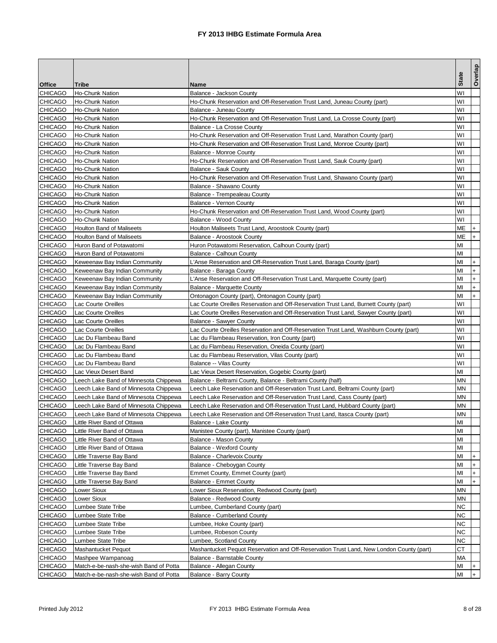|                |                                        |                                                                                          | <b>State</b>   | Overlap   |
|----------------|----------------------------------------|------------------------------------------------------------------------------------------|----------------|-----------|
| <b>Office</b>  | Tribe                                  | Name                                                                                     |                |           |
| <b>CHICAGO</b> | Ho-Chunk Nation                        | Balance - Jackson County                                                                 | W١             |           |
| <b>CHICAGO</b> | Ho-Chunk Nation                        | Ho-Chunk Reservation and Off-Reservation Trust Land, Juneau County (part)                | W١             |           |
| <b>CHICAGO</b> | Ho-Chunk Nation                        | Balance - Juneau County                                                                  | W١             |           |
| <b>CHICAGO</b> | <b>Ho-Chunk Nation</b>                 | Ho-Chunk Reservation and Off-Reservation Trust Land, La Crosse County (part)             | W١             |           |
| <b>CHICAGO</b> | Ho-Chunk Nation                        | Balance - La Crosse County                                                               | W١             |           |
| <b>CHICAGO</b> | Ho-Chunk Nation                        | Ho-Chunk Reservation and Off-Reservation Trust Land, Marathon County (part)              | W١             |           |
| <b>CHICAGO</b> | Ho-Chunk Nation                        | Ho-Chunk Reservation and Off-Reservation Trust Land, Monroe County (part)                | W١             |           |
| <b>CHICAGO</b> | Ho-Chunk Nation                        | Balance - Monroe County                                                                  | W١             |           |
| <b>CHICAGO</b> | Ho-Chunk Nation                        | Ho-Chunk Reservation and Off-Reservation Trust Land, Sauk County (part)                  | W١             |           |
| <b>CHICAGO</b> | Ho-Chunk Nation                        | <b>Balance - Sauk County</b>                                                             | W١             |           |
| <b>CHICAGO</b> | Ho-Chunk Nation                        | Ho-Chunk Reservation and Off-Reservation Trust Land, Shawano County (part)               | W١             |           |
| <b>CHICAGO</b> | Ho-Chunk Nation                        | Balance - Shawano County                                                                 | W١             |           |
| <b>CHICAGO</b> | Ho-Chunk Nation                        | Balance - Trempealeau County                                                             | W١             |           |
| <b>CHICAGO</b> | Ho-Chunk Nation                        | Balance - Vernon County                                                                  | W١             |           |
| <b>CHICAGO</b> | Ho-Chunk Nation                        | Ho-Chunk Reservation and Off-Reservation Trust Land, Wood County (part)                  | W١             |           |
| <b>CHICAGO</b> | Ho-Chunk Nation                        | Balance - Wood County                                                                    | W١             |           |
| <b>CHICAGO</b> | <b>Houlton Band of Maliseets</b>       | Houlton Maliseets Trust Land, Aroostook County (part)                                    | MЕ             |           |
| <b>CHICAGO</b> | <b>Houlton Band of Maliseets</b>       | Balance - Aroostook County                                                               | MЕ             | $+$       |
| <b>CHICAGO</b> | Huron Band of Potawatomi               | Huron Potawatomi Reservation, Calhoun County (part)                                      | MI             |           |
| <b>CHICAGO</b> | Huron Band of Potawatomi               | Balance - Calhoun County                                                                 | MI             |           |
| <b>CHICAGO</b> | Keweenaw Bay Indian Community          | L'Anse Reservation and Off-Reservation Trust Land, Baraga County (part)                  | MI             | $\ddot{}$ |
| <b>CHICAGO</b> | Keweenaw Bay Indian Community          | Balance - Baraga County                                                                  | MI             | $\ddot{}$ |
| <b>CHICAGO</b> | Keweenaw Bay Indian Community          | L'Anse Reservation and Off-Reservation Trust Land, Marquette County (part)               | MI             | $\ddot{}$ |
| <b>CHICAGO</b> | Keweenaw Bay Indian Community          | Balance - Marquette County                                                               | MI             | $+$       |
| <b>CHICAGO</b> | Keweenaw Bay Indian Community          | Ontonagon County (part), Ontonagon County (part)                                         | MI             | $+$       |
| <b>CHICAGO</b> | Lac Courte Oreilles                    | Lac Courte Oreilles Reservation and Off-Reservation Trust Land, Burnett County (part)    | W١             |           |
| <b>CHICAGO</b> | Lac Courte Oreilles                    | Lac Courte Oreilles Reservation and Off-Reservation Trust Land, Sawyer County (part)     | W١             |           |
| <b>CHICAGO</b> | Lac Courte Oreilles                    | Balance - Sawyer County                                                                  | W١             |           |
| <b>CHICAGO</b> | Lac Courte Oreilles                    | Lac Courte Oreilles Reservation and Off-Reservation Trust Land, Washburn County (part)   | W١             |           |
| <b>CHICAGO</b> | Lac Du Flambeau Band                   | Lac du Flambeau Reservation, Iron County (part)                                          | W١             |           |
| <b>CHICAGO</b> | Lac Du Flambeau Band                   | Lac du Flambeau Reservation, Oneida County (part)                                        | W١             |           |
| <b>CHICAGO</b> | Lac Du Flambeau Band                   | Lac du Flambeau Reservation, Vilas County (part)                                         | W١             |           |
| <b>CHICAGO</b> | Lac Du Flambeau Band                   | Balance -- Vilas County                                                                  | W١             |           |
| <b>CHICAGO</b> | Lac Vieux Desert Band                  | Lac Vieux Desert Reservation, Gogebic County (part)                                      | MI             |           |
| <b>CHICAGO</b> | Leech Lake Band of Minnesota Chippewa  | Balance - Beltrami County, Balance - Beltrami County (half)                              | MΝ             |           |
| <b>CHICAGO</b> | Leech Lake Band of Minnesota Chippewa  | Leech Lake Reservation and Off-Reservation Trust Land, Beltrami County (part)            | MΝ             |           |
| <b>CHICAGO</b> | Leech Lake Band of Minnesota Chippewa  | Leech Lake Reservation and Off-Reservation Trust Land, Cass County (part)                | MΝ             |           |
| <b>CHICAGO</b> | Leech Lake Band of Minnesota Chippewa  | Leech Lake Reservation and Off-Reservation Trust Land, Hubbard County (part)             | ΜN             |           |
| <b>CHICAGO</b> | Leech Lake Band of Minnesota Chippewa  | Leech Lake Reservation and Off-Reservation Trust Land, Itasca County (part)              | MΝ             |           |
| <b>CHICAGO</b> | Little River Band of Ottawa            | Balance - Lake County                                                                    | M <sub>l</sub> |           |
| <b>CHICAGO</b> | Little River Band of Ottawa            | Manistee County (part), Manistee County (part)                                           | MI             |           |
| <b>CHICAGO</b> | Little River Band of Ottawa            | Balance - Mason County                                                                   | ΜI             |           |
| <b>CHICAGO</b> | Little River Band of Ottawa            | Balance - Wexford County                                                                 | MI             |           |
| <b>CHICAGO</b> | Little Traverse Bay Band               | Balance - Charlevoix County                                                              | MI             |           |
| <b>CHICAGO</b> | Little Traverse Bay Band               | Balance - Cheboygan County                                                               | MI             | $\ddot{}$ |
| CHICAGO        | Little Traverse Bay Band               | Emmet County, Emmet County (part)                                                        | ΜI             | $\ddot{}$ |
| <b>CHICAGO</b> | Little Traverse Bay Band               | <b>Balance - Emmet County</b>                                                            | МI             |           |
| <b>CHICAGO</b> | Lower Sioux                            | Lower Sioux Reservation, Redwood County (part)                                           | MΝ             |           |
| <b>CHICAGO</b> | _ower Sioux                            | Balance - Redwood County                                                                 | ΜN             |           |
| <b>CHICAGO</b> | Lumbee State Tribe                     | Lumbee, Cumberland County (part)                                                         | ΝC             |           |
| <b>CHICAGO</b> | Lumbee State Tribe                     | <b>Balance - Cumberland County</b>                                                       | ΝC             |           |
| <b>CHICAGO</b> | Lumbee State Tribe                     | Lumbee, Hoke County (part)                                                               | ΝC             |           |
| <b>CHICAGO</b> | Lumbee State Tribe                     | Lumbee, Robeson County                                                                   | ΝC             |           |
| <b>CHICAGO</b> | Lumbee State Tribe                     | Lumbee, Scotland County                                                                  | ΝC             |           |
| <b>CHICAGO</b> | Mashantucket Pequot                    | Mashantucket Pequot Reservation and Off-Reservation Trust Land, New London County (part) | CТ             |           |
| <b>CHICAGO</b> | Mashpee Wampanoag                      | Balance - Barnstable County                                                              | МA             |           |
| <b>CHICAGO</b> | Match-e-be-nash-she-wish Band of Potta | Balance - Allegan County                                                                 | МI             |           |
| <b>CHICAGO</b> | Match-e-be-nash-she-wish Band of Potta | Balance - Barry County                                                                   | MI             |           |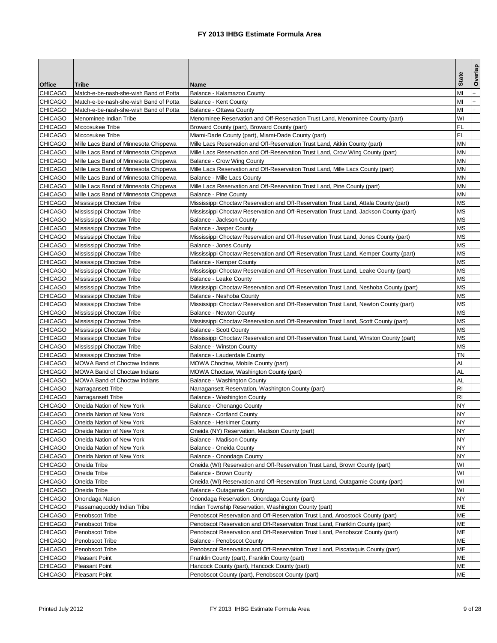|                           |                                               |                                                                                                             |              | Overlap   |
|---------------------------|-----------------------------------------------|-------------------------------------------------------------------------------------------------------------|--------------|-----------|
| <b>Office</b>             | Tribe                                         | Name                                                                                                        | <b>State</b> |           |
| <b>CHICAGO</b>            | Match-e-be-nash-she-wish Band of Potta        | Balance - Kalamazoo County                                                                                  | MI           | $+$       |
| <b>CHICAGO</b>            | Match-e-be-nash-she-wish Band of Potta        | Balance - Kent County                                                                                       | MI           | $\ddot{}$ |
| <b>CHICAGO</b>            | Match-e-be-nash-she-wish Band of Potta        | Balance - Ottawa County                                                                                     | MI           | $+$       |
| <b>CHICAGO</b>            | Menominee Indian Tribe                        | Menominee Reservation and Off-Reservation Trust Land, Menominee County (part)                               | W١           |           |
| <b>CHICAGO</b>            | Miccosukee Tribe                              | Broward County (part), Broward County (part)                                                                | FL           |           |
| <b>CHICAGO</b>            | Miccosukee Tribe                              | Miami-Dade County (part), Miami-Dade County (part)                                                          | FL           |           |
| <b>CHICAGO</b>            | Mille Lacs Band of Minnesota Chippewa         | Mille Lacs Reservation and Off-Reservation Trust Land, Aitkin County (part)                                 | <b>MN</b>    |           |
| <b>CHICAGO</b>            | Mille Lacs Band of Minnesota Chippewa         | Mille Lacs Reservation and Off-Reservation Trust Land, Crow Wing County (part)                              | MΝ           |           |
| <b>CHICAGO</b>            | Mille Lacs Band of Minnesota Chippewa         | Balance - Crow Wing County                                                                                  | MΝ           |           |
| <b>CHICAGO</b>            | Mille Lacs Band of Minnesota Chippewa         | Mille Lacs Reservation and Off-Reservation Trust Land, Mille Lacs County (part)                             | MN           |           |
| <b>CHICAGO</b>            | Mille Lacs Band of Minnesota Chippewa         | Balance - Mille Lacs County                                                                                 | MΝ           |           |
| <b>CHICAGO</b>            | Mille Lacs Band of Minnesota Chippewa         | Mille Lacs Reservation and Off-Reservation Trust Land, Pine County (part)                                   | MΝ           |           |
| <b>CHICAGO</b>            | Mille Lacs Band of Minnesota Chippewa         | Balance - Pine County                                                                                       | MΝ           |           |
| <b>CHICAGO</b>            | Mississippi Choctaw Tribe                     | Mississippi Choctaw Reservation and Off-Reservation Trust Land, Attala County (part)                        | ΜS           |           |
| <b>CHICAGO</b>            | Mississippi Choctaw Tribe                     | Mississippi Choctaw Reservation and Off-Reservation Trust Land, Jackson County (part)                       | МS           |           |
| <b>CHICAGO</b>            | Mississippi Choctaw Tribe                     | Balance - Jackson County                                                                                    | ΜS           |           |
| <b>CHICAGO</b>            | Mississippi Choctaw Tribe                     | Balance - Jasper County                                                                                     | ΜS           |           |
| <b>CHICAGO</b>            | Mississippi Choctaw Tribe                     | Mississippi Choctaw Reservation and Off-Reservation Trust Land, Jones County (part)                         | ΜS           |           |
| <b>CHICAGO</b>            | Mississippi Choctaw Tribe                     | Balance - Jones County                                                                                      | ΜS           |           |
| <b>CHICAGO</b>            | Mississippi Choctaw Tribe                     | Mississippi Choctaw Reservation and Off-Reservation Trust Land, Kemper County (part)                        | ΜS           |           |
| <b>CHICAGO</b>            | Mississippi Choctaw Tribe                     | Balance - Kemper County                                                                                     | ΜS           |           |
| <b>CHICAGO</b>            | Mississippi Choctaw Tribe                     | Mississippi Choctaw Reservation and Off-Reservation Trust Land, Leake County (part)                         | ΜS           |           |
| CHICAGO                   | Mississippi Choctaw Tribe                     | Balance - Leake County                                                                                      | МS           |           |
| <b>CHICAGO</b>            | Mississippi Choctaw Tribe                     | Mississippi Choctaw Reservation and Off-Reservation Trust Land, Neshoba County (part)                       | МS           |           |
| <b>CHICAGO</b>            | Mississippi Choctaw Tribe                     | Balance - Neshoba County                                                                                    | MS           |           |
| <b>CHICAGO</b>            | Mississippi Choctaw Tribe                     | Mississippi Choctaw Reservation and Off-Reservation Trust Land, Newton County (part)                        | МS           |           |
| <b>CHICAGO</b>            | Mississippi Choctaw Tribe                     | Balance - Newton County                                                                                     | ΜS           |           |
| <b>CHICAGO</b>            | Mississippi Choctaw Tribe                     | Mississippi Choctaw Reservation and Off-Reservation Trust Land, Scott County (part)                         | ΜS           |           |
| <b>CHICAGO</b>            | Mississippi Choctaw Tribe                     | <b>Balance - Scott County</b>                                                                               | MS           |           |
| <b>CHICAGO</b>            | Mississippi Choctaw Tribe                     | Mississippi Choctaw Reservation and Off-Reservation Trust Land, Winston County (part)                       | МS           |           |
| <b>CHICAGO</b>            | Mississippi Choctaw Tribe                     | <b>Balance - Winston County</b>                                                                             | ΜS           |           |
| <b>CHICAGO</b>            | Mississippi Choctaw Tribe                     | Balance - Lauderdale County                                                                                 | TΝ           |           |
| <b>CHICAGO</b>            | <b>MOWA Band of Choctaw Indians</b>           | MOWA Choctaw, Mobile County (part)                                                                          | AL           |           |
| <b>CHICAGO</b>            | <b>MOWA Band of Choctaw Indians</b>           | MOWA Choctaw, Washington County (part)                                                                      | AL           |           |
| <b>CHICAGO</b>            | <b>MOWA Band of Choctaw Indians</b>           | Balance - Washington County                                                                                 | AL           |           |
| <b>CHICAGO</b>            | Narragansett Tribe                            | Narragansett Reservation, Washington County (part)                                                          | RI           |           |
| <b>CHICAGO</b>            | Narragansett Tribe                            | Balance - Washington County                                                                                 | RI           |           |
| <b>CHICAGO</b>            | Oneida Nation of New York                     | Balance - Chenango County                                                                                   | NY           |           |
| <b>CHICAGO</b>            | Oneida Nation of New York                     | <b>Balance - Cortland County</b>                                                                            | NY           |           |
| <b>CHICAGO</b>            | Oneida Nation of New York                     | Balance - Herkimer County                                                                                   | <b>NY</b>    |           |
| <b>CHICAGO</b>            | Oneida Nation of New York                     | Oneida (NY) Reservation, Madison County (part)                                                              | ΝY           |           |
| <b>CHICAGO</b>            | Oneida Nation of New York                     | Balance - Madison County                                                                                    | NY           |           |
| <b>CHICAGO</b>            | Oneida Nation of New York                     | Balance - Oneida County                                                                                     | ΝY           |           |
| <b>CHICAGO</b>            | Oneida Nation of New York                     | Balance - Onondaga County                                                                                   | NΥ           |           |
| <b>CHICAGO</b><br>CHICAGO | Oneida Tribe                                  | Oneida (WI) Reservation and Off-Reservation Trust Land, Brown County (part)                                 | WI<br>W١     |           |
| <b>CHICAGO</b>            | Oneida Tribe                                  | Balance - Brown County                                                                                      | W١           |           |
| CHICAGO                   | Oneida Tribe                                  | Oneida (WI) Reservation and Off-Reservation Trust Land, Outagamie County (part)                             | W١           |           |
|                           | Oneida Tribe                                  | Balance - Outagamie County                                                                                  |              |           |
| CHICAGO<br>CHICAGO        | Onondaga Nation<br>Passamaquoddy Indian Tribe | Onondaga Reservation, Onondaga County (part)<br>Indian Township Reservation, Washington County (part)       | NΥ<br>МЕ     |           |
| <b>CHICAGO</b>            | Penobscot Tribe                               | Penobscot Reservation and Off-Reservation Trust Land, Aroostook County (part)                               | МE           |           |
| <b>CHICAGO</b>            |                                               |                                                                                                             | ΜЕ           |           |
| CHICAGO                   | Penobscot Tribe                               | Penobscot Reservation and Off-Reservation Trust Land, Franklin County (part)                                | ΜЕ           |           |
| <b>CHICAGO</b>            | Penobscot Tribe<br>Penobscot Tribe            | Penobscot Reservation and Off-Reservation Trust Land, Penobscot County (part)<br>Balance - Penobscot County | МЕ           |           |
| <b>CHICAGO</b>            | Penobscot Tribe                               | Penobscot Reservation and Off-Reservation Trust Land, Piscataquis County (part)                             | ΜЕ           |           |
| CHICAGO                   | <b>Pleasant Point</b>                         | Franklin County (part), Franklin County (part)                                                              | ΜЕ           |           |
| <b>CHICAGO</b>            | <b>Pleasant Point</b>                         | Hancock County (part), Hancock County (part)                                                                | ΜЕ           |           |
| <b>CHICAGO</b>            | <b>Pleasant Point</b>                         | Penobscot County (part), Penobscot County (part)                                                            | МE           |           |
|                           |                                               |                                                                                                             |              |           |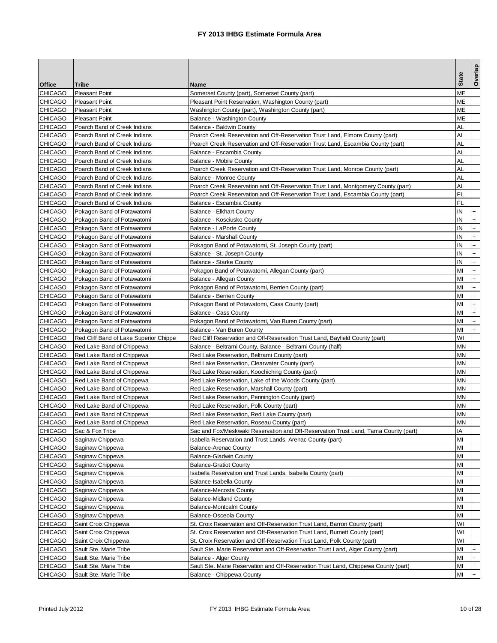|                                  |                                                        |                                                                                          |           | Overlap   |
|----------------------------------|--------------------------------------------------------|------------------------------------------------------------------------------------------|-----------|-----------|
| <b>Office</b>                    | Tribe                                                  | Name                                                                                     | Stat      |           |
| <b>CHICAGO</b>                   | <b>Pleasant Point</b>                                  | Somerset County (part), Somerset County (part)                                           | ΜЕ        |           |
| <b>CHICAGO</b>                   | <b>Pleasant Point</b>                                  | Pleasant Point Reservation, Washington County (part)                                     | МЕ        |           |
| <b>CHICAGO</b>                   | <b>Pleasant Point</b>                                  | Washington County (part), Washington County (part)                                       | MЕ        |           |
| <b>CHICAGO</b>                   | <b>Pleasant Point</b>                                  | Balance - Washington County                                                              | ΜЕ        |           |
| <b>CHICAGO</b>                   | Poarch Band of Creek Indians                           | Balance - Baldwin County                                                                 | AL        |           |
| <b>CHICAGO</b>                   | Poarch Band of Creek Indians                           | Poarch Creek Reservation and Off-Reservation Trust Land, Elmore County (part)            | AL        |           |
| <b>CHICAGO</b>                   | Poarch Band of Creek Indians                           | Poarch Creek Reservation and Off-Reservation Trust Land, Escambia County (part)          | AL        |           |
| <b>CHICAGO</b>                   | Poarch Band of Creek Indians                           | Balance - Escambia County                                                                | AL        |           |
| <b>CHICAGO</b>                   | Poarch Band of Creek Indians                           | Balance - Mobile County                                                                  | AL        |           |
| <b>CHICAGO</b>                   | Poarch Band of Creek Indians                           | Poarch Creek Reservation and Off-Reservation Trust Land, Monroe County (part)            | AL        |           |
| <b>CHICAGO</b>                   | Poarch Band of Creek Indians                           | Balance - Monroe County                                                                  | AL        |           |
| <b>CHICAGO</b>                   | Poarch Band of Creek Indians                           | Poarch Creek Reservation and Off-Reservation Trust Land, Montgomery County (part)        | AL        |           |
| <b>CHICAGO</b>                   | Poarch Band of Creek Indians                           | Poarch Creek Reservation and Off-Reservation Trust Land, Escambia County (part)          | FL        |           |
| <b>CHICAGO</b>                   | Poarch Band of Creek Indians                           | Balance - Escambia County                                                                | FL        |           |
| <b>CHICAGO</b>                   | Pokagon Band of Potawatomi                             | <b>Balance - Elkhart County</b>                                                          | ΙN        | $+$       |
| <b>CHICAGO</b>                   | Pokagon Band of Potawatomi                             | Balance - Kosciusko County                                                               | ΙN        | $\ddot{}$ |
| <b>CHICAGO</b>                   | Pokagon Band of Potawatomi                             | Balance - LaPorte County                                                                 | ΙN        | $+$       |
| <b>CHICAGO</b>                   | Pokagon Band of Potawatomi                             | <b>Balance - Marshall County</b>                                                         | ΙN        | $\ddot{}$ |
| <b>CHICAGO</b>                   | Pokagon Band of Potawatomi                             | Pokagon Band of Potawatomi, St. Joseph County (part)                                     | IN        | $+$       |
| <b>CHICAGO</b>                   | Pokagon Band of Potawatomi                             | Balance - St. Joseph County                                                              | ΙN        | $+$       |
| <b>CHICAGO</b>                   | Pokagon Band of Potawatomi                             | Balance - Starke County                                                                  | ΙN        | $+$       |
| <b>CHICAGO</b>                   | Pokagon Band of Potawatomi                             | Pokagon Band of Potawatomi, Allegan County (part)                                        | MI        | $+$       |
| <b>CHICAGO</b>                   | Pokagon Band of Potawatomi                             | Balance - Allegan County                                                                 | MI        | $\ddot{}$ |
| <b>CHICAGO</b>                   | Pokagon Band of Potawatomi                             | Pokagon Band of Potawatomi, Berrien County (part)                                        | MI        | $+$       |
| <b>CHICAGO</b>                   | Pokagon Band of Potawatomi                             | Balance - Berrien County                                                                 | MI        | $\ddot{}$ |
| <b>CHICAGO</b>                   | Pokagon Band of Potawatomi                             | Pokagon Band of Potawatomi, Cass County (part)                                           | MI        | $+$       |
| <b>CHICAGO</b>                   | Pokagon Band of Potawatomi                             | Balance - Cass County                                                                    | ΜI        | $+$       |
| <b>CHICAGO</b>                   | Pokagon Band of Potawatomi                             | Pokagon Band of Potawatomi, Van Buren County (part)                                      | MI        | $+$       |
| <b>CHICAGO</b>                   | Pokagon Band of Potawatomi                             | Balance - Van Buren County                                                               | MI        | $+$       |
| <b>CHICAGO</b>                   | Red Cliff Band of Lake Superior Chippe                 | Red Cliff Reservation and Off-Reservation Trust Land, Bayfield County (part)             | W١        |           |
| <b>CHICAGO</b>                   | Red Lake Band of Chippewa                              | Balance - Beltrami County, Balance - Beltrami County (half)                              | MΝ        |           |
| <b>CHICAGO</b>                   | Red Lake Band of Chippewa                              | Red Lake Reservation, Beltrami County (part)                                             | MΝ        |           |
| <b>CHICAGO</b>                   | Red Lake Band of Chippewa                              | Red Lake Reservation, Clearwater County (part)                                           | MΝ        |           |
| <b>CHICAGO</b>                   | Red Lake Band of Chippewa                              | Red Lake Reservation, Koochiching County (part)                                          | MΝ<br>MΝ  |           |
| <b>CHICAGO</b>                   | Red Lake Band of Chippewa                              | Red Lake Reservation, Lake of the Woods County (part)                                    | MΝ        |           |
| <b>CHICAGO</b><br><b>CHICAGO</b> | Red Lake Band of Chippewa                              | Red Lake Reservation, Marshall County (part)                                             | MΝ        |           |
|                                  | Red Lake Band of Chippewa<br>Red Lake Band of Chippewa | Red Lake Reservation, Pennington County (part)                                           | МN        |           |
| <b>CHICAGO</b><br><b>CHICAGO</b> | Red Lake Band of Chippewa                              | Red Lake Reservation, Polk County (part)<br>Red Lake Reservation, Red Lake County (part) | MΝ        |           |
| <b>CHICAGO</b>                   | Red Lake Band of Chippewa                              | Red Lake Reservation, Roseau County (part)                                               | <b>MN</b> |           |
| <b>CHICAGO</b>                   | Sac & Fox Tribe                                        | Sac and Fox/Meskwaki Reservation and Off-Reservation Trust Land, Tama County (part)      | IA        |           |
| <b>CHICAGO</b>                   | Saginaw Chippewa                                       | Isabella Reservation and Trust Lands, Arenac County (part)                               | МI        |           |
| <b>CHICAGO</b>                   | Saginaw Chippewa                                       | <b>Balance-Arenac County</b>                                                             | MI        |           |
| <b>CHICAGO</b>                   | Saginaw Chippewa                                       | <b>Balance-Gladwin County</b>                                                            | MI        |           |
| <b>CHICAGO</b>                   | Saginaw Chippewa                                       | <b>Balance-Gratiot County</b>                                                            | MI        |           |
| <b>CHICAGO</b>                   | Saginaw Chippewa                                       | Isabella Reservation and Trust Lands, Isabella County (part)                             | ΜI        |           |
| <b>CHICAGO</b>                   | Saginaw Chippewa                                       | Balance-Isabella County                                                                  | MI        |           |
| <b>CHICAGO</b>                   | Saginaw Chippewa                                       | <b>Balance-Mecosta County</b>                                                            | MI        |           |
| <b>CHICAGO</b>                   | Saginaw Chippewa                                       | <b>Balance-Midland County</b>                                                            | MI        |           |
| <b>CHICAGO</b>                   | Saginaw Chippewa                                       | Balance-Montcalm County                                                                  | MI        |           |
| <b>CHICAGO</b>                   | Saginaw Chippewa                                       | Balance-Osceola County                                                                   | MI        |           |
| <b>CHICAGO</b>                   | Saint Croix Chippewa                                   | St. Croix Reservation and Off-Reservation Trust Land, Barron County (part)               | W١        |           |
| <b>CHICAGO</b>                   | Saint Croix Chippewa                                   | St. Croix Reservation and Off-Reservation Trust Land, Burnett County (part)              | W١        |           |
| <b>CHICAGO</b>                   | Saint Croix Chippewa                                   | St. Croix Reservation and Off-Reservation Trust Land, Polk County (part)                 | WI        |           |
| <b>CHICAGO</b>                   | Sault Ste. Marie Tribe                                 | Sault Ste. Marie Reservation and Off-Reservation Trust Land, Alger County (part)         | ΜI        |           |
| <b>CHICAGO</b>                   | Sault Ste. Marie Tribe                                 | Balance - Alger County                                                                   | MI        | $+$       |
| <b>CHICAGO</b>                   | Sault Ste. Marie Tribe                                 | Sault Ste. Marie Reservation and Off-Reservation Trust Land, Chippewa County (part)      | ΜI        | $+$       |
| <b>CHICAGO</b>                   | Sault Ste. Marie Tribe                                 | Balance - Chippewa County                                                                | MI        | $+$       |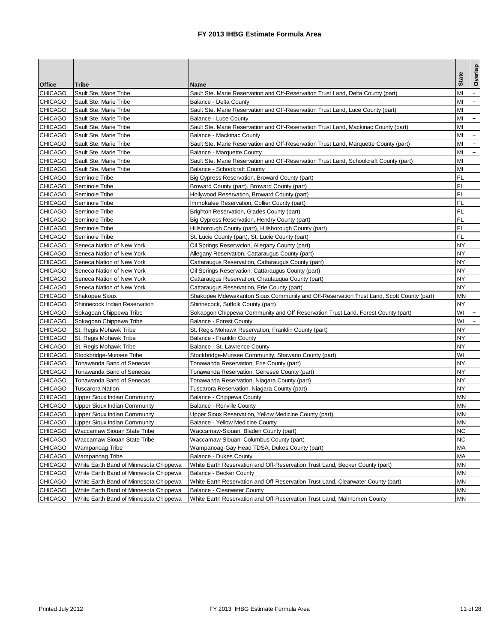|                |                                        |                                                                                          |              | Overlap        |
|----------------|----------------------------------------|------------------------------------------------------------------------------------------|--------------|----------------|
| <b>Office</b>  | Tribe                                  | Name                                                                                     | <b>State</b> |                |
| <b>CHICAGO</b> | Sault Ste. Marie Tribe                 | Sault Ste. Marie Reservation and Off-Reservation Trust Land, Delta County (part)         | MI           | $\ddot{}$      |
| <b>CHICAGO</b> | Sault Ste. Marie Tribe                 | Balance - Delta County                                                                   | MI           | $\overline{+}$ |
| <b>CHICAGO</b> | Sault Ste. Marie Tribe                 | Sault Ste. Marie Reservation and Off-Reservation Trust Land, Luce County (part)          | MI           | $\overline{+}$ |
| <b>CHICAGO</b> | Sault Ste. Marie Tribe                 | Balance - Luce County                                                                    | MI           | $\ddot{}$      |
| <b>CHICAGO</b> | Sault Ste. Marie Tribe                 | Sault Ste. Marie Reservation and Off-Reservation Trust Land, Mackinac County (part)      | MI           | $+$            |
| <b>CHICAGO</b> | Sault Ste. Marie Tribe                 | Balance - Mackinac County                                                                | MI           | $+$            |
| <b>CHICAGO</b> | Sault Ste. Marie Tribe                 | Sault Ste. Marie Reservation and Off-Reservation Trust Land, Marquette County (part)     | MI           | $\ddot{}$      |
| <b>CHICAGO</b> | Sault Ste. Marie Tribe                 | <b>Balance - Marquette County</b>                                                        | МI           | $+$            |
| <b>CHICAGO</b> | Sault Ste. Marie Tribe                 | Sault Ste. Marie Reservation and Off-Reservation Trust Land, Schoolcraft County (part)   | MI           | $+$            |
| <b>CHICAGO</b> | Sault Ste. Marie Tribe                 | <b>Balance - Schoolcraft County</b>                                                      | MI           | $+$            |
| <b>CHICAGO</b> | Seminole Tribe                         | Big Cypress Reservation, Broward County (part)                                           | FL           |                |
| <b>CHICAGO</b> | Seminole Tribe                         | Broward County (part), Broward County (part)                                             | FL           |                |
| <b>CHICAGO</b> | Seminole Tribe                         | Hollywood Reservation, Broward County (part)                                             | FL           |                |
| <b>CHICAGO</b> | Seminole Tribe                         | Immokalee Reservation, Collier County (part)                                             | FL           |                |
| <b>CHICAGO</b> | Seminole Tribe                         | Brighton Reservation, Glades County (part)                                               | FL           |                |
| <b>CHICAGO</b> | Seminole Tribe                         | Big Cypress Reservation, Hendry County (part)                                            | FL           |                |
| <b>CHICAGO</b> | Seminole Tribe                         | Hillsborough County (part), Hillsborough County (part)                                   | FL           |                |
| <b>CHICAGO</b> | Seminole Tribe                         | St. Lucie County (part), St. Lucie County (part)                                         | FL           |                |
| <b>CHICAGO</b> | Seneca Nation of New York              | Oil Springs Reservation, Allegany County (part)                                          | NY           |                |
| <b>CHICAGO</b> | Seneca Nation of New York              | Allegany Reservation, Cattaraugus County (part)                                          | NY           |                |
| <b>CHICAGO</b> | Seneca Nation of New York              | Cattaraugus Reservation, Cattaraugus County (part)                                       | NΥ           |                |
| <b>CHICAGO</b> | Seneca Nation of New York              | Oil Springs Reservation, Cattaraugus County (part)                                       | NY           |                |
| <b>CHICAGO</b> | Seneca Nation of New York              | Cattaraugus Reservation, Chautauqua County (part)                                        | NΥ           |                |
| <b>CHICAGO</b> | Seneca Nation of New York              | Cattaraugus Reservation, Erie County (part)                                              | NY           |                |
| <b>CHICAGO</b> | Shakopee Sioux                         | Shakopee Mdewakanton Sioux Community and Off-Reservation Trust Land, Scott County (part) | MΝ           |                |
| <b>CHICAGO</b> | Shinnecock Indian Reservation          | Shinnecock, Suffolk County (part)                                                        | NΥ           |                |
| <b>CHICAGO</b> | Sokagoan Chippewa Tribe                | Sokaogon Chippewa Community and Off-Reservation Trust Land, Forest County (part)         | W١           | $+$            |
| <b>CHICAGO</b> | Sokagoan Chippewa Tribe                | <b>Balance - Forest County</b>                                                           | W١           | $+$            |
| <b>CHICAGO</b> | St. Regis Mohawk Tribe                 | St. Regis Mohawk Reservation, Franklin County (part)                                     | NY           |                |
| <b>CHICAGO</b> | St. Regis Mohawk Tribe                 | Balance - Franklin County                                                                | NΥ           |                |
| <b>CHICAGO</b> | St. Regis Mohawk Tribe                 | Balance - St. Lawrence County                                                            | NΥ           |                |
| <b>CHICAGO</b> | Stockbridge-Munsee Tribe               | Stockbridge-Munsee Community, Shawano County (part)                                      | W١           |                |
| <b>CHICAGO</b> | Tonawanda Band of Senecas              | Tonawanda Reservation, Erie County (part)                                                | NΥ           |                |
| <b>CHICAGO</b> | Tonawanda Band of Senecas              | Tonawanda Reservation, Genesee County (part)                                             | NΥ           |                |
| <b>CHICAGO</b> | Tonawanda Band of Senecas              | Tonawanda Reservation, Niagara County (part)                                             | NY           |                |
| <b>CHICAGO</b> | <b>Tuscarora Nation</b>                | Tuscarora Reservation, Niagara County (part)                                             | NY           |                |
| <b>CHICAGO</b> | <b>Upper Sioux Indian Community</b>    | Balance - Chippewa County                                                                | MΝ           |                |
| <b>CHICAGO</b> | <b>Upper Sioux Indian Community</b>    | <b>Balance - Renville County</b>                                                         | MΝ           |                |
| <b>CHICAGO</b> | <b>Upper Sioux Indian Community</b>    | Upper Sioux Reservation, Yellow Medicine County (part)                                   | MΝ           |                |
| CHICAGO        | <b>Upper Sioux Indian Community</b>    | Balance - Yellow Medicine County                                                         | <b>MN</b>    |                |
| <b>CHICAGO</b> | Waccamaw Siouan State Tribe            | Waccamaw-Siouan, Bladen County (part)                                                    | ΝC           |                |
| <b>CHICAGO</b> | Waccamaw Siouan State Tribe            | Waccamaw-Siouan, Columbus County (part)                                                  | ΝC           |                |
| <b>CHICAGO</b> | Wampanoag Tribe                        | Wampanoag-Gay Head TDSA, Dukes County (part)                                             | MA           |                |
| <b>CHICAGO</b> | Wampanoag Tribe                        | <b>Balance - Dukes County</b>                                                            | MA           |                |
| <b>CHICAGO</b> | White Earth Band of Minnesota Chippewa | White Earth Reservation and Off-Reservation Trust Land, Becker County (part)             | ΜN           |                |
| <b>CHICAGO</b> | White Earth Band of Minnesota Chippewa | Balance - Becker County                                                                  | MΝ           |                |
| <b>CHICAGO</b> | White Earth Band of Minnesota Chippewa | White Earth Reservation and Off-Reservation Trust Land, Clearwater County (part)         | МN           |                |
| <b>CHICAGO</b> | White Earth Band of Minnesota Chippewa | <b>Balance - Clearwater County</b>                                                       | МN           |                |
| <b>CHICAGO</b> | White Earth Band of Minnesota Chippewa | White Earth Reservation and Off-Reservation Trust Land, Mahnomen County                  | МN           |                |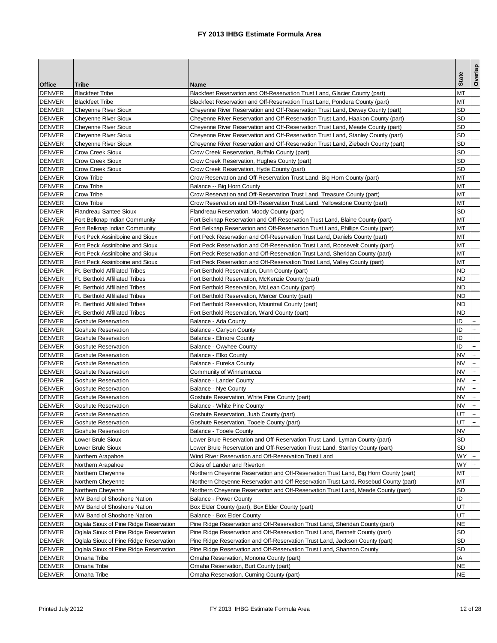| Tribe<br>Name<br><b>Blackfeet Tribe</b><br><b>DENVER</b><br>Blackfeet Reservation and Off-Reservation Trust Land, Glacier County (part)<br>мт<br>МТ<br><b>Blackfeet Tribe</b><br>Blackfeet Reservation and Off-Reservation Trust Land, Pondera County (part)<br>SD<br><b>Cheyenne River Sioux</b><br>Cheyenne River Reservation and Off-Reservation Trust Land, Dewey County (part)<br>SD<br><b>DENVER</b><br><b>Cheyenne River Sioux</b><br>Cheyenne River Reservation and Off-Reservation Trust Land, Haakon County (part)<br><b>DENVER</b><br><b>Cheyenne River Sioux</b><br>Cheyenne River Reservation and Off-Reservation Trust Land, Meade County (part)<br>SD<br>SD<br><b>Cheyenne River Sioux</b><br>Cheyenne River Reservation and Off-Reservation Trust Land, Stanley County (part)<br><b>DENVER</b><br>Cheyenne River Sioux<br>SD<br>Cheyenne River Reservation and Off-Reservation Trust Land, Ziebach County (part)<br>SD<br><b>DENVER</b><br>Crow Creek Sioux<br>Crow Creek Reservation, Buffalo County (part)<br>SD<br><b>DENVER</b><br>Crow Creek Sioux<br>Crow Creek Reservation, Hughes County (part)<br>SD<br><b>DENVER</b><br><b>Crow Creek Sioux</b><br>Crow Creek Reservation, Hyde County (part)<br><b>DENVER</b><br>МΤ<br>Crow Tribe<br>Crow Reservation and Off-Reservation Trust Land, Big Horn County (part)<br>Crow Tribe<br>ΜТ<br>DENVER<br>Balance -- Big Horn County<br><b>DENVER</b><br>Crow Tribe<br>Crow Reservation and Off-Reservation Trust Land, Treasure County (part)<br>мт<br><b>DENVER</b><br>МΤ<br>Crow Tribe<br>Crow Reservation and Off-Reservation Trust Land, Yellowstone County (part)<br><b>DENVER</b><br>SD<br>Flandreau Santee Sioux<br>Flandreau Reservation, Moody County (part)<br>МТ<br>DENVER<br>Fort Belknap Indian Community<br>Fort Belknap Reservation and Off-Reservation Trust Land, Blaine County (part)<br>Fort Belknap Indian Community<br>Fort Belknap Reservation and Off-Reservation Trust Land, Phillips County (part)<br>МТ<br>Fort Peck Assiniboine and Sioux<br>Fort Peck Reservation and Off-Reservation Trust Land, Daniels County (part)<br>МТ<br><b>DENVER</b><br>мт<br>Fort Peck Assiniboine and Sioux<br>Fort Peck Reservation and Off-Reservation Trust Land, Roosevelt County (part)<br><b>DENVER</b><br>Fort Peck Assiniboine and Sioux<br>Fort Peck Reservation and Off-Reservation Trust Land, Sheridan County (part)<br>мт<br><b>DENVER</b><br>мт<br>Fort Peck Assiniboine and Sioux<br>Fort Peck Reservation and Off-Reservation Trust Land, Valley County (part)<br><b>DENVER</b><br><b>Ft. Berthold Affiliated Tribes</b><br>Fort Berthold Reservation, Dunn County (part)<br>ND<br>ND<br><b>DENVER</b><br><b>Ft. Berthold Affiliated Tribes</b><br>Fort Berthold Reservation, McKenzie County (part)<br>DENVER<br><b>Ft. Berthold Affiliated Tribes</b><br>ND<br>Fort Berthold Reservation, McLean County (part)<br><b>DENVER</b><br>Ft. Berthold Affiliated Tribes<br>ND<br>Fort Berthold Reservation, Mercer County (part)<br><b>DENVER</b><br>ND<br><b>Ft. Berthold Affiliated Tribes</b><br>Fort Berthold Reservation, Mountrail County (part)<br>ND<br>DENVER<br><b>Ft. Berthold Affiliated Tribes</b><br>Fort Berthold Reservation, Ward County (part)<br>ID<br><b>DENVER</b><br>Balance - Ada County<br>Goshute Reservation<br>$\ddot{}$<br><b>DENVER</b><br>ID<br>$+$<br><b>Goshute Reservation</b><br>Balance - Canyon County<br><b>DENVER</b><br>ID<br>$+$<br><b>Goshute Reservation</b><br><b>Balance - Elmore County</b><br>$\ddot{}$<br>ID<br>DENVER<br><b>Goshute Reservation</b><br>Balance - Owyhee County<br>ΝV<br>$+$<br><b>DENVER</b><br>Goshute Reservation<br>Balance - Elko County<br>$\ddot{}$<br><b>DENVER</b><br>NV<br><b>Goshute Reservation</b><br>Balance - Eureka County<br>$\ddot{}$<br><b>DENVER</b><br>NV<br><b>Goshute Reservation</b><br>Community of Winnemucca<br>$+$<br><b>DENVER</b><br>Balance - Lander County<br>NV<br><b>Goshute Reservation</b><br>$+$<br>NV<br><b>DENVER</b><br><b>Goshute Reservation</b><br>Balance - Nye County<br><b>DENVER</b><br>NV<br>$+$<br><b>Goshute Reservation</b><br>Goshute Reservation, White Pine County (part)<br>NV<br>$+$<br><b>DENVER</b><br>Goshute Reservation<br>Balance - White Pine County<br><b>DENVER</b><br>UT<br>$\ddot{}$<br><b>Goshute Reservation</b><br>Goshute Reservation, Juab County (part)<br><b>DENVER</b><br>UT<br><b>Goshute Reservation</b><br><b>Goshute Reservation, Tooele County (part)</b><br>$\mathsf{I}^+$<br>l+.<br>NV<br>DENVER<br><b>Goshute Reservation</b><br>Balance - Tooele County<br><b>DENVER</b><br>SD<br>_ower Brule Sioux<br>Lower Brule Reservation and Off-Reservation Trust Land, Lyman County (part)<br><b>DENVER</b><br>SD<br>Lower Brule Sioux<br>Lower Brule Reservation and Off-Reservation Trust Land, Stanley County (part)<br>WY<br><b>DENVER</b><br>Wind River Reservation and Off-Reservation Trust Land<br>$+$<br>Northern Arapahoe<br><b>DENVER</b><br>WY<br>Northern Arapahoe<br>Cities of Lander and Riverton<br>$+$<br><b>DENVER</b><br>Northern Cheyenne<br>Northern Cheyenne Reservation and Off-Reservation Trust Land, Big Horn County (part)<br>МT<br>DENVER<br>Northern Cheyenne Reservation and Off-Reservation Trust Land, Rosebud County (part)<br>МТ<br>Northern Cheyenne<br><b>DENVER</b><br>Northern Cheyenne Reservation and Off-Reservation Trust Land, Meade County (part)<br>Northern Cheyenne<br>SD<br>ID<br><b>DENVER</b><br>NW Band of Shoshone Nation<br><b>Balance - Power County</b><br>UT<br>DENVER<br>NW Band of Shoshone Nation<br>Box Elder County (part), Box Elder County (part)<br><b>DENVER</b><br>UT<br>NW Band of Shoshone Nation<br>Balance - Box Elder County<br><b>DENVER</b><br>Oglala Sioux of Pine Ridge Reservation<br>ΝE<br>Pine Ridge Reservation and Off-Reservation Trust Land, Sheridan County (part)<br>SD<br><b>DENVER</b><br>Oglala Sioux of Pine Ridge Reservation<br>Pine Ridge Reservation and Off-Reservation Trust Land, Bennett County (part)<br>SD<br>DENVER<br>Oglala Sioux of Pine Ridge Reservation<br>Pine Ridge Reservation and Off-Reservation Trust Land, Jackson County (part)<br>SD<br><b>DENVER</b><br>Oglala Sioux of Pine Ridge Reservation<br>Pine Ridge Reservation and Off-Reservation Trust Land, Shannon County<br><b>DENVER</b><br>IA<br>Omaha Tribe<br>Omaha Reservation, Monona County (part)<br><b>DENVER</b><br>ΝE<br>Omaha Tribe<br>Omaha Reservation, Burt County (part)<br>NE<br><b>DENVER</b><br>Omaha Reservation, Cuming County (part)<br>Omaha Tribe |               |  |              | Overlap |
|----------------------------------------------------------------------------------------------------------------------------------------------------------------------------------------------------------------------------------------------------------------------------------------------------------------------------------------------------------------------------------------------------------------------------------------------------------------------------------------------------------------------------------------------------------------------------------------------------------------------------------------------------------------------------------------------------------------------------------------------------------------------------------------------------------------------------------------------------------------------------------------------------------------------------------------------------------------------------------------------------------------------------------------------------------------------------------------------------------------------------------------------------------------------------------------------------------------------------------------------------------------------------------------------------------------------------------------------------------------------------------------------------------------------------------------------------------------------------------------------------------------------------------------------------------------------------------------------------------------------------------------------------------------------------------------------------------------------------------------------------------------------------------------------------------------------------------------------------------------------------------------------------------------------------------------------------------------------------------------------------------------------------------------------------------------------------------------------------------------------------------------------------------------------------------------------------------------------------------------------------------------------------------------------------------------------------------------------------------------------------------------------------------------------------------------------------------------------------------------------------------------------------------------------------------------------------------------------------------------------------------------------------------------------------------------------------------------------------------------------------------------------------------------------------------------------------------------------------------------------------------------------------------------------------------------------------------------------------------------------------------------------------------------------------------------------------------------------------------------------------------------------------------------------------------------------------------------------------------------------------------------------------------------------------------------------------------------------------------------------------------------------------------------------------------------------------------------------------------------------------------------------------------------------------------------------------------------------------------------------------------------------------------------------------------------------------------------------------------------------------------------------------------------------------------------------------------------------------------------------------------------------------------------------------------------------------------------------------------------------------------------------------------------------------------------------------------------------------------------------------------------------------------------------------------------------------------------------------------------------------------------------------------------------------------------------------------------------------------------------------------------------------------------------------------------------------------------------------------------------------------------------------------------------------------------------------------------------------------------------------------------------------------------------------------------------------------------------------------------------------------------------------------------------------------------------------------------------------------------------------------------------------------------------------------------------------------------------------------------------------------------------------------------------------------------------------------------------------------------------------------------------------------------------------------------------------------------------------------------------------------------------------------------------------------------------------------------------------------------------------------------------------------------------------------------------------------------------------------------------------------------------------------------------------------------------------------------------------------------------------------------------------------------------------------------------------------------------------------------------------------------------------------------------------------------------------------------------------------------------------------------------------------------------------------------------------------------------------------------------------------------------------------------------------------------------------------------------------------------------------------------------------------------------------------------------------------------------------------------------------------------------------------------------------------------------------------------------------------------------------------------------------------------------------------------------------------------------------------------------------------------------------------------------------------------------------|---------------|--|--------------|---------|
|                                                                                                                                                                                                                                                                                                                                                                                                                                                                                                                                                                                                                                                                                                                                                                                                                                                                                                                                                                                                                                                                                                                                                                                                                                                                                                                                                                                                                                                                                                                                                                                                                                                                                                                                                                                                                                                                                                                                                                                                                                                                                                                                                                                                                                                                                                                                                                                                                                                                                                                                                                                                                                                                                                                                                                                                                                                                                                                                                                                                                                                                                                                                                                                                                                                                                                                                                                                                                                                                                                                                                                                                                                                                                                                                                                                                                                                                                                                                                                                                                                                                                                                                                                                                                                                                                                                                                                                                                                                                                                                                                                                                                                                                                                                                                                                                                                                                                                                                                                                                                                                                                                                                                                                                                                                                                                                                                                                                                                                                                                                                                                                                                                                                                                                                                                                                                                                                                                                                                                                                                                                                                                                                                                                                                                                                                                                                                                                                                                                                                                                                                                            | <b>Office</b> |  | <b>State</b> |         |
|                                                                                                                                                                                                                                                                                                                                                                                                                                                                                                                                                                                                                                                                                                                                                                                                                                                                                                                                                                                                                                                                                                                                                                                                                                                                                                                                                                                                                                                                                                                                                                                                                                                                                                                                                                                                                                                                                                                                                                                                                                                                                                                                                                                                                                                                                                                                                                                                                                                                                                                                                                                                                                                                                                                                                                                                                                                                                                                                                                                                                                                                                                                                                                                                                                                                                                                                                                                                                                                                                                                                                                                                                                                                                                                                                                                                                                                                                                                                                                                                                                                                                                                                                                                                                                                                                                                                                                                                                                                                                                                                                                                                                                                                                                                                                                                                                                                                                                                                                                                                                                                                                                                                                                                                                                                                                                                                                                                                                                                                                                                                                                                                                                                                                                                                                                                                                                                                                                                                                                                                                                                                                                                                                                                                                                                                                                                                                                                                                                                                                                                                                                            |               |  |              |         |
|                                                                                                                                                                                                                                                                                                                                                                                                                                                                                                                                                                                                                                                                                                                                                                                                                                                                                                                                                                                                                                                                                                                                                                                                                                                                                                                                                                                                                                                                                                                                                                                                                                                                                                                                                                                                                                                                                                                                                                                                                                                                                                                                                                                                                                                                                                                                                                                                                                                                                                                                                                                                                                                                                                                                                                                                                                                                                                                                                                                                                                                                                                                                                                                                                                                                                                                                                                                                                                                                                                                                                                                                                                                                                                                                                                                                                                                                                                                                                                                                                                                                                                                                                                                                                                                                                                                                                                                                                                                                                                                                                                                                                                                                                                                                                                                                                                                                                                                                                                                                                                                                                                                                                                                                                                                                                                                                                                                                                                                                                                                                                                                                                                                                                                                                                                                                                                                                                                                                                                                                                                                                                                                                                                                                                                                                                                                                                                                                                                                                                                                                                                            | <b>DENVER</b> |  |              |         |
|                                                                                                                                                                                                                                                                                                                                                                                                                                                                                                                                                                                                                                                                                                                                                                                                                                                                                                                                                                                                                                                                                                                                                                                                                                                                                                                                                                                                                                                                                                                                                                                                                                                                                                                                                                                                                                                                                                                                                                                                                                                                                                                                                                                                                                                                                                                                                                                                                                                                                                                                                                                                                                                                                                                                                                                                                                                                                                                                                                                                                                                                                                                                                                                                                                                                                                                                                                                                                                                                                                                                                                                                                                                                                                                                                                                                                                                                                                                                                                                                                                                                                                                                                                                                                                                                                                                                                                                                                                                                                                                                                                                                                                                                                                                                                                                                                                                                                                                                                                                                                                                                                                                                                                                                                                                                                                                                                                                                                                                                                                                                                                                                                                                                                                                                                                                                                                                                                                                                                                                                                                                                                                                                                                                                                                                                                                                                                                                                                                                                                                                                                                            | <b>DENVER</b> |  |              |         |
|                                                                                                                                                                                                                                                                                                                                                                                                                                                                                                                                                                                                                                                                                                                                                                                                                                                                                                                                                                                                                                                                                                                                                                                                                                                                                                                                                                                                                                                                                                                                                                                                                                                                                                                                                                                                                                                                                                                                                                                                                                                                                                                                                                                                                                                                                                                                                                                                                                                                                                                                                                                                                                                                                                                                                                                                                                                                                                                                                                                                                                                                                                                                                                                                                                                                                                                                                                                                                                                                                                                                                                                                                                                                                                                                                                                                                                                                                                                                                                                                                                                                                                                                                                                                                                                                                                                                                                                                                                                                                                                                                                                                                                                                                                                                                                                                                                                                                                                                                                                                                                                                                                                                                                                                                                                                                                                                                                                                                                                                                                                                                                                                                                                                                                                                                                                                                                                                                                                                                                                                                                                                                                                                                                                                                                                                                                                                                                                                                                                                                                                                                                            |               |  |              |         |
|                                                                                                                                                                                                                                                                                                                                                                                                                                                                                                                                                                                                                                                                                                                                                                                                                                                                                                                                                                                                                                                                                                                                                                                                                                                                                                                                                                                                                                                                                                                                                                                                                                                                                                                                                                                                                                                                                                                                                                                                                                                                                                                                                                                                                                                                                                                                                                                                                                                                                                                                                                                                                                                                                                                                                                                                                                                                                                                                                                                                                                                                                                                                                                                                                                                                                                                                                                                                                                                                                                                                                                                                                                                                                                                                                                                                                                                                                                                                                                                                                                                                                                                                                                                                                                                                                                                                                                                                                                                                                                                                                                                                                                                                                                                                                                                                                                                                                                                                                                                                                                                                                                                                                                                                                                                                                                                                                                                                                                                                                                                                                                                                                                                                                                                                                                                                                                                                                                                                                                                                                                                                                                                                                                                                                                                                                                                                                                                                                                                                                                                                                                            |               |  |              |         |
|                                                                                                                                                                                                                                                                                                                                                                                                                                                                                                                                                                                                                                                                                                                                                                                                                                                                                                                                                                                                                                                                                                                                                                                                                                                                                                                                                                                                                                                                                                                                                                                                                                                                                                                                                                                                                                                                                                                                                                                                                                                                                                                                                                                                                                                                                                                                                                                                                                                                                                                                                                                                                                                                                                                                                                                                                                                                                                                                                                                                                                                                                                                                                                                                                                                                                                                                                                                                                                                                                                                                                                                                                                                                                                                                                                                                                                                                                                                                                                                                                                                                                                                                                                                                                                                                                                                                                                                                                                                                                                                                                                                                                                                                                                                                                                                                                                                                                                                                                                                                                                                                                                                                                                                                                                                                                                                                                                                                                                                                                                                                                                                                                                                                                                                                                                                                                                                                                                                                                                                                                                                                                                                                                                                                                                                                                                                                                                                                                                                                                                                                                                            | <b>DENVER</b> |  |              |         |
|                                                                                                                                                                                                                                                                                                                                                                                                                                                                                                                                                                                                                                                                                                                                                                                                                                                                                                                                                                                                                                                                                                                                                                                                                                                                                                                                                                                                                                                                                                                                                                                                                                                                                                                                                                                                                                                                                                                                                                                                                                                                                                                                                                                                                                                                                                                                                                                                                                                                                                                                                                                                                                                                                                                                                                                                                                                                                                                                                                                                                                                                                                                                                                                                                                                                                                                                                                                                                                                                                                                                                                                                                                                                                                                                                                                                                                                                                                                                                                                                                                                                                                                                                                                                                                                                                                                                                                                                                                                                                                                                                                                                                                                                                                                                                                                                                                                                                                                                                                                                                                                                                                                                                                                                                                                                                                                                                                                                                                                                                                                                                                                                                                                                                                                                                                                                                                                                                                                                                                                                                                                                                                                                                                                                                                                                                                                                                                                                                                                                                                                                                                            |               |  |              |         |
|                                                                                                                                                                                                                                                                                                                                                                                                                                                                                                                                                                                                                                                                                                                                                                                                                                                                                                                                                                                                                                                                                                                                                                                                                                                                                                                                                                                                                                                                                                                                                                                                                                                                                                                                                                                                                                                                                                                                                                                                                                                                                                                                                                                                                                                                                                                                                                                                                                                                                                                                                                                                                                                                                                                                                                                                                                                                                                                                                                                                                                                                                                                                                                                                                                                                                                                                                                                                                                                                                                                                                                                                                                                                                                                                                                                                                                                                                                                                                                                                                                                                                                                                                                                                                                                                                                                                                                                                                                                                                                                                                                                                                                                                                                                                                                                                                                                                                                                                                                                                                                                                                                                                                                                                                                                                                                                                                                                                                                                                                                                                                                                                                                                                                                                                                                                                                                                                                                                                                                                                                                                                                                                                                                                                                                                                                                                                                                                                                                                                                                                                                                            |               |  |              |         |
|                                                                                                                                                                                                                                                                                                                                                                                                                                                                                                                                                                                                                                                                                                                                                                                                                                                                                                                                                                                                                                                                                                                                                                                                                                                                                                                                                                                                                                                                                                                                                                                                                                                                                                                                                                                                                                                                                                                                                                                                                                                                                                                                                                                                                                                                                                                                                                                                                                                                                                                                                                                                                                                                                                                                                                                                                                                                                                                                                                                                                                                                                                                                                                                                                                                                                                                                                                                                                                                                                                                                                                                                                                                                                                                                                                                                                                                                                                                                                                                                                                                                                                                                                                                                                                                                                                                                                                                                                                                                                                                                                                                                                                                                                                                                                                                                                                                                                                                                                                                                                                                                                                                                                                                                                                                                                                                                                                                                                                                                                                                                                                                                                                                                                                                                                                                                                                                                                                                                                                                                                                                                                                                                                                                                                                                                                                                                                                                                                                                                                                                                                                            |               |  |              |         |
|                                                                                                                                                                                                                                                                                                                                                                                                                                                                                                                                                                                                                                                                                                                                                                                                                                                                                                                                                                                                                                                                                                                                                                                                                                                                                                                                                                                                                                                                                                                                                                                                                                                                                                                                                                                                                                                                                                                                                                                                                                                                                                                                                                                                                                                                                                                                                                                                                                                                                                                                                                                                                                                                                                                                                                                                                                                                                                                                                                                                                                                                                                                                                                                                                                                                                                                                                                                                                                                                                                                                                                                                                                                                                                                                                                                                                                                                                                                                                                                                                                                                                                                                                                                                                                                                                                                                                                                                                                                                                                                                                                                                                                                                                                                                                                                                                                                                                                                                                                                                                                                                                                                                                                                                                                                                                                                                                                                                                                                                                                                                                                                                                                                                                                                                                                                                                                                                                                                                                                                                                                                                                                                                                                                                                                                                                                                                                                                                                                                                                                                                                                            |               |  |              |         |
|                                                                                                                                                                                                                                                                                                                                                                                                                                                                                                                                                                                                                                                                                                                                                                                                                                                                                                                                                                                                                                                                                                                                                                                                                                                                                                                                                                                                                                                                                                                                                                                                                                                                                                                                                                                                                                                                                                                                                                                                                                                                                                                                                                                                                                                                                                                                                                                                                                                                                                                                                                                                                                                                                                                                                                                                                                                                                                                                                                                                                                                                                                                                                                                                                                                                                                                                                                                                                                                                                                                                                                                                                                                                                                                                                                                                                                                                                                                                                                                                                                                                                                                                                                                                                                                                                                                                                                                                                                                                                                                                                                                                                                                                                                                                                                                                                                                                                                                                                                                                                                                                                                                                                                                                                                                                                                                                                                                                                                                                                                                                                                                                                                                                                                                                                                                                                                                                                                                                                                                                                                                                                                                                                                                                                                                                                                                                                                                                                                                                                                                                                                            |               |  |              |         |
|                                                                                                                                                                                                                                                                                                                                                                                                                                                                                                                                                                                                                                                                                                                                                                                                                                                                                                                                                                                                                                                                                                                                                                                                                                                                                                                                                                                                                                                                                                                                                                                                                                                                                                                                                                                                                                                                                                                                                                                                                                                                                                                                                                                                                                                                                                                                                                                                                                                                                                                                                                                                                                                                                                                                                                                                                                                                                                                                                                                                                                                                                                                                                                                                                                                                                                                                                                                                                                                                                                                                                                                                                                                                                                                                                                                                                                                                                                                                                                                                                                                                                                                                                                                                                                                                                                                                                                                                                                                                                                                                                                                                                                                                                                                                                                                                                                                                                                                                                                                                                                                                                                                                                                                                                                                                                                                                                                                                                                                                                                                                                                                                                                                                                                                                                                                                                                                                                                                                                                                                                                                                                                                                                                                                                                                                                                                                                                                                                                                                                                                                                                            |               |  |              |         |
|                                                                                                                                                                                                                                                                                                                                                                                                                                                                                                                                                                                                                                                                                                                                                                                                                                                                                                                                                                                                                                                                                                                                                                                                                                                                                                                                                                                                                                                                                                                                                                                                                                                                                                                                                                                                                                                                                                                                                                                                                                                                                                                                                                                                                                                                                                                                                                                                                                                                                                                                                                                                                                                                                                                                                                                                                                                                                                                                                                                                                                                                                                                                                                                                                                                                                                                                                                                                                                                                                                                                                                                                                                                                                                                                                                                                                                                                                                                                                                                                                                                                                                                                                                                                                                                                                                                                                                                                                                                                                                                                                                                                                                                                                                                                                                                                                                                                                                                                                                                                                                                                                                                                                                                                                                                                                                                                                                                                                                                                                                                                                                                                                                                                                                                                                                                                                                                                                                                                                                                                                                                                                                                                                                                                                                                                                                                                                                                                                                                                                                                                                                            |               |  |              |         |
|                                                                                                                                                                                                                                                                                                                                                                                                                                                                                                                                                                                                                                                                                                                                                                                                                                                                                                                                                                                                                                                                                                                                                                                                                                                                                                                                                                                                                                                                                                                                                                                                                                                                                                                                                                                                                                                                                                                                                                                                                                                                                                                                                                                                                                                                                                                                                                                                                                                                                                                                                                                                                                                                                                                                                                                                                                                                                                                                                                                                                                                                                                                                                                                                                                                                                                                                                                                                                                                                                                                                                                                                                                                                                                                                                                                                                                                                                                                                                                                                                                                                                                                                                                                                                                                                                                                                                                                                                                                                                                                                                                                                                                                                                                                                                                                                                                                                                                                                                                                                                                                                                                                                                                                                                                                                                                                                                                                                                                                                                                                                                                                                                                                                                                                                                                                                                                                                                                                                                                                                                                                                                                                                                                                                                                                                                                                                                                                                                                                                                                                                                                            |               |  |              |         |
|                                                                                                                                                                                                                                                                                                                                                                                                                                                                                                                                                                                                                                                                                                                                                                                                                                                                                                                                                                                                                                                                                                                                                                                                                                                                                                                                                                                                                                                                                                                                                                                                                                                                                                                                                                                                                                                                                                                                                                                                                                                                                                                                                                                                                                                                                                                                                                                                                                                                                                                                                                                                                                                                                                                                                                                                                                                                                                                                                                                                                                                                                                                                                                                                                                                                                                                                                                                                                                                                                                                                                                                                                                                                                                                                                                                                                                                                                                                                                                                                                                                                                                                                                                                                                                                                                                                                                                                                                                                                                                                                                                                                                                                                                                                                                                                                                                                                                                                                                                                                                                                                                                                                                                                                                                                                                                                                                                                                                                                                                                                                                                                                                                                                                                                                                                                                                                                                                                                                                                                                                                                                                                                                                                                                                                                                                                                                                                                                                                                                                                                                                                            |               |  |              |         |
|                                                                                                                                                                                                                                                                                                                                                                                                                                                                                                                                                                                                                                                                                                                                                                                                                                                                                                                                                                                                                                                                                                                                                                                                                                                                                                                                                                                                                                                                                                                                                                                                                                                                                                                                                                                                                                                                                                                                                                                                                                                                                                                                                                                                                                                                                                                                                                                                                                                                                                                                                                                                                                                                                                                                                                                                                                                                                                                                                                                                                                                                                                                                                                                                                                                                                                                                                                                                                                                                                                                                                                                                                                                                                                                                                                                                                                                                                                                                                                                                                                                                                                                                                                                                                                                                                                                                                                                                                                                                                                                                                                                                                                                                                                                                                                                                                                                                                                                                                                                                                                                                                                                                                                                                                                                                                                                                                                                                                                                                                                                                                                                                                                                                                                                                                                                                                                                                                                                                                                                                                                                                                                                                                                                                                                                                                                                                                                                                                                                                                                                                                                            |               |  |              |         |
|                                                                                                                                                                                                                                                                                                                                                                                                                                                                                                                                                                                                                                                                                                                                                                                                                                                                                                                                                                                                                                                                                                                                                                                                                                                                                                                                                                                                                                                                                                                                                                                                                                                                                                                                                                                                                                                                                                                                                                                                                                                                                                                                                                                                                                                                                                                                                                                                                                                                                                                                                                                                                                                                                                                                                                                                                                                                                                                                                                                                                                                                                                                                                                                                                                                                                                                                                                                                                                                                                                                                                                                                                                                                                                                                                                                                                                                                                                                                                                                                                                                                                                                                                                                                                                                                                                                                                                                                                                                                                                                                                                                                                                                                                                                                                                                                                                                                                                                                                                                                                                                                                                                                                                                                                                                                                                                                                                                                                                                                                                                                                                                                                                                                                                                                                                                                                                                                                                                                                                                                                                                                                                                                                                                                                                                                                                                                                                                                                                                                                                                                                                            | <b>DENVER</b> |  |              |         |
|                                                                                                                                                                                                                                                                                                                                                                                                                                                                                                                                                                                                                                                                                                                                                                                                                                                                                                                                                                                                                                                                                                                                                                                                                                                                                                                                                                                                                                                                                                                                                                                                                                                                                                                                                                                                                                                                                                                                                                                                                                                                                                                                                                                                                                                                                                                                                                                                                                                                                                                                                                                                                                                                                                                                                                                                                                                                                                                                                                                                                                                                                                                                                                                                                                                                                                                                                                                                                                                                                                                                                                                                                                                                                                                                                                                                                                                                                                                                                                                                                                                                                                                                                                                                                                                                                                                                                                                                                                                                                                                                                                                                                                                                                                                                                                                                                                                                                                                                                                                                                                                                                                                                                                                                                                                                                                                                                                                                                                                                                                                                                                                                                                                                                                                                                                                                                                                                                                                                                                                                                                                                                                                                                                                                                                                                                                                                                                                                                                                                                                                                                                            | <b>DENVER</b> |  |              |         |
|                                                                                                                                                                                                                                                                                                                                                                                                                                                                                                                                                                                                                                                                                                                                                                                                                                                                                                                                                                                                                                                                                                                                                                                                                                                                                                                                                                                                                                                                                                                                                                                                                                                                                                                                                                                                                                                                                                                                                                                                                                                                                                                                                                                                                                                                                                                                                                                                                                                                                                                                                                                                                                                                                                                                                                                                                                                                                                                                                                                                                                                                                                                                                                                                                                                                                                                                                                                                                                                                                                                                                                                                                                                                                                                                                                                                                                                                                                                                                                                                                                                                                                                                                                                                                                                                                                                                                                                                                                                                                                                                                                                                                                                                                                                                                                                                                                                                                                                                                                                                                                                                                                                                                                                                                                                                                                                                                                                                                                                                                                                                                                                                                                                                                                                                                                                                                                                                                                                                                                                                                                                                                                                                                                                                                                                                                                                                                                                                                                                                                                                                                                            |               |  |              |         |
|                                                                                                                                                                                                                                                                                                                                                                                                                                                                                                                                                                                                                                                                                                                                                                                                                                                                                                                                                                                                                                                                                                                                                                                                                                                                                                                                                                                                                                                                                                                                                                                                                                                                                                                                                                                                                                                                                                                                                                                                                                                                                                                                                                                                                                                                                                                                                                                                                                                                                                                                                                                                                                                                                                                                                                                                                                                                                                                                                                                                                                                                                                                                                                                                                                                                                                                                                                                                                                                                                                                                                                                                                                                                                                                                                                                                                                                                                                                                                                                                                                                                                                                                                                                                                                                                                                                                                                                                                                                                                                                                                                                                                                                                                                                                                                                                                                                                                                                                                                                                                                                                                                                                                                                                                                                                                                                                                                                                                                                                                                                                                                                                                                                                                                                                                                                                                                                                                                                                                                                                                                                                                                                                                                                                                                                                                                                                                                                                                                                                                                                                                                            |               |  |              |         |
|                                                                                                                                                                                                                                                                                                                                                                                                                                                                                                                                                                                                                                                                                                                                                                                                                                                                                                                                                                                                                                                                                                                                                                                                                                                                                                                                                                                                                                                                                                                                                                                                                                                                                                                                                                                                                                                                                                                                                                                                                                                                                                                                                                                                                                                                                                                                                                                                                                                                                                                                                                                                                                                                                                                                                                                                                                                                                                                                                                                                                                                                                                                                                                                                                                                                                                                                                                                                                                                                                                                                                                                                                                                                                                                                                                                                                                                                                                                                                                                                                                                                                                                                                                                                                                                                                                                                                                                                                                                                                                                                                                                                                                                                                                                                                                                                                                                                                                                                                                                                                                                                                                                                                                                                                                                                                                                                                                                                                                                                                                                                                                                                                                                                                                                                                                                                                                                                                                                                                                                                                                                                                                                                                                                                                                                                                                                                                                                                                                                                                                                                                                            |               |  |              |         |
|                                                                                                                                                                                                                                                                                                                                                                                                                                                                                                                                                                                                                                                                                                                                                                                                                                                                                                                                                                                                                                                                                                                                                                                                                                                                                                                                                                                                                                                                                                                                                                                                                                                                                                                                                                                                                                                                                                                                                                                                                                                                                                                                                                                                                                                                                                                                                                                                                                                                                                                                                                                                                                                                                                                                                                                                                                                                                                                                                                                                                                                                                                                                                                                                                                                                                                                                                                                                                                                                                                                                                                                                                                                                                                                                                                                                                                                                                                                                                                                                                                                                                                                                                                                                                                                                                                                                                                                                                                                                                                                                                                                                                                                                                                                                                                                                                                                                                                                                                                                                                                                                                                                                                                                                                                                                                                                                                                                                                                                                                                                                                                                                                                                                                                                                                                                                                                                                                                                                                                                                                                                                                                                                                                                                                                                                                                                                                                                                                                                                                                                                                                            |               |  |              |         |
|                                                                                                                                                                                                                                                                                                                                                                                                                                                                                                                                                                                                                                                                                                                                                                                                                                                                                                                                                                                                                                                                                                                                                                                                                                                                                                                                                                                                                                                                                                                                                                                                                                                                                                                                                                                                                                                                                                                                                                                                                                                                                                                                                                                                                                                                                                                                                                                                                                                                                                                                                                                                                                                                                                                                                                                                                                                                                                                                                                                                                                                                                                                                                                                                                                                                                                                                                                                                                                                                                                                                                                                                                                                                                                                                                                                                                                                                                                                                                                                                                                                                                                                                                                                                                                                                                                                                                                                                                                                                                                                                                                                                                                                                                                                                                                                                                                                                                                                                                                                                                                                                                                                                                                                                                                                                                                                                                                                                                                                                                                                                                                                                                                                                                                                                                                                                                                                                                                                                                                                                                                                                                                                                                                                                                                                                                                                                                                                                                                                                                                                                                                            |               |  |              |         |
|                                                                                                                                                                                                                                                                                                                                                                                                                                                                                                                                                                                                                                                                                                                                                                                                                                                                                                                                                                                                                                                                                                                                                                                                                                                                                                                                                                                                                                                                                                                                                                                                                                                                                                                                                                                                                                                                                                                                                                                                                                                                                                                                                                                                                                                                                                                                                                                                                                                                                                                                                                                                                                                                                                                                                                                                                                                                                                                                                                                                                                                                                                                                                                                                                                                                                                                                                                                                                                                                                                                                                                                                                                                                                                                                                                                                                                                                                                                                                                                                                                                                                                                                                                                                                                                                                                                                                                                                                                                                                                                                                                                                                                                                                                                                                                                                                                                                                                                                                                                                                                                                                                                                                                                                                                                                                                                                                                                                                                                                                                                                                                                                                                                                                                                                                                                                                                                                                                                                                                                                                                                                                                                                                                                                                                                                                                                                                                                                                                                                                                                                                                            |               |  |              |         |
|                                                                                                                                                                                                                                                                                                                                                                                                                                                                                                                                                                                                                                                                                                                                                                                                                                                                                                                                                                                                                                                                                                                                                                                                                                                                                                                                                                                                                                                                                                                                                                                                                                                                                                                                                                                                                                                                                                                                                                                                                                                                                                                                                                                                                                                                                                                                                                                                                                                                                                                                                                                                                                                                                                                                                                                                                                                                                                                                                                                                                                                                                                                                                                                                                                                                                                                                                                                                                                                                                                                                                                                                                                                                                                                                                                                                                                                                                                                                                                                                                                                                                                                                                                                                                                                                                                                                                                                                                                                                                                                                                                                                                                                                                                                                                                                                                                                                                                                                                                                                                                                                                                                                                                                                                                                                                                                                                                                                                                                                                                                                                                                                                                                                                                                                                                                                                                                                                                                                                                                                                                                                                                                                                                                                                                                                                                                                                                                                                                                                                                                                                                            |               |  |              |         |
|                                                                                                                                                                                                                                                                                                                                                                                                                                                                                                                                                                                                                                                                                                                                                                                                                                                                                                                                                                                                                                                                                                                                                                                                                                                                                                                                                                                                                                                                                                                                                                                                                                                                                                                                                                                                                                                                                                                                                                                                                                                                                                                                                                                                                                                                                                                                                                                                                                                                                                                                                                                                                                                                                                                                                                                                                                                                                                                                                                                                                                                                                                                                                                                                                                                                                                                                                                                                                                                                                                                                                                                                                                                                                                                                                                                                                                                                                                                                                                                                                                                                                                                                                                                                                                                                                                                                                                                                                                                                                                                                                                                                                                                                                                                                                                                                                                                                                                                                                                                                                                                                                                                                                                                                                                                                                                                                                                                                                                                                                                                                                                                                                                                                                                                                                                                                                                                                                                                                                                                                                                                                                                                                                                                                                                                                                                                                                                                                                                                                                                                                                                            |               |  |              |         |
|                                                                                                                                                                                                                                                                                                                                                                                                                                                                                                                                                                                                                                                                                                                                                                                                                                                                                                                                                                                                                                                                                                                                                                                                                                                                                                                                                                                                                                                                                                                                                                                                                                                                                                                                                                                                                                                                                                                                                                                                                                                                                                                                                                                                                                                                                                                                                                                                                                                                                                                                                                                                                                                                                                                                                                                                                                                                                                                                                                                                                                                                                                                                                                                                                                                                                                                                                                                                                                                                                                                                                                                                                                                                                                                                                                                                                                                                                                                                                                                                                                                                                                                                                                                                                                                                                                                                                                                                                                                                                                                                                                                                                                                                                                                                                                                                                                                                                                                                                                                                                                                                                                                                                                                                                                                                                                                                                                                                                                                                                                                                                                                                                                                                                                                                                                                                                                                                                                                                                                                                                                                                                                                                                                                                                                                                                                                                                                                                                                                                                                                                                                            |               |  |              |         |
|                                                                                                                                                                                                                                                                                                                                                                                                                                                                                                                                                                                                                                                                                                                                                                                                                                                                                                                                                                                                                                                                                                                                                                                                                                                                                                                                                                                                                                                                                                                                                                                                                                                                                                                                                                                                                                                                                                                                                                                                                                                                                                                                                                                                                                                                                                                                                                                                                                                                                                                                                                                                                                                                                                                                                                                                                                                                                                                                                                                                                                                                                                                                                                                                                                                                                                                                                                                                                                                                                                                                                                                                                                                                                                                                                                                                                                                                                                                                                                                                                                                                                                                                                                                                                                                                                                                                                                                                                                                                                                                                                                                                                                                                                                                                                                                                                                                                                                                                                                                                                                                                                                                                                                                                                                                                                                                                                                                                                                                                                                                                                                                                                                                                                                                                                                                                                                                                                                                                                                                                                                                                                                                                                                                                                                                                                                                                                                                                                                                                                                                                                                            |               |  |              |         |
|                                                                                                                                                                                                                                                                                                                                                                                                                                                                                                                                                                                                                                                                                                                                                                                                                                                                                                                                                                                                                                                                                                                                                                                                                                                                                                                                                                                                                                                                                                                                                                                                                                                                                                                                                                                                                                                                                                                                                                                                                                                                                                                                                                                                                                                                                                                                                                                                                                                                                                                                                                                                                                                                                                                                                                                                                                                                                                                                                                                                                                                                                                                                                                                                                                                                                                                                                                                                                                                                                                                                                                                                                                                                                                                                                                                                                                                                                                                                                                                                                                                                                                                                                                                                                                                                                                                                                                                                                                                                                                                                                                                                                                                                                                                                                                                                                                                                                                                                                                                                                                                                                                                                                                                                                                                                                                                                                                                                                                                                                                                                                                                                                                                                                                                                                                                                                                                                                                                                                                                                                                                                                                                                                                                                                                                                                                                                                                                                                                                                                                                                                                            |               |  |              |         |
|                                                                                                                                                                                                                                                                                                                                                                                                                                                                                                                                                                                                                                                                                                                                                                                                                                                                                                                                                                                                                                                                                                                                                                                                                                                                                                                                                                                                                                                                                                                                                                                                                                                                                                                                                                                                                                                                                                                                                                                                                                                                                                                                                                                                                                                                                                                                                                                                                                                                                                                                                                                                                                                                                                                                                                                                                                                                                                                                                                                                                                                                                                                                                                                                                                                                                                                                                                                                                                                                                                                                                                                                                                                                                                                                                                                                                                                                                                                                                                                                                                                                                                                                                                                                                                                                                                                                                                                                                                                                                                                                                                                                                                                                                                                                                                                                                                                                                                                                                                                                                                                                                                                                                                                                                                                                                                                                                                                                                                                                                                                                                                                                                                                                                                                                                                                                                                                                                                                                                                                                                                                                                                                                                                                                                                                                                                                                                                                                                                                                                                                                                                            |               |  |              |         |
|                                                                                                                                                                                                                                                                                                                                                                                                                                                                                                                                                                                                                                                                                                                                                                                                                                                                                                                                                                                                                                                                                                                                                                                                                                                                                                                                                                                                                                                                                                                                                                                                                                                                                                                                                                                                                                                                                                                                                                                                                                                                                                                                                                                                                                                                                                                                                                                                                                                                                                                                                                                                                                                                                                                                                                                                                                                                                                                                                                                                                                                                                                                                                                                                                                                                                                                                                                                                                                                                                                                                                                                                                                                                                                                                                                                                                                                                                                                                                                                                                                                                                                                                                                                                                                                                                                                                                                                                                                                                                                                                                                                                                                                                                                                                                                                                                                                                                                                                                                                                                                                                                                                                                                                                                                                                                                                                                                                                                                                                                                                                                                                                                                                                                                                                                                                                                                                                                                                                                                                                                                                                                                                                                                                                                                                                                                                                                                                                                                                                                                                                                                            |               |  |              |         |
|                                                                                                                                                                                                                                                                                                                                                                                                                                                                                                                                                                                                                                                                                                                                                                                                                                                                                                                                                                                                                                                                                                                                                                                                                                                                                                                                                                                                                                                                                                                                                                                                                                                                                                                                                                                                                                                                                                                                                                                                                                                                                                                                                                                                                                                                                                                                                                                                                                                                                                                                                                                                                                                                                                                                                                                                                                                                                                                                                                                                                                                                                                                                                                                                                                                                                                                                                                                                                                                                                                                                                                                                                                                                                                                                                                                                                                                                                                                                                                                                                                                                                                                                                                                                                                                                                                                                                                                                                                                                                                                                                                                                                                                                                                                                                                                                                                                                                                                                                                                                                                                                                                                                                                                                                                                                                                                                                                                                                                                                                                                                                                                                                                                                                                                                                                                                                                                                                                                                                                                                                                                                                                                                                                                                                                                                                                                                                                                                                                                                                                                                                                            |               |  |              |         |
|                                                                                                                                                                                                                                                                                                                                                                                                                                                                                                                                                                                                                                                                                                                                                                                                                                                                                                                                                                                                                                                                                                                                                                                                                                                                                                                                                                                                                                                                                                                                                                                                                                                                                                                                                                                                                                                                                                                                                                                                                                                                                                                                                                                                                                                                                                                                                                                                                                                                                                                                                                                                                                                                                                                                                                                                                                                                                                                                                                                                                                                                                                                                                                                                                                                                                                                                                                                                                                                                                                                                                                                                                                                                                                                                                                                                                                                                                                                                                                                                                                                                                                                                                                                                                                                                                                                                                                                                                                                                                                                                                                                                                                                                                                                                                                                                                                                                                                                                                                                                                                                                                                                                                                                                                                                                                                                                                                                                                                                                                                                                                                                                                                                                                                                                                                                                                                                                                                                                                                                                                                                                                                                                                                                                                                                                                                                                                                                                                                                                                                                                                                            |               |  |              |         |
|                                                                                                                                                                                                                                                                                                                                                                                                                                                                                                                                                                                                                                                                                                                                                                                                                                                                                                                                                                                                                                                                                                                                                                                                                                                                                                                                                                                                                                                                                                                                                                                                                                                                                                                                                                                                                                                                                                                                                                                                                                                                                                                                                                                                                                                                                                                                                                                                                                                                                                                                                                                                                                                                                                                                                                                                                                                                                                                                                                                                                                                                                                                                                                                                                                                                                                                                                                                                                                                                                                                                                                                                                                                                                                                                                                                                                                                                                                                                                                                                                                                                                                                                                                                                                                                                                                                                                                                                                                                                                                                                                                                                                                                                                                                                                                                                                                                                                                                                                                                                                                                                                                                                                                                                                                                                                                                                                                                                                                                                                                                                                                                                                                                                                                                                                                                                                                                                                                                                                                                                                                                                                                                                                                                                                                                                                                                                                                                                                                                                                                                                                                            |               |  |              |         |
|                                                                                                                                                                                                                                                                                                                                                                                                                                                                                                                                                                                                                                                                                                                                                                                                                                                                                                                                                                                                                                                                                                                                                                                                                                                                                                                                                                                                                                                                                                                                                                                                                                                                                                                                                                                                                                                                                                                                                                                                                                                                                                                                                                                                                                                                                                                                                                                                                                                                                                                                                                                                                                                                                                                                                                                                                                                                                                                                                                                                                                                                                                                                                                                                                                                                                                                                                                                                                                                                                                                                                                                                                                                                                                                                                                                                                                                                                                                                                                                                                                                                                                                                                                                                                                                                                                                                                                                                                                                                                                                                                                                                                                                                                                                                                                                                                                                                                                                                                                                                                                                                                                                                                                                                                                                                                                                                                                                                                                                                                                                                                                                                                                                                                                                                                                                                                                                                                                                                                                                                                                                                                                                                                                                                                                                                                                                                                                                                                                                                                                                                                                            |               |  |              |         |
|                                                                                                                                                                                                                                                                                                                                                                                                                                                                                                                                                                                                                                                                                                                                                                                                                                                                                                                                                                                                                                                                                                                                                                                                                                                                                                                                                                                                                                                                                                                                                                                                                                                                                                                                                                                                                                                                                                                                                                                                                                                                                                                                                                                                                                                                                                                                                                                                                                                                                                                                                                                                                                                                                                                                                                                                                                                                                                                                                                                                                                                                                                                                                                                                                                                                                                                                                                                                                                                                                                                                                                                                                                                                                                                                                                                                                                                                                                                                                                                                                                                                                                                                                                                                                                                                                                                                                                                                                                                                                                                                                                                                                                                                                                                                                                                                                                                                                                                                                                                                                                                                                                                                                                                                                                                                                                                                                                                                                                                                                                                                                                                                                                                                                                                                                                                                                                                                                                                                                                                                                                                                                                                                                                                                                                                                                                                                                                                                                                                                                                                                                                            |               |  |              |         |
|                                                                                                                                                                                                                                                                                                                                                                                                                                                                                                                                                                                                                                                                                                                                                                                                                                                                                                                                                                                                                                                                                                                                                                                                                                                                                                                                                                                                                                                                                                                                                                                                                                                                                                                                                                                                                                                                                                                                                                                                                                                                                                                                                                                                                                                                                                                                                                                                                                                                                                                                                                                                                                                                                                                                                                                                                                                                                                                                                                                                                                                                                                                                                                                                                                                                                                                                                                                                                                                                                                                                                                                                                                                                                                                                                                                                                                                                                                                                                                                                                                                                                                                                                                                                                                                                                                                                                                                                                                                                                                                                                                                                                                                                                                                                                                                                                                                                                                                                                                                                                                                                                                                                                                                                                                                                                                                                                                                                                                                                                                                                                                                                                                                                                                                                                                                                                                                                                                                                                                                                                                                                                                                                                                                                                                                                                                                                                                                                                                                                                                                                                                            |               |  |              |         |
|                                                                                                                                                                                                                                                                                                                                                                                                                                                                                                                                                                                                                                                                                                                                                                                                                                                                                                                                                                                                                                                                                                                                                                                                                                                                                                                                                                                                                                                                                                                                                                                                                                                                                                                                                                                                                                                                                                                                                                                                                                                                                                                                                                                                                                                                                                                                                                                                                                                                                                                                                                                                                                                                                                                                                                                                                                                                                                                                                                                                                                                                                                                                                                                                                                                                                                                                                                                                                                                                                                                                                                                                                                                                                                                                                                                                                                                                                                                                                                                                                                                                                                                                                                                                                                                                                                                                                                                                                                                                                                                                                                                                                                                                                                                                                                                                                                                                                                                                                                                                                                                                                                                                                                                                                                                                                                                                                                                                                                                                                                                                                                                                                                                                                                                                                                                                                                                                                                                                                                                                                                                                                                                                                                                                                                                                                                                                                                                                                                                                                                                                                                            |               |  |              |         |
|                                                                                                                                                                                                                                                                                                                                                                                                                                                                                                                                                                                                                                                                                                                                                                                                                                                                                                                                                                                                                                                                                                                                                                                                                                                                                                                                                                                                                                                                                                                                                                                                                                                                                                                                                                                                                                                                                                                                                                                                                                                                                                                                                                                                                                                                                                                                                                                                                                                                                                                                                                                                                                                                                                                                                                                                                                                                                                                                                                                                                                                                                                                                                                                                                                                                                                                                                                                                                                                                                                                                                                                                                                                                                                                                                                                                                                                                                                                                                                                                                                                                                                                                                                                                                                                                                                                                                                                                                                                                                                                                                                                                                                                                                                                                                                                                                                                                                                                                                                                                                                                                                                                                                                                                                                                                                                                                                                                                                                                                                                                                                                                                                                                                                                                                                                                                                                                                                                                                                                                                                                                                                                                                                                                                                                                                                                                                                                                                                                                                                                                                                                            |               |  |              |         |
|                                                                                                                                                                                                                                                                                                                                                                                                                                                                                                                                                                                                                                                                                                                                                                                                                                                                                                                                                                                                                                                                                                                                                                                                                                                                                                                                                                                                                                                                                                                                                                                                                                                                                                                                                                                                                                                                                                                                                                                                                                                                                                                                                                                                                                                                                                                                                                                                                                                                                                                                                                                                                                                                                                                                                                                                                                                                                                                                                                                                                                                                                                                                                                                                                                                                                                                                                                                                                                                                                                                                                                                                                                                                                                                                                                                                                                                                                                                                                                                                                                                                                                                                                                                                                                                                                                                                                                                                                                                                                                                                                                                                                                                                                                                                                                                                                                                                                                                                                                                                                                                                                                                                                                                                                                                                                                                                                                                                                                                                                                                                                                                                                                                                                                                                                                                                                                                                                                                                                                                                                                                                                                                                                                                                                                                                                                                                                                                                                                                                                                                                                                            |               |  |              |         |
|                                                                                                                                                                                                                                                                                                                                                                                                                                                                                                                                                                                                                                                                                                                                                                                                                                                                                                                                                                                                                                                                                                                                                                                                                                                                                                                                                                                                                                                                                                                                                                                                                                                                                                                                                                                                                                                                                                                                                                                                                                                                                                                                                                                                                                                                                                                                                                                                                                                                                                                                                                                                                                                                                                                                                                                                                                                                                                                                                                                                                                                                                                                                                                                                                                                                                                                                                                                                                                                                                                                                                                                                                                                                                                                                                                                                                                                                                                                                                                                                                                                                                                                                                                                                                                                                                                                                                                                                                                                                                                                                                                                                                                                                                                                                                                                                                                                                                                                                                                                                                                                                                                                                                                                                                                                                                                                                                                                                                                                                                                                                                                                                                                                                                                                                                                                                                                                                                                                                                                                                                                                                                                                                                                                                                                                                                                                                                                                                                                                                                                                                                                            |               |  |              |         |
|                                                                                                                                                                                                                                                                                                                                                                                                                                                                                                                                                                                                                                                                                                                                                                                                                                                                                                                                                                                                                                                                                                                                                                                                                                                                                                                                                                                                                                                                                                                                                                                                                                                                                                                                                                                                                                                                                                                                                                                                                                                                                                                                                                                                                                                                                                                                                                                                                                                                                                                                                                                                                                                                                                                                                                                                                                                                                                                                                                                                                                                                                                                                                                                                                                                                                                                                                                                                                                                                                                                                                                                                                                                                                                                                                                                                                                                                                                                                                                                                                                                                                                                                                                                                                                                                                                                                                                                                                                                                                                                                                                                                                                                                                                                                                                                                                                                                                                                                                                                                                                                                                                                                                                                                                                                                                                                                                                                                                                                                                                                                                                                                                                                                                                                                                                                                                                                                                                                                                                                                                                                                                                                                                                                                                                                                                                                                                                                                                                                                                                                                                                            |               |  |              |         |
|                                                                                                                                                                                                                                                                                                                                                                                                                                                                                                                                                                                                                                                                                                                                                                                                                                                                                                                                                                                                                                                                                                                                                                                                                                                                                                                                                                                                                                                                                                                                                                                                                                                                                                                                                                                                                                                                                                                                                                                                                                                                                                                                                                                                                                                                                                                                                                                                                                                                                                                                                                                                                                                                                                                                                                                                                                                                                                                                                                                                                                                                                                                                                                                                                                                                                                                                                                                                                                                                                                                                                                                                                                                                                                                                                                                                                                                                                                                                                                                                                                                                                                                                                                                                                                                                                                                                                                                                                                                                                                                                                                                                                                                                                                                                                                                                                                                                                                                                                                                                                                                                                                                                                                                                                                                                                                                                                                                                                                                                                                                                                                                                                                                                                                                                                                                                                                                                                                                                                                                                                                                                                                                                                                                                                                                                                                                                                                                                                                                                                                                                                                            |               |  |              |         |
|                                                                                                                                                                                                                                                                                                                                                                                                                                                                                                                                                                                                                                                                                                                                                                                                                                                                                                                                                                                                                                                                                                                                                                                                                                                                                                                                                                                                                                                                                                                                                                                                                                                                                                                                                                                                                                                                                                                                                                                                                                                                                                                                                                                                                                                                                                                                                                                                                                                                                                                                                                                                                                                                                                                                                                                                                                                                                                                                                                                                                                                                                                                                                                                                                                                                                                                                                                                                                                                                                                                                                                                                                                                                                                                                                                                                                                                                                                                                                                                                                                                                                                                                                                                                                                                                                                                                                                                                                                                                                                                                                                                                                                                                                                                                                                                                                                                                                                                                                                                                                                                                                                                                                                                                                                                                                                                                                                                                                                                                                                                                                                                                                                                                                                                                                                                                                                                                                                                                                                                                                                                                                                                                                                                                                                                                                                                                                                                                                                                                                                                                                                            |               |  |              |         |
|                                                                                                                                                                                                                                                                                                                                                                                                                                                                                                                                                                                                                                                                                                                                                                                                                                                                                                                                                                                                                                                                                                                                                                                                                                                                                                                                                                                                                                                                                                                                                                                                                                                                                                                                                                                                                                                                                                                                                                                                                                                                                                                                                                                                                                                                                                                                                                                                                                                                                                                                                                                                                                                                                                                                                                                                                                                                                                                                                                                                                                                                                                                                                                                                                                                                                                                                                                                                                                                                                                                                                                                                                                                                                                                                                                                                                                                                                                                                                                                                                                                                                                                                                                                                                                                                                                                                                                                                                                                                                                                                                                                                                                                                                                                                                                                                                                                                                                                                                                                                                                                                                                                                                                                                                                                                                                                                                                                                                                                                                                                                                                                                                                                                                                                                                                                                                                                                                                                                                                                                                                                                                                                                                                                                                                                                                                                                                                                                                                                                                                                                                                            |               |  |              |         |
|                                                                                                                                                                                                                                                                                                                                                                                                                                                                                                                                                                                                                                                                                                                                                                                                                                                                                                                                                                                                                                                                                                                                                                                                                                                                                                                                                                                                                                                                                                                                                                                                                                                                                                                                                                                                                                                                                                                                                                                                                                                                                                                                                                                                                                                                                                                                                                                                                                                                                                                                                                                                                                                                                                                                                                                                                                                                                                                                                                                                                                                                                                                                                                                                                                                                                                                                                                                                                                                                                                                                                                                                                                                                                                                                                                                                                                                                                                                                                                                                                                                                                                                                                                                                                                                                                                                                                                                                                                                                                                                                                                                                                                                                                                                                                                                                                                                                                                                                                                                                                                                                                                                                                                                                                                                                                                                                                                                                                                                                                                                                                                                                                                                                                                                                                                                                                                                                                                                                                                                                                                                                                                                                                                                                                                                                                                                                                                                                                                                                                                                                                                            |               |  |              |         |
|                                                                                                                                                                                                                                                                                                                                                                                                                                                                                                                                                                                                                                                                                                                                                                                                                                                                                                                                                                                                                                                                                                                                                                                                                                                                                                                                                                                                                                                                                                                                                                                                                                                                                                                                                                                                                                                                                                                                                                                                                                                                                                                                                                                                                                                                                                                                                                                                                                                                                                                                                                                                                                                                                                                                                                                                                                                                                                                                                                                                                                                                                                                                                                                                                                                                                                                                                                                                                                                                                                                                                                                                                                                                                                                                                                                                                                                                                                                                                                                                                                                                                                                                                                                                                                                                                                                                                                                                                                                                                                                                                                                                                                                                                                                                                                                                                                                                                                                                                                                                                                                                                                                                                                                                                                                                                                                                                                                                                                                                                                                                                                                                                                                                                                                                                                                                                                                                                                                                                                                                                                                                                                                                                                                                                                                                                                                                                                                                                                                                                                                                                                            |               |  |              |         |
|                                                                                                                                                                                                                                                                                                                                                                                                                                                                                                                                                                                                                                                                                                                                                                                                                                                                                                                                                                                                                                                                                                                                                                                                                                                                                                                                                                                                                                                                                                                                                                                                                                                                                                                                                                                                                                                                                                                                                                                                                                                                                                                                                                                                                                                                                                                                                                                                                                                                                                                                                                                                                                                                                                                                                                                                                                                                                                                                                                                                                                                                                                                                                                                                                                                                                                                                                                                                                                                                                                                                                                                                                                                                                                                                                                                                                                                                                                                                                                                                                                                                                                                                                                                                                                                                                                                                                                                                                                                                                                                                                                                                                                                                                                                                                                                                                                                                                                                                                                                                                                                                                                                                                                                                                                                                                                                                                                                                                                                                                                                                                                                                                                                                                                                                                                                                                                                                                                                                                                                                                                                                                                                                                                                                                                                                                                                                                                                                                                                                                                                                                                            |               |  |              |         |
|                                                                                                                                                                                                                                                                                                                                                                                                                                                                                                                                                                                                                                                                                                                                                                                                                                                                                                                                                                                                                                                                                                                                                                                                                                                                                                                                                                                                                                                                                                                                                                                                                                                                                                                                                                                                                                                                                                                                                                                                                                                                                                                                                                                                                                                                                                                                                                                                                                                                                                                                                                                                                                                                                                                                                                                                                                                                                                                                                                                                                                                                                                                                                                                                                                                                                                                                                                                                                                                                                                                                                                                                                                                                                                                                                                                                                                                                                                                                                                                                                                                                                                                                                                                                                                                                                                                                                                                                                                                                                                                                                                                                                                                                                                                                                                                                                                                                                                                                                                                                                                                                                                                                                                                                                                                                                                                                                                                                                                                                                                                                                                                                                                                                                                                                                                                                                                                                                                                                                                                                                                                                                                                                                                                                                                                                                                                                                                                                                                                                                                                                                                            |               |  |              |         |
|                                                                                                                                                                                                                                                                                                                                                                                                                                                                                                                                                                                                                                                                                                                                                                                                                                                                                                                                                                                                                                                                                                                                                                                                                                                                                                                                                                                                                                                                                                                                                                                                                                                                                                                                                                                                                                                                                                                                                                                                                                                                                                                                                                                                                                                                                                                                                                                                                                                                                                                                                                                                                                                                                                                                                                                                                                                                                                                                                                                                                                                                                                                                                                                                                                                                                                                                                                                                                                                                                                                                                                                                                                                                                                                                                                                                                                                                                                                                                                                                                                                                                                                                                                                                                                                                                                                                                                                                                                                                                                                                                                                                                                                                                                                                                                                                                                                                                                                                                                                                                                                                                                                                                                                                                                                                                                                                                                                                                                                                                                                                                                                                                                                                                                                                                                                                                                                                                                                                                                                                                                                                                                                                                                                                                                                                                                                                                                                                                                                                                                                                                                            |               |  |              |         |
|                                                                                                                                                                                                                                                                                                                                                                                                                                                                                                                                                                                                                                                                                                                                                                                                                                                                                                                                                                                                                                                                                                                                                                                                                                                                                                                                                                                                                                                                                                                                                                                                                                                                                                                                                                                                                                                                                                                                                                                                                                                                                                                                                                                                                                                                                                                                                                                                                                                                                                                                                                                                                                                                                                                                                                                                                                                                                                                                                                                                                                                                                                                                                                                                                                                                                                                                                                                                                                                                                                                                                                                                                                                                                                                                                                                                                                                                                                                                                                                                                                                                                                                                                                                                                                                                                                                                                                                                                                                                                                                                                                                                                                                                                                                                                                                                                                                                                                                                                                                                                                                                                                                                                                                                                                                                                                                                                                                                                                                                                                                                                                                                                                                                                                                                                                                                                                                                                                                                                                                                                                                                                                                                                                                                                                                                                                                                                                                                                                                                                                                                                                            |               |  |              |         |
|                                                                                                                                                                                                                                                                                                                                                                                                                                                                                                                                                                                                                                                                                                                                                                                                                                                                                                                                                                                                                                                                                                                                                                                                                                                                                                                                                                                                                                                                                                                                                                                                                                                                                                                                                                                                                                                                                                                                                                                                                                                                                                                                                                                                                                                                                                                                                                                                                                                                                                                                                                                                                                                                                                                                                                                                                                                                                                                                                                                                                                                                                                                                                                                                                                                                                                                                                                                                                                                                                                                                                                                                                                                                                                                                                                                                                                                                                                                                                                                                                                                                                                                                                                                                                                                                                                                                                                                                                                                                                                                                                                                                                                                                                                                                                                                                                                                                                                                                                                                                                                                                                                                                                                                                                                                                                                                                                                                                                                                                                                                                                                                                                                                                                                                                                                                                                                                                                                                                                                                                                                                                                                                                                                                                                                                                                                                                                                                                                                                                                                                                                                            |               |  |              |         |
|                                                                                                                                                                                                                                                                                                                                                                                                                                                                                                                                                                                                                                                                                                                                                                                                                                                                                                                                                                                                                                                                                                                                                                                                                                                                                                                                                                                                                                                                                                                                                                                                                                                                                                                                                                                                                                                                                                                                                                                                                                                                                                                                                                                                                                                                                                                                                                                                                                                                                                                                                                                                                                                                                                                                                                                                                                                                                                                                                                                                                                                                                                                                                                                                                                                                                                                                                                                                                                                                                                                                                                                                                                                                                                                                                                                                                                                                                                                                                                                                                                                                                                                                                                                                                                                                                                                                                                                                                                                                                                                                                                                                                                                                                                                                                                                                                                                                                                                                                                                                                                                                                                                                                                                                                                                                                                                                                                                                                                                                                                                                                                                                                                                                                                                                                                                                                                                                                                                                                                                                                                                                                                                                                                                                                                                                                                                                                                                                                                                                                                                                                                            |               |  |              |         |
|                                                                                                                                                                                                                                                                                                                                                                                                                                                                                                                                                                                                                                                                                                                                                                                                                                                                                                                                                                                                                                                                                                                                                                                                                                                                                                                                                                                                                                                                                                                                                                                                                                                                                                                                                                                                                                                                                                                                                                                                                                                                                                                                                                                                                                                                                                                                                                                                                                                                                                                                                                                                                                                                                                                                                                                                                                                                                                                                                                                                                                                                                                                                                                                                                                                                                                                                                                                                                                                                                                                                                                                                                                                                                                                                                                                                                                                                                                                                                                                                                                                                                                                                                                                                                                                                                                                                                                                                                                                                                                                                                                                                                                                                                                                                                                                                                                                                                                                                                                                                                                                                                                                                                                                                                                                                                                                                                                                                                                                                                                                                                                                                                                                                                                                                                                                                                                                                                                                                                                                                                                                                                                                                                                                                                                                                                                                                                                                                                                                                                                                                                                            |               |  |              |         |
|                                                                                                                                                                                                                                                                                                                                                                                                                                                                                                                                                                                                                                                                                                                                                                                                                                                                                                                                                                                                                                                                                                                                                                                                                                                                                                                                                                                                                                                                                                                                                                                                                                                                                                                                                                                                                                                                                                                                                                                                                                                                                                                                                                                                                                                                                                                                                                                                                                                                                                                                                                                                                                                                                                                                                                                                                                                                                                                                                                                                                                                                                                                                                                                                                                                                                                                                                                                                                                                                                                                                                                                                                                                                                                                                                                                                                                                                                                                                                                                                                                                                                                                                                                                                                                                                                                                                                                                                                                                                                                                                                                                                                                                                                                                                                                                                                                                                                                                                                                                                                                                                                                                                                                                                                                                                                                                                                                                                                                                                                                                                                                                                                                                                                                                                                                                                                                                                                                                                                                                                                                                                                                                                                                                                                                                                                                                                                                                                                                                                                                                                                                            |               |  |              |         |
|                                                                                                                                                                                                                                                                                                                                                                                                                                                                                                                                                                                                                                                                                                                                                                                                                                                                                                                                                                                                                                                                                                                                                                                                                                                                                                                                                                                                                                                                                                                                                                                                                                                                                                                                                                                                                                                                                                                                                                                                                                                                                                                                                                                                                                                                                                                                                                                                                                                                                                                                                                                                                                                                                                                                                                                                                                                                                                                                                                                                                                                                                                                                                                                                                                                                                                                                                                                                                                                                                                                                                                                                                                                                                                                                                                                                                                                                                                                                                                                                                                                                                                                                                                                                                                                                                                                                                                                                                                                                                                                                                                                                                                                                                                                                                                                                                                                                                                                                                                                                                                                                                                                                                                                                                                                                                                                                                                                                                                                                                                                                                                                                                                                                                                                                                                                                                                                                                                                                                                                                                                                                                                                                                                                                                                                                                                                                                                                                                                                                                                                                                                            |               |  |              |         |
|                                                                                                                                                                                                                                                                                                                                                                                                                                                                                                                                                                                                                                                                                                                                                                                                                                                                                                                                                                                                                                                                                                                                                                                                                                                                                                                                                                                                                                                                                                                                                                                                                                                                                                                                                                                                                                                                                                                                                                                                                                                                                                                                                                                                                                                                                                                                                                                                                                                                                                                                                                                                                                                                                                                                                                                                                                                                                                                                                                                                                                                                                                                                                                                                                                                                                                                                                                                                                                                                                                                                                                                                                                                                                                                                                                                                                                                                                                                                                                                                                                                                                                                                                                                                                                                                                                                                                                                                                                                                                                                                                                                                                                                                                                                                                                                                                                                                                                                                                                                                                                                                                                                                                                                                                                                                                                                                                                                                                                                                                                                                                                                                                                                                                                                                                                                                                                                                                                                                                                                                                                                                                                                                                                                                                                                                                                                                                                                                                                                                                                                                                                            |               |  |              |         |
|                                                                                                                                                                                                                                                                                                                                                                                                                                                                                                                                                                                                                                                                                                                                                                                                                                                                                                                                                                                                                                                                                                                                                                                                                                                                                                                                                                                                                                                                                                                                                                                                                                                                                                                                                                                                                                                                                                                                                                                                                                                                                                                                                                                                                                                                                                                                                                                                                                                                                                                                                                                                                                                                                                                                                                                                                                                                                                                                                                                                                                                                                                                                                                                                                                                                                                                                                                                                                                                                                                                                                                                                                                                                                                                                                                                                                                                                                                                                                                                                                                                                                                                                                                                                                                                                                                                                                                                                                                                                                                                                                                                                                                                                                                                                                                                                                                                                                                                                                                                                                                                                                                                                                                                                                                                                                                                                                                                                                                                                                                                                                                                                                                                                                                                                                                                                                                                                                                                                                                                                                                                                                                                                                                                                                                                                                                                                                                                                                                                                                                                                                                            |               |  |              |         |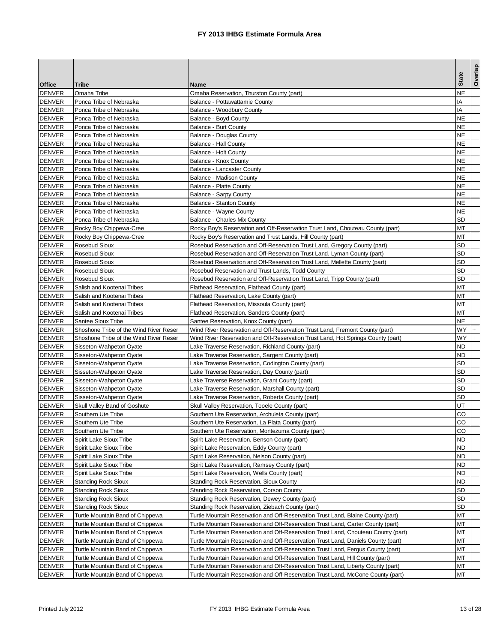|               |                                        |                                                                                    |                | Overlap |
|---------------|----------------------------------------|------------------------------------------------------------------------------------|----------------|---------|
| <b>Office</b> | Tribe                                  | Name                                                                               | <b>State</b>   |         |
| <b>DENVER</b> | Omaha Tribe                            | Omaha Reservation, Thurston County (part)                                          | NΕ             |         |
| <b>DENVER</b> | Ponca Tribe of Nebraska                | Balance - Pottawattamie County                                                     | ΙA             |         |
| <b>DENVER</b> | Ponca Tribe of Nebraska                | Balance - Woodbury County                                                          | IA             |         |
| <b>DENVER</b> | Ponca Tribe of Nebraska                | Balance - Boyd County                                                              | NE             |         |
| <b>DENVER</b> | Ponca Tribe of Nebraska                | Balance - Burt County                                                              | NΕ             |         |
| <b>DENVER</b> | Ponca Tribe of Nebraska                | Balance - Douglas County                                                           | NΕ             |         |
| <b>DENVER</b> | Ponca Tribe of Nebraska                | Balance - Hall County                                                              | NΕ             |         |
| <b>DENVER</b> | Ponca Tribe of Nebraska                | <b>Balance - Holt County</b>                                                       | NE             |         |
| <b>DENVER</b> | Ponca Tribe of Nebraska                | Balance - Knox County                                                              | NE             |         |
| <b>DENVER</b> | Ponca Tribe of Nebraska                | <b>Balance - Lancaster County</b>                                                  | ΝE             |         |
| <b>DENVER</b> | Ponca Tribe of Nebraska                | Balance - Madison County                                                           | ΝE             |         |
| <b>DENVER</b> | Ponca Tribe of Nebraska                | Balance - Platte County                                                            | NE             |         |
| <b>DENVER</b> | Ponca Tribe of Nebraska                | <b>Balance - Sarpy County</b>                                                      | ΝE             |         |
| <b>DENVER</b> | Ponca Tribe of Nebraska                | <b>Balance - Stanton County</b>                                                    | ΝE             |         |
| <b>DENVER</b> | Ponca Tribe of Nebraska                | Balance - Wayne County                                                             | ΝE             |         |
| <b>DENVER</b> | Ponca Tribe of Nebraska                | Balance - Charles Mix County                                                       | SD             |         |
| <b>DENVER</b> | Rocky Boy Chippewa-Cree                | Rocky Boy's Reservation and Off-Reservation Trust Land, Chouteau County (part)     | ΜТ             |         |
| <b>DENVER</b> | Rocky Boy Chippewa-Cree                | Rocky Boy's Reservation and Trust Lands, Hill County (part)                        | ΜТ             |         |
| <b>DENVER</b> | <b>Rosebud Sioux</b>                   | Rosebud Reservation and Off-Reservation Trust Land, Gregory County (part)          | SD             |         |
| <b>DENVER</b> | <b>Rosebud Sioux</b>                   | Rosebud Reservation and Off-Reservation Trust Land, Lyman County (part)            | SD             |         |
| <b>DENVER</b> | <b>Rosebud Sioux</b>                   | Rosebud Reservation and Off-Reservation Trust Land, Mellette County (part)         | SD             |         |
| <b>DENVER</b> | <b>Rosebud Sioux</b>                   | Rosebud Reservation and Trust Lands, Todd County                                   | SD             |         |
| <b>DENVER</b> | <b>Rosebud Sioux</b>                   | Rosebud Reservation and Off-Reservation Trust Land, Tripp County (part)            | SD             |         |
| <b>DENVER</b> | Salish and Kootenai Tribes             | Flathead Reservation, Flathead County (part)                                       | мт             |         |
| <b>DENVER</b> | Salish and Kootenai Tribes             | Flathead Reservation, Lake County (part)                                           | ΜТ             |         |
| <b>DENVER</b> | Salish and Kootenai Tribes             | Flathead Reservation, Missoula County (part)                                       | ΜТ             |         |
| <b>DENVER</b> | Salish and Kootenai Tribes             | Flathead Reservation, Sanders County (part)                                        | мт             |         |
| <b>DENVER</b> | Santee Sioux Tribe                     | Santee Reservation, Knox County (part)                                             | ΝE             |         |
|               |                                        |                                                                                    | WY             |         |
| <b>DENVER</b> | Shoshone Tribe of the Wind River Reser | Wind River Reservation and Off-Reservation Trust Land, Fremont County (part)       | WY             | $+$     |
| <b>DENVER</b> | Shoshone Tribe of the Wind River Reser | Wind River Reservation and Off-Reservation Trust Land, Hot Springs County (part)   |                |         |
| <b>DENVER</b> | Sisseton-Wahpeton Oyate                | Lake Traverse Reservation, Richland County (part)                                  | ND<br>ND       |         |
| <b>DENVER</b> | Sisseton-Wahpeton Oyate                | Lake Traverse Reservation, Sargent County (part)                                   | SD             |         |
| <b>DENVER</b> | Sisseton-Wahpeton Oyate                | Lake Traverse Reservation, Codington County (part)                                 |                |         |
| <b>DENVER</b> | Sisseton-Wahpeton Oyate                | Lake Traverse Reservation, Day County (part)                                       | SD<br>SD       |         |
| <b>DENVER</b> | Sisseton-Wahpeton Oyate                | Lake Traverse Reservation, Grant County (part)                                     |                |         |
| <b>DENVER</b> | Sisseton-Wahpeton Oyate                | Lake Traverse Reservation, Marshall County (part)                                  | SD             |         |
| <b>DENVER</b> | Sisseton-Wahpeton Oyate                | Lake Traverse Reservation, Roberts County (part)                                   | SD             |         |
| <b>DENVER</b> | Skull Valley Band of Goshute           | Skull Valley Reservation, Tooele County (part)                                     | UT             |         |
| <b>DENVER</b> | Southern Ute Tribe                     | Southern Ute Reservation, Archuleta County (part)                                  | CO             |         |
| <b>DENVER</b> | Southern Ute Tribe                     | Southern Ute Reservation, La Plata County (part)                                   | $\overline{c}$ |         |
| <b>DENVER</b> | Southern Ute Tribe                     | Southern Ute Reservation, Montezuma County (part)                                  | CO             |         |
| <b>DENVER</b> | <b>Spirit Lake Sioux Tribe</b>         | Spirit Lake Reservation, Benson County (part)                                      | ND             |         |
| <b>DENVER</b> | Spirit Lake Sioux Tribe                | Spirit Lake Reservation, Eddy County (part)                                        | ND             |         |
| <b>DENVER</b> | <b>Spirit Lake Sioux Tribe</b>         | Spirit Lake Reservation, Nelson County (part)                                      | ND             |         |
| <b>DENVER</b> | Spirit Lake Sioux Tribe                | Spirit Lake Reservation, Ramsey County (part)                                      | ND             |         |
| <b>DENVER</b> | Spirit Lake Sioux Tribe                | Spirit Lake Reservation, Wells County (part)                                       | ND             |         |
| <b>DENVER</b> | <b>Standing Rock Sioux</b>             | <b>Standing Rock Reservation, Sioux County</b>                                     | ND             |         |
| <b>DENVER</b> | <b>Standing Rock Sioux</b>             | <b>Standing Rock Reservation, Corson County</b>                                    | SD             |         |
| <b>DENVER</b> | <b>Standing Rock Sioux</b>             | Standing Rock Reservation, Dewey County (part)                                     | SD             |         |
| <b>DENVER</b> | <b>Standing Rock Sioux</b>             | Standing Rock Reservation, Ziebach County (part)                                   | SD             |         |
| <b>DENVER</b> | Turtle Mountain Band of Chippewa       | Turtle Mountain Reservation and Off-Reservation Trust Land, Blaine County (part)   | МT             |         |
| <b>DENVER</b> | Turtle Mountain Band of Chippewa       | Turtle Mountain Reservation and Off-Reservation Trust Land, Carter County (part)   | МT             |         |
| <b>DENVER</b> | Turtle Mountain Band of Chippewa       | Turtle Mountain Reservation and Off-Reservation Trust Land, Chouteau County (part) | МT             |         |
| <b>DENVER</b> | Turtle Mountain Band of Chippewa       | Turtle Mountain Reservation and Off-Reservation Trust Land, Daniels County (part)  | ΜТ             |         |
| <b>DENVER</b> | Turtle Mountain Band of Chippewa       | Turtle Mountain Reservation and Off-Reservation Trust Land, Fergus County (part)   | МT             |         |
| <b>DENVER</b> | Turtle Mountain Band of Chippewa       | Turtle Mountain Reservation and Off-Reservation Trust Land, Hill County (part)     | МΤ             |         |
| <b>DENVER</b> | Turtle Mountain Band of Chippewa       | Turtle Mountain Reservation and Off-Reservation Trust Land, Liberty County (part)  | МT             |         |
| <b>DENVER</b> | Turtle Mountain Band of Chippewa       | Turtle Mountain Reservation and Off-Reservation Trust Land, McCone County (part)   | МТ             |         |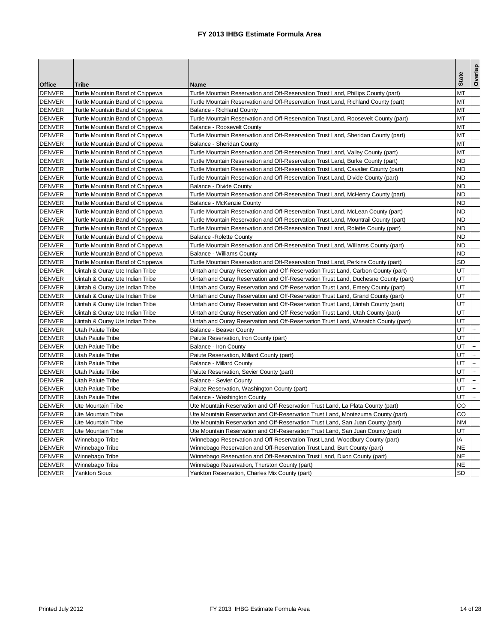|                                |                                          |                                                                                     |              | Overlap    |
|--------------------------------|------------------------------------------|-------------------------------------------------------------------------------------|--------------|------------|
| <b>Office</b>                  | <b>Tribe</b>                             | Name                                                                                | <b>State</b> |            |
| <b>DENVER</b>                  | Turtle Mountain Band of Chippewa         | Turtle Mountain Reservation and Off-Reservation Trust Land, Phillips County (part)  | МT           |            |
| <b>DENVER</b>                  | Turtle Mountain Band of Chippewa         | Turtle Mountain Reservation and Off-Reservation Trust Land, Richland County (part)  | МT           |            |
| <b>DENVER</b>                  | Turtle Mountain Band of Chippewa         | <b>Balance - Richland County</b>                                                    | ΜТ           |            |
| <b>DENVER</b>                  | Turtle Mountain Band of Chippewa         | Turtle Mountain Reservation and Off-Reservation Trust Land, Roosevelt County (part) | МT           |            |
| <b>DENVER</b>                  | Turtle Mountain Band of Chippewa         | Balance - Roosevelt County                                                          | ΜТ           |            |
| <b>DENVER</b>                  | Turtle Mountain Band of Chippewa         | Turtle Mountain Reservation and Off-Reservation Trust Land, Sheridan County (part)  | МT           |            |
| <b>DENVER</b>                  | Turtle Mountain Band of Chippewa         | <b>Balance - Sheridan County</b>                                                    | ΜТ           |            |
| <b>DENVER</b>                  | Turtle Mountain Band of Chippewa         | Turtle Mountain Reservation and Off-Reservation Trust Land, Valley County (part)    | МΤ           |            |
| <b>DENVER</b>                  | Turtle Mountain Band of Chippewa         | Turtle Mountain Reservation and Off-Reservation Trust Land, Burke County (part)     | ND           |            |
| <b>DENVER</b>                  | Turtle Mountain Band of Chippewa         | Turtle Mountain Reservation and Off-Reservation Trust Land, Cavalier County (part)  | <b>ND</b>    |            |
| <b>DENVER</b>                  | Turtle Mountain Band of Chippewa         | Turtle Mountain Reservation and Off-Reservation Trust Land, Divide County (part)    | ND           |            |
| <b>DENVER</b>                  | Turtle Mountain Band of Chippewa         | Balance - Divide County                                                             | <b>ND</b>    |            |
| <b>DENVER</b>                  | Turtle Mountain Band of Chippewa         | Turtle Mountain Reservation and Off-Reservation Trust Land, McHenry County (part)   | ND           |            |
| <b>DENVER</b>                  | Turtle Mountain Band of Chippewa         | Balance - McKenzie County                                                           | ND           |            |
| <b>DENVER</b>                  | Turtle Mountain Band of Chippewa         | Turtle Mountain Reservation and Off-Reservation Trust Land, McLean County (part)    | ND           |            |
| <b>DENVER</b>                  | Turtle Mountain Band of Chippewa         | Turtle Mountain Reservation and Off-Reservation Trust Land, Mountrail County (part) | ND           |            |
| <b>DENVER</b>                  | Turtle Mountain Band of Chippewa         | Turtle Mountain Reservation and Off-Reservation Trust Land, Rolette County (part)   | ND           |            |
| <b>DENVER</b>                  | Turtle Mountain Band of Chippewa         | <b>Balance - Rolette County</b>                                                     | ND           |            |
| <b>DENVER</b>                  | Turtle Mountain Band of Chippewa         | Turtle Mountain Reservation and Off-Reservation Trust Land, Williams County (part)  | ND           |            |
| <b>DENVER</b>                  | Turtle Mountain Band of Chippewa         | <b>Balance - Williams County</b>                                                    | ND           |            |
| <b>DENVER</b>                  | Turtle Mountain Band of Chippewa         | Turtle Mountain Reservation and Off-Reservation Trust Land, Perkins County (part)   | SD           |            |
| <b>DENVER</b>                  | Uintah & Ouray Ute Indian Tribe          | Uintah and Ouray Reservation and Off-Reservation Trust Land, Carbon County (part)   | UT           |            |
| <b>DENVER</b>                  | Uintah & Ouray Ute Indian Tribe          | Uintah and Ouray Reservation and Off-Reservation Trust Land, Duchesne County (part) | UT           |            |
| <b>DENVER</b>                  | Uintah & Ouray Ute Indian Tribe          | Uintah and Ouray Reservation and Off-Reservation Trust Land, Emery County (part)    | UT           |            |
| <b>DENVER</b>                  | Uintah & Ouray Ute Indian Tribe          | Uintah and Ouray Reservation and Off-Reservation Trust Land, Grand County (part)    | UT           |            |
| <b>DENVER</b>                  | Uintah & Ouray Ute Indian Tribe          | Uintah and Ouray Reservation and Off-Reservation Trust Land, Uintah County (part)   | UT           |            |
| <b>DENVER</b>                  | Uintah & Ouray Ute Indian Tribe          | Uintah and Ouray Reservation and Off-Reservation Trust Land, Utah County (part)     | UT           |            |
| <b>DENVER</b>                  | Uintah & Ouray Ute Indian Tribe          | Uintah and Ouray Reservation and Off-Reservation Trust Land, Wasatch County (part)  | UT           |            |
| <b>DENVER</b>                  | Utah Paiute Tribe                        | <b>Balance - Beaver County</b>                                                      | UT           | $+$        |
| <b>DENVER</b>                  | Utah Paiute Tribe                        | Paiute Reservation, Iron County (part)                                              | UT           | $\ddot{}$  |
| <b>DENVER</b>                  | Utah Paiute Tribe                        | Balance - Iron County                                                               | UT           | $+$        |
| <b>DENVER</b>                  | Utah Paiute Tribe                        | Paiute Reservation, Millard County (part)                                           | UT           | $+$        |
| <b>DENVER</b>                  | Utah Paiute Tribe                        | <b>Balance - Millard County</b>                                                     | UT           | $+$        |
| <b>DENVER</b>                  | Utah Paiute Tribe                        |                                                                                     | UT           | $\ddot{}$  |
| <b>DENVER</b>                  | Utah Paiute Tribe                        | Paiute Reservation, Sevier County (part)                                            | UT           | $\ddot{}$  |
| <b>DENVER</b>                  | Utah Paiute Tribe                        | <b>Balance - Sevier County</b>                                                      | UT           | $+$        |
|                                |                                          | Paiute Reservation, Washington County (part)                                        | UT           | $\ddot{+}$ |
| <b>DENVER</b>                  | Utah Paiute Tribe                        | Balance - Washington County                                                         |              |            |
| <b>DENVER</b>                  | Ute Mountain Tribe<br>Ute Mountain Tribe | Ute Mountain Reservation and Off-Reservation Trust Land, La Plata County (part)     | CO<br>CO     |            |
| <b>DENVER</b><br><b>DENVER</b> |                                          | Ute Mountain Reservation and Off-Reservation Trust Land, Montezuma County (part)    |              |            |
|                                | Ute Mountain Tribe                       | Ute Mountain Reservation and Off-Reservation Trust Land, San Juan County (part)     | ΝM           |            |
| <b>DENVER</b>                  | Ute Mountain Tribe                       | Ute Mountain Reservation and Off-Reservation Trust Land, San Juan County (part)     | UT           |            |
| <b>DENVER</b>                  | Winnebago Tribe                          | Winnebago Reservation and Off-Reservation Trust Land, Woodbury County (part)        | ΙA           |            |
| <b>DENVER</b>                  | Winnebago Tribe                          | Winnebago Reservation and Off-Reservation Trust Land, Burt County (part)            | ΝE           |            |
| <b>DENVER</b>                  | Winnebago Tribe                          | Winnebago Reservation and Off-Reservation Trust Land, Dixon County (part)           | <b>NE</b>    |            |
| <b>DENVER</b>                  | Winnebago Tribe                          | Winnebago Reservation, Thurston County (part)                                       | <b>NE</b>    |            |
| <b>DENVER</b>                  | <b>Yankton Sioux</b>                     | Yankton Reservation, Charles Mix County (part)                                      | SD           |            |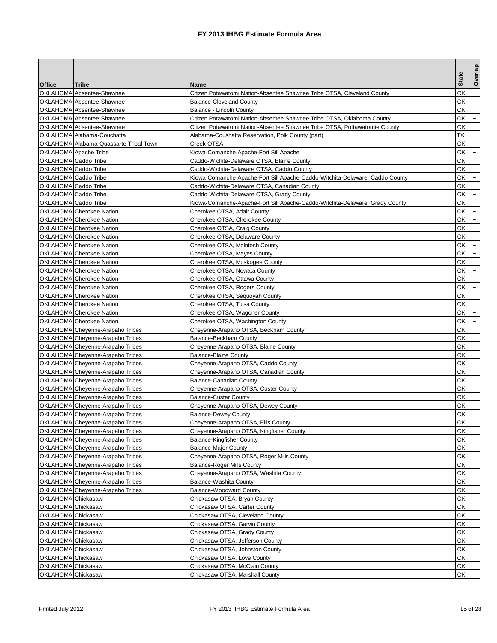|                      |                                        |                                                                              |              | Overlap |
|----------------------|----------------------------------------|------------------------------------------------------------------------------|--------------|---------|
| <b>Office</b>        | Tribe                                  | Name                                                                         | <b>State</b> |         |
|                      | OKLAHOMA Absentee-Shawnee              | Citizen Potawatomi Nation-Absentee Shawnee Tribe OTSA, Cleveland County      | ОΚ           | $+$     |
|                      | OKLAHOMA Absentee-Shawnee              | <b>Balance-Cleveland County</b>                                              | ОΚ           | $+$     |
|                      | OKLAHOMA Absentee-Shawnee              | Balance - Lincoln County                                                     | ОK           | $+$     |
|                      | OKLAHOMA Absentee-Shawnee              | Citizen Potawatomi Nation-Absentee Shawnee Tribe OTSA, Oklahoma County       | ОΚ           | $+$     |
|                      | OKLAHOMA Absentee-Shawnee              | Citizen Potawatomi Nation-Absentee Shawnee Tribe OTSA, Pottawatomie County   | ОK           | $+$     |
|                      | OKLAHOMA Alabama-Couchatta             | Alabama-Coushatta Reservation, Polk County (part)                            | ТX           |         |
|                      | OKLAHOMA Alabama-Quassarte Tribal Town | Creek OTSA                                                                   | ОK           | $+$     |
|                      | OKLAHOMA Apache Tribe                  | Kiowa-Comanche-Apache-Fort Sill Apache                                       | ОK           | $+$     |
| OKLAHOMA Caddo Tribe |                                        | Caddo-Wichita-Delaware OTSA, Blaine County                                   | ОK           | $+$     |
| OKLAHOMA Caddo Tribe |                                        | Caddo-Wichita-Delaware OTSA, Caddo County                                    | ОK           | $+$     |
| OKLAHOMA Caddo Tribe |                                        | Kiowa-Comanche-Apache-Fort Sill Apache-Caddo-Witchita-Delaware, Caddo County | ОK           | $+$     |
| OKLAHOMA Caddo Tribe |                                        | Caddo-Wichita-Delaware OTSA, Canadian County                                 | ОK           | $+$     |
| OKLAHOMA Caddo Tribe |                                        | Caddo-Wichita-Delaware OTSA, Grady County                                    | ОK           | $+$     |
| OKLAHOMA Caddo Tribe |                                        | Kiowa-Comanche-Apache-Fort Sill Apache-Caddo-Witchita-Delaware, Grady County | ОK           | I+.     |
|                      | <b>OKLAHOMA</b> Cherokee Nation        | Cherokee OTSA, Adair County                                                  | ОK           | $+$     |
|                      | OKLAHOMA Cherokee Nation               | Cherokee OTSA, Cherokee County                                               | ОK           | $+$     |
|                      | <b>OKLAHOMA</b> Cherokee Nation        | Cherokee OTSA, Craig County                                                  | ОK           | $+$     |
|                      | <b>OKLAHOMA</b> Cherokee Nation        | Cherokee OTSA, Delaware County                                               | ОK           | $+$     |
|                      | OKLAHOMA Cherokee Nation               | Cherokee OTSA, McIntosh County                                               | ОΚ           | $+$     |
|                      | OKLAHOMA Cherokee Nation               | Cherokee OTSA, Mayes County                                                  | ΟK           | $+$     |
|                      | <b>OKLAHOMA</b> Cherokee Nation        | Cherokee OTSA, Muskogee County                                               | ΟK           | $+$     |
|                      | OKLAHOMA Cherokee Nation               | Cherokee OTSA, Nowata County                                                 | ОK           | $+$     |
|                      | <b>OKLAHOMA</b> Cherokee Nation        | Cherokee OTSA, Ottawa County                                                 | ОK           | $+$     |
|                      | OKLAHOMA Cherokee Nation               | Cherokee OTSA, Rogers County                                                 | ОK           | $+$     |
|                      | OKLAHOMA Cherokee Nation               | Cherokee OTSA, Sequoyah County                                               | ОK           | $+$     |
|                      | <b>OKLAHOMA</b> Cherokee Nation        | Cherokee OTSA, Tulsa County                                                  | ОK           | $+$     |
|                      | OKLAHOMA Cherokee Nation               | Cherokee OTSA, Wagoner County                                                | ОK           | $+$     |
|                      | OKLAHOMA Cherokee Nation               | Cherokee OTSA, Washington County                                             | ОK           | $+$     |
|                      | OKLAHOMA Cheyenne-Arapaho Tribes       | Cheyenne-Arapaho OTSA, Beckham County                                        | ОK           |         |
|                      | OKLAHOMA Cheyenne-Arapaho Tribes       | Balance-Beckham County                                                       | ОK           |         |
|                      | OKLAHOMA Cheyenne-Arapaho Tribes       | Cheyenne-Arapaho OTSA, Blaine County                                         | ΟK           |         |
|                      | OKLAHOMA Cheyenne-Arapaho Tribes       | <b>Balance-Blaine County</b>                                                 | ΟK           |         |
|                      | OKLAHOMA Cheyenne-Arapaho Tribes       | Cheyenne-Arapaho OTSA, Caddo County                                          | ОK           |         |
|                      | OKLAHOMA Cheyenne-Arapaho Tribes       | Cheyenne-Arapaho OTSA, Canadian County                                       | ΟK           |         |
|                      | OKLAHOMA Cheyenne-Arapaho Tribes       | Balance-Canadian County                                                      | ОΚ           |         |
|                      | OKLAHOMA Cheyenne-Arapaho Tribes       | Cheyenne-Arapaho OTSA, Custer County                                         | ΟK           |         |
|                      | OKLAHOMA Cheyenne-Arapaho Tribes       | <b>Balance-Custer County</b>                                                 | ΟK           |         |
|                      | OKLAHOMA Cheyenne-Arapaho Tribes       | Cheyenne-Arapaho OTSA, Dewey County                                          | ΟK           |         |
|                      | OKLAHOMA Cheyenne-Arapaho Tribes       | <b>Balance-Dewey County</b>                                                  | ОΚ           |         |
|                      | OKLAHOMA Cheyenne-Arapaho Tribes       | Cheyenne-Arapaho OTSA, Ellis County                                          | OK           |         |
|                      | OKLAHOMA Cheyenne-Arapaho Tribes       | Cheyenne-Arapaho OTSA, Kingfisher County                                     | ОΚ           |         |
|                      | OKLAHOMA Cheyenne-Arapaho Tribes       | <b>Balance-Kingfisher County</b>                                             | ОK           |         |
|                      | OKLAHOMA Cheyenne-Arapaho Tribes       | <b>Balance-Major County</b>                                                  | ОK           |         |
|                      | OKLAHOMA Cheyenne-Arapaho Tribes       | Cheyenne-Arapaho OTSA, Roger Mills County                                    | ОK           |         |
|                      | OKLAHOMA Cheyenne-Arapaho Tribes       | <b>Balance-Roger Mills County</b>                                            | ОK           |         |
|                      | OKLAHOMA Cheyenne-Arapaho Tribes       | Cheyenne-Arapaho OTSA, Washita County                                        | ОK           |         |
|                      | OKLAHOMA Cheyenne-Arapaho Tribes       | Balance-Washita County                                                       | ОΚ           |         |
|                      | OKLAHOMA Cheyenne-Arapaho Tribes       | <b>Balance-Woodward County</b>                                               | ОK           |         |
| OKLAHOMA Chickasaw   |                                        | Chickasaw OTSA, Bryan County                                                 | ОK           |         |
| OKLAHOMA Chickasaw   |                                        | Chickasaw OTSA, Carter County                                                | ОK           |         |
| OKLAHOMA Chickasaw   |                                        | Chickasaw OTSA, Cleveland County                                             | ОΚ           |         |
| OKLAHOMA Chickasaw   |                                        | Chickasaw OTSA, Garvin County                                                | ОK           |         |
| OKLAHOMA Chickasaw   |                                        | Chickasaw OTSA, Grady County                                                 | ОK           |         |
| OKLAHOMA Chickasaw   |                                        | Chickasaw OTSA, Jefferson County                                             | ОK           |         |
| OKLAHOMA Chickasaw   |                                        | Chickasaw OTSA, Johnston County                                              | ОK           |         |
| OKLAHOMA Chickasaw   |                                        | Chickasaw OTSA, Love County                                                  | ОK           |         |
| OKLAHOMA Chickasaw   |                                        | Chickasaw OTSA, McClain County                                               | ОK           |         |
| OKLAHOMA Chickasaw   |                                        | Chickasaw OTSA, Marshall County                                              | ОΚ           |         |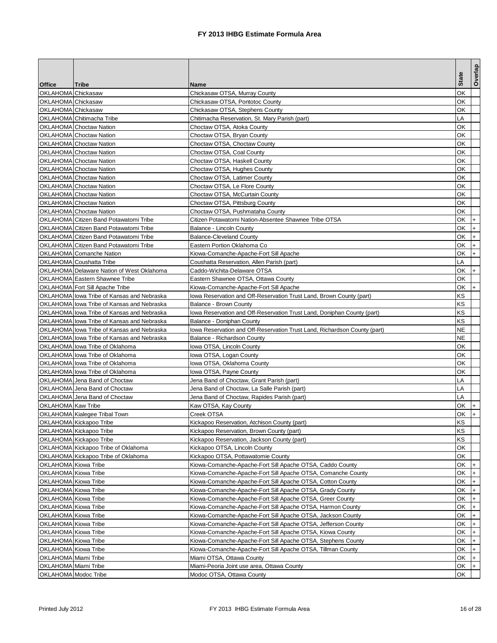|                      |                                            |                                                                           | <b>State</b> | Overlap            |
|----------------------|--------------------------------------------|---------------------------------------------------------------------------|--------------|--------------------|
| <b>Office</b>        | Tribe                                      | Name                                                                      |              |                    |
| OKLAHOMA Chickasaw   |                                            | Chickasaw OTSA, Murray County                                             | ΟK           |                    |
| OKLAHOMA Chickasaw   |                                            | Chickasaw OTSA, Pontotoc County                                           | ΟK           |                    |
| OKLAHOMA Chickasaw   |                                            | Chickasaw OTSA, Stephens County                                           | ОK           |                    |
|                      | OKLAHOMA Chitimacha Tribe                  | Chitimacha Reservation, St. Mary Parish (part)                            | LA           |                    |
|                      | <b>OKLAHOMA</b> Choctaw Nation             | Choctaw OTSA, Atoka County                                                | ΟK           |                    |
|                      | <b>OKLAHOMA</b> Choctaw Nation             | Choctaw OTSA, Bryan County                                                | ΟK           |                    |
|                      | <b>OKLAHOMA</b> Choctaw Nation             | Choctaw OTSA, Choctaw County                                              | ΟK           |                    |
|                      | <b>OKLAHOMA</b> Choctaw Nation             | Choctaw OTSA, Coal County                                                 | ΟK           |                    |
|                      | <b>OKLAHOMA</b> Choctaw Nation             | Choctaw OTSA, Haskell County                                              | ΟK           |                    |
|                      | <b>OKLAHOMA</b> Choctaw Nation             | Choctaw OTSA, Hughes County                                               | ΟK           |                    |
|                      | <b>OKLAHOMA</b> Choctaw Nation             | Choctaw OTSA, Latimer County                                              | ОK           |                    |
|                      | <b>OKLAHOMA</b> Choctaw Nation             | Choctaw OTSA, Le Flore County                                             | ΟK           |                    |
|                      | <b>OKLAHOMA</b> Choctaw Nation             | Choctaw OTSA, McCurtain County                                            | ОK           |                    |
|                      | <b>OKLAHOMA</b> Choctaw Nation             | Choctaw OTSA, Pittsburg County                                            | ОK           |                    |
|                      | <b>OKLAHOMA</b> Choctaw Nation             | Choctaw OTSA, Pushmataha County                                           | ОK           |                    |
|                      | OKLAHOMA Citizen Band Potawatomi Tribe     | Citizen Potawatomi Nation-Absentee Shawnee Tribe OTSA                     | ОK           | $+$                |
|                      | OKLAHOMA Citizen Band Potawatomi Tribe     | Balance - Lincoln County                                                  | ОK           | $+$                |
|                      | OKLAHOMA Citizen Band Potawatomi Tribe     | <b>Balance-Cleveland County</b>                                           | ОK           | $+$                |
|                      | OKLAHOMA Citizen Band Potawatomi Tribe     | Eastern Portion Oklahoma Co                                               | ΟK           | $+$                |
|                      | OKLAHOMA Comanche Nation                   | Kiowa-Comanche-Apache-Fort Sill Apache                                    | ΟK           | $+$                |
|                      | OKLAHOMA Coushatta Tribe                   | Coushatta Reservation, Allen Parish (part)                                | LA           |                    |
|                      | OKLAHOMA Delaware Nation of West Oklahoma  | Caddo-Wichita-Delaware OTSA                                               | ОK           | $+$                |
|                      | <b>OKLAHOMA</b> Eastern Shawnee Tribe      | Eastern Shawnee OTSA, Ottawa County                                       | ОΚ           |                    |
|                      | OKLAHOMA Fort Sill Apache Tribe            | Kiowa-Comanche-Apache-Fort Sill Apache                                    | ΟK           | $+$                |
|                      | OKLAHOMA lowa Tribe of Kansas and Nebraska | lowa Reservation and Off-Reservation Trust Land, Brown County (part)      | ΚS           |                    |
|                      | OKLAHOMA lowa Tribe of Kansas and Nebraska | Balance - Brown County                                                    | ΚS           |                    |
|                      | OKLAHOMA lowa Tribe of Kansas and Nebraska | lowa Reservation and Off-Reservation Trust Land, Doniphan County (part)   | ΚS           |                    |
|                      | OKLAHOMA lowa Tribe of Kansas and Nebraska | Balance - Doniphan County                                                 | ΚS           |                    |
|                      | OKLAHOMA lowa Tribe of Kansas and Nebraska | lowa Reservation and Off-Reservation Trust Land, Richardson County (part) | NE           |                    |
|                      | OKLAHOMA lowa Tribe of Kansas and Nebraska | Balance - Richardson County                                               | NΕ           |                    |
|                      | OKLAHOMA lowa Tribe of Oklahoma            | Iowa OTSA, Lincoln County                                                 | ΟK           |                    |
|                      | OKLAHOMA lowa Tribe of Oklahoma            | lowa OTSA, Logan County                                                   | ОK           |                    |
|                      | OKLAHOMA lowa Tribe of Oklahoma            | Iowa OTSA, Oklahoma County                                                | ОK           |                    |
|                      | OKLAHOMA lowa Tribe of Oklahoma            | lowa OTSA, Payne County                                                   | ОK           |                    |
|                      | OKLAHOMA Jena Band of Choctaw              | Jena Band of Choctaw, Grant Parish (part)                                 | LA           |                    |
|                      | OKLAHOMA Jena Band of Choctaw              | Jena Band of Choctaw, La Salle Parish (part)                              | LA           |                    |
|                      | OKLAHOMA Jena Band of Choctaw              | Jena Band of Choctaw, Rapides Parish (part)                               | LA           |                    |
| OKLAHOMA Kaw Tribe   |                                            | Kaw OTSA, Kay County                                                      | ΟK           | $\ddot{}$          |
|                      | OKLAHOMA Kialegee Tribal Town              | Creek OTSA                                                                | ΟK           | $+$                |
|                      | OKLAHOMA Kickapoo Tribe                    | Kickapoo Reservation, Atchison County (part)                              | <b>KS</b>    |                    |
|                      | OKLAHOMA Kickapoo Tribe                    | Kickapoo Reservation, Brown County (part)                                 | ΚS           |                    |
|                      | OKLAHOMA Kickapoo Tribe                    | Kickapoo Reservation, Jackson County (part)                               | KS           |                    |
|                      | OKLAHOMA Kickapoo Tribe of Oklahoma        | Kickapoo OTSA, Lincoln County                                             | ОK           |                    |
|                      | OKLAHOMA Kickapoo Tribe of Oklahoma        | Kickapoo OTSA, Pottawatomie County                                        | ОK           |                    |
| OKLAHOMA Kiowa Tribe |                                            | Kiowa-Comanche-Apache-Fort Sill Apache OTSA, Caddo County                 | OK           | $+$                |
| OKLAHOMA Kiowa Tribe |                                            | Kiowa-Comanche-Apache-Fort Sill Apache OTSA, Comanche County              | ОK           | $\mathsf{I}$       |
| OKLAHOMA Kiowa Tribe |                                            | Kiowa-Comanche-Apache-Fort Sill Apache OTSA, Cotton County                | ОK           | $+$                |
| OKLAHOMA Kiowa Tribe |                                            | Kiowa-Comanche-Apache-Fort Sill Apache OTSA, Grady County                 | ОK           | $+$                |
| OKLAHOMA Kiowa Tribe |                                            | Kiowa-Comanche-Apache-Fort Sill Apache OTSA, Greer County                 | OK           | $ + $              |
| OKLAHOMA Kiowa Tribe |                                            | Kiowa-Comanche-Apache-Fort Sill Apache OTSA, Harmon County                | ОK           | $\mathsf{I}$       |
| OKLAHOMA Kiowa Tribe |                                            | Kiowa-Comanche-Apache-Fort Sill Apache OTSA, Jackson County               | ОK           |                    |
| OKLAHOMA Kiowa Tribe |                                            | Kiowa-Comanche-Apache-Fort Sill Apache OTSA, Jefferson County             | ОK           | $\left  + \right $ |
| OKLAHOMA Kiowa Tribe |                                            | Kiowa-Comanche-Apache-Fort Sill Apache OTSA, Kiowa County                 | ОK           | $+$                |
| OKLAHOMA Kiowa Tribe |                                            | Kiowa-Comanche-Apache-Fort Sill Apache OTSA, Stephens County              | ОK           | I+                 |
| OKLAHOMA Kiowa Tribe |                                            | Kiowa-Comanche-Apache-Fort Sill Apache OTSA, Tillman County               | ОK           | I+                 |
| OKLAHOMA Miami Tribe |                                            | Miami OTSA, Ottawa County                                                 | ОK           | $+$                |
| OKLAHOMA Miami Tribe |                                            | Miami-Peoria Joint use area, Ottawa County                                | ОK           | $+$                |
| OKLAHOMA Modoc Tribe |                                            | Modoc OTSA, Ottawa County                                                 | ОK           |                    |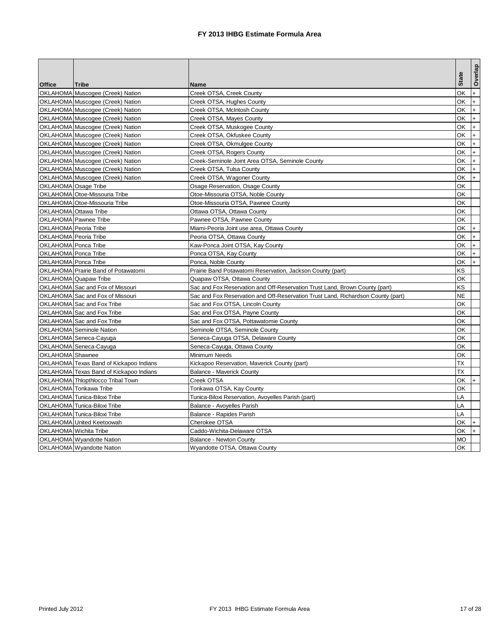|                             |                                         |                                                                                  |              | Overlap              |
|-----------------------------|-----------------------------------------|----------------------------------------------------------------------------------|--------------|----------------------|
| <b>Office</b>               | <b>Tribe</b>                            | Name                                                                             | <b>State</b> |                      |
|                             | OKLAHOMA Muscogee (Creek) Nation        | Creek OTSA, Creek County                                                         | OK           | $+$                  |
|                             | OKLAHOMA Muscogee (Creek) Nation        | Creek OTSA, Hughes County                                                        | ОK           | $+$                  |
|                             | OKLAHOMA Muscogee (Creek) Nation        | Creek OTSA, McIntosh County                                                      | ОK           | $\ddot{\phantom{1}}$ |
|                             | OKLAHOMA Muscogee (Creek) Nation        | Creek OTSA, Mayes County                                                         | ОK           | $\ddot{}$            |
|                             |                                         |                                                                                  | ОK           | $+$                  |
|                             | OKLAHOMA Muscogee (Creek) Nation        | Creek OTSA, Muskogee County                                                      |              | $\ddot{}$            |
|                             | OKLAHOMA Muscogee (Creek) Nation        | Creek OTSA, Okfuskee County                                                      | ОK           |                      |
|                             | OKLAHOMA Muscogee (Creek) Nation        | Creek OTSA, Okmulgee County                                                      | ОK           | $+$                  |
|                             | OKLAHOMA Muscogee (Creek) Nation        | Creek OTSA, Rogers County                                                        | ОK           | $\ddot{\phantom{1}}$ |
|                             | OKLAHOMA Muscogee (Creek) Nation        | Creek-Seminole Joint Area OTSA, Seminole County                                  | ΟK           | $\ddot{}$            |
|                             | OKLAHOMA Muscogee (Creek) Nation        | Creek OTSA, Tulsa County                                                         | ОK           | $+$                  |
|                             | OKLAHOMA Muscogee (Creek) Nation        | Creek OTSA, Wagoner County                                                       | ОK           | $\ddot{}$            |
| OKLAHOMA Osage Tribe        |                                         | Osage Reservation, Osage County                                                  | ОK           |                      |
|                             | OKLAHOMA Otoe-Missouria Tribe           | Otoe-Missouria OTSA, Noble County                                                | ОK           |                      |
|                             | OKLAHOMA Otoe-Missouria Tribe           | Otoe-Missouria OTSA, Pawnee County                                               | ОK           |                      |
| OKLAHOMA Ottawa Tribe       |                                         | Ottawa OTSA, Ottawa County                                                       | ОK           |                      |
|                             | OKLAHOMA Pawnee Tribe                   | Pawnee OTSA, Pawnee County                                                       | ОK           |                      |
| OKLAHOMA Peoria Tribe       |                                         | Miami-Peoria Joint use area, Ottawa County                                       | ОK           | $+$                  |
| OKLAHOMA Peoria Tribe       |                                         | Peoria OTSA, Ottawa County                                                       | ОK           | $\ddot{}$            |
| OKLAHOMA Ponca Tribe        |                                         | Kaw-Ponca Joint OTSA, Kay County                                                 | ОK           | $+$                  |
| OKLAHOMA Ponca Tribe        |                                         | Ponca OTSA, Kay County                                                           | ОK           | $+$                  |
| <b>OKLAHOMA</b> Ponca Tribe |                                         | Ponca, Noble County                                                              | ОK           | $+$                  |
|                             | OKLAHOMA Prairie Band of Potawatomi     | Prairie Band Potawatomi Reservation, Jackson County (part)                       | ΚS           |                      |
|                             | OKLAHOMA Quapaw Tribe                   | Quapaw OTSA, Ottawa County                                                       | ОK           |                      |
|                             | OKLAHOMA Sac and Fox of Missouri        | Sac and Fox Reservation and Off-Reservation Trust Land, Brown County (part)      | KS           |                      |
|                             | OKLAHOMA Sac and Fox of Missouri        | Sac and Fox Reservation and Off-Reservation Trust Land, Richardson County (part) | NE           |                      |
|                             | OKLAHOMA Sac and Fox Tribe              | Sac and Fox OTSA, Lincoln County                                                 | ОK           |                      |
|                             | OKLAHOMA Sac and Fox Tribe              | Sac and Fox OTSA, Payne County                                                   | ОK           |                      |
|                             | OKLAHOMA Sac and Fox Tribe              | Sac and Fox OTSA, Pottawatomie County                                            | ОK           |                      |
|                             | OKLAHOMA Seminole Nation                | Seminole OTSA, Seminole County                                                   | ОK           |                      |
|                             | OKLAHOMA Seneca-Cayuga                  | Seneca-Cayuga OTSA, Delaware County                                              | ОK           |                      |
|                             | OKLAHOMA Seneca-Cayuga                  | Seneca-Cayuga, Ottawa County                                                     | ОK           |                      |
| OKLAHOMA Shawnee            |                                         | Minimum Needs                                                                    | ΟK           |                      |
|                             | OKLAHOMA Texas Band of Kickapoo Indians | Kickapoo Reservation, Maverick County (part)                                     | ТX           |                      |
|                             | OKLAHOMA Texas Band of Kickapoo Indians | <b>Balance - Maverick County</b>                                                 | ТX           |                      |
|                             | OKLAHOMA Thlopthlocco Tribal Town       | Creek OTSA                                                                       | ОΚ           | $^{+}$               |
|                             | OKLAHOMA Tonkawa Tribe                  | Tonkawa OTSA, Kay County                                                         | ОK           |                      |
|                             | OKLAHOMA Tunica-Biloxi Tribe            | Tunica-Biloxi Reservation, Avoyelles Parish (part)                               | LA           |                      |
|                             | OKLAHOMA Tunica-Biloxi Tribe            | Balance - Avoyelles Parish                                                       | LA           |                      |
|                             | OKLAHOMA Tunica-Biloxi Tribe            | Balance - Rapides Parish                                                         | LA           |                      |
|                             | OKLAHOMA United Keetoowah               | Cherokee OTSA                                                                    | ОK           |                      |
|                             | OKLAHOMA Wichita Tribe                  |                                                                                  | ОK           | $+$<br>$+$           |
|                             |                                         | Caddo-Wichita-Delaware OTSA                                                      |              |                      |
|                             | OKLAHOMA Wyandotte Nation               | Balance - Newton County                                                          | МO           |                      |
|                             | OKLAHOMA Wyandotte Nation               | Wyandotte OTSA, Ottawa County                                                    | OK           |                      |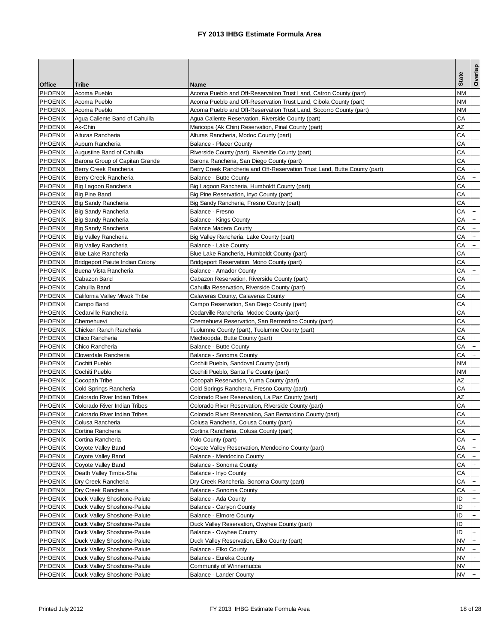|                                  |                                                            |                                                                           | <b>State</b> | Overlap   |
|----------------------------------|------------------------------------------------------------|---------------------------------------------------------------------------|--------------|-----------|
| <b>Office</b>                    | Tribe                                                      | Name                                                                      |              |           |
| <b>PHOENIX</b>                   | Acoma Pueblo                                               | Acoma Pueblo and Off-Reservation Trust Land, Catron County (part)         | NΜ           |           |
| <b>PHOENIX</b>                   | Acoma Pueblo                                               | Acoma Pueblo and Off-Reservation Trust Land, Cibola County (part)         | NΜ           |           |
| <b>PHOENIX</b>                   | Acoma Pueblo                                               | Acoma Pueblo and Off-Reservation Trust Land, Socorro County (part)        | NΜ           |           |
| <b>PHOENIX</b>                   | Agua Caliente Band of Cahuilla                             | Agua Caliente Reservation, Riverside County (part)                        | CА           |           |
| <b>PHOENIX</b>                   | Ak-Chin                                                    | Maricopa (Ak Chin) Reservation, Pinal County (part)                       | AZ           |           |
| <b>PHOENIX</b>                   | Alturas Rancheria                                          | Alturas Rancheria, Modoc County (part)                                    | СA           |           |
| <b>PHOENIX</b>                   | Auburn Rancheria                                           | <b>Balance - Placer County</b>                                            | CА           |           |
| <b>PHOENIX</b>                   | Augustine Band of Cahuilla                                 | Riverside County (part), Riverside County (part)                          | CА           |           |
| <b>PHOENIX</b>                   | Barona Group of Capitan Grande                             | Barona Rancheria, San Diego County (part)                                 | CА           |           |
| <b>PHOENIX</b>                   | Berry Creek Rancheria                                      | Berry Creek Rancheria and Off-Reservation Trust Land, Butte County (part) | CА           |           |
| <b>PHOENIX</b>                   | Berry Creek Rancheria                                      | Balance - Butte County                                                    | CА           | $+$       |
| <b>PHOENIX</b>                   | Big Lagoon Rancheria                                       | Big Lagoon Rancheria, Humboldt County (part)                              | СA           |           |
| <b>PHOENIX</b>                   | <b>Big Pine Band</b>                                       | Big Pine Reservation, Inyo County (part)                                  | CА           |           |
| <b>PHOENIX</b>                   | <b>Big Sandy Rancheria</b>                                 | Big Sandy Rancheria, Fresno County (part)                                 | CА           |           |
| <b>PHOENIX</b>                   | <b>Big Sandy Rancheria</b>                                 | Balance - Fresno                                                          | CА           | $+$       |
| <b>PHOENIX</b>                   | Big Sandy Rancheria                                        | Balance - Kings County                                                    | CА           | $+$       |
| <b>PHOENIX</b>                   | <b>Big Sandy Rancheria</b>                                 | Balance Madera County                                                     | CА           | $+$       |
| <b>PHOENIX</b>                   | <b>Big Valley Rancheria</b>                                | Big Valley Rancheria, Lake County (part)                                  | CА           | $+$       |
| <b>PHOENIX</b>                   | <b>Big Valley Rancheria</b>                                | Balance - Lake County                                                     | CА           | $+$       |
| <b>PHOENIX</b>                   | <b>Blue Lake Rancheria</b>                                 | Blue Lake Rancheria, Humboldt County (part)                               | CА           |           |
| <b>PHOENIX</b>                   | <b>Bridgeport Paiute Indian Colony</b>                     | Bridgeport Reservation, Mono County (part)                                | CА           |           |
| <b>PHOENIX</b>                   | Buena Vista Rancheria                                      | Balance - Amador County                                                   | CА           | $+$       |
| <b>PHOENIX</b>                   | Cabazon Band                                               | Cabazon Reservation, Riverside County (part)                              | CА           |           |
| <b>PHOENIX</b>                   | Cahuilla Band                                              | Cahuilla Reservation, Riverside County (part)                             | CА           |           |
| <b>PHOENIX</b>                   | California Valley Miwok Tribe                              | Calaveras County, Calaveras County                                        | CА           |           |
| <b>PHOENIX</b>                   | Campo Band                                                 | Campo Reservation, San Diego County (part)                                | CА           |           |
| <b>PHOENIX</b>                   | Cedarville Rancheria                                       | Cedarville Rancheria, Modoc County (part)                                 | CА           |           |
| <b>PHOENIX</b>                   | Chemehuevi                                                 | Chemehuevi Reservation, San Bernardino County (part)                      | CА           |           |
| <b>PHOENIX</b>                   | Chicken Ranch Rancheria                                    | Tuolumne County (part), Tuolumne County (part)                            | CА           |           |
| <b>PHOENIX</b>                   | Chico Rancheria                                            | Mechoopda, Butte County (part)                                            | CА           |           |
| <b>PHOENIX</b>                   | Chico Rancheria                                            | Balance - Butte County                                                    | CА           | $\ddot{}$ |
| <b>PHOENIX</b>                   | Cloverdale Rancheria                                       | Balance - Sonoma County                                                   | CА           |           |
| <b>PHOENIX</b>                   | Cochiti Pueblo                                             | Cochiti Pueblo, Sandoval County (part)                                    | ΝM           |           |
| <b>PHOENIX</b>                   | Cochiti Pueblo                                             | Cochiti Pueblo, Santa Fe County (part)                                    | ΝM           |           |
| <b>PHOENIX</b>                   | Cocopah Tribe                                              | Cocopah Reservation, Yuma County (part)                                   | AZ           |           |
| <b>PHOENIX</b>                   | Cold Springs Rancheria                                     | Cold Springs Rancheria, Fresno County (part)                              | CА           |           |
| <b>PHOENIX</b>                   | Colorado River Indian Tribes                               | Colorado River Reservation, La Paz County (part)                          | AZ           |           |
| <b>PHOENIX</b>                   | Colorado River Indian Tribes                               | Colorado River Reservation, Riverside County (part)                       | CА           |           |
| <b>PHOENIX</b>                   | Colorado River Indian Tribes                               | Colorado River Reservation, San Bernardino County (part)                  | CА           |           |
| <b>PHOENIX</b>                   | Colusa Rancheria                                           | Colusa Rancheria, Colusa County (part)                                    | CA           |           |
| <b>PHOENIX</b>                   | Cortina Rancheria                                          | Cortina Rancheria, Colusa County (part)                                   | CА           | $+$       |
| <b>PHOENIX</b><br><b>PHOENIX</b> | Cortina Rancheria                                          | Yolo County (part)<br>Coyote Valley Reservation, Mendocino County (part)  | CА<br>СA     |           |
| <b>PHOENIX</b>                   | Coyote Valley Band<br><b>Coyote Valley Band</b>            | Balance - Mendocino County                                                | CА           |           |
| <b>PHOENIX</b>                   | Coyote Valley Band                                         | Balance - Sonoma County                                                   | CА           |           |
| <b>PHOENIX</b>                   |                                                            |                                                                           | CА           |           |
| <b>PHOENIX</b>                   | Death Valley Timba-Sha<br>Dry Creek Rancheria              | Balance - Inyo County<br>Dry Creek Rancheria, Sonoma County (part)        | СA           |           |
| <b>PHOENIX</b>                   | Dry Creek Rancheria                                        | Balance - Sonoma County                                                   | CА           | $\ddot{}$ |
| <b>PHOENIX</b>                   | Duck Valley Shoshone-Paiute                                | Balance - Ada County                                                      | ID           |           |
| <b>PHOENIX</b>                   |                                                            |                                                                           | ID           | $\ddot{}$ |
| <b>PHOENIX</b>                   | Duck Valley Shoshone-Paiute<br>Duck Valley Shoshone-Paiute | Balance - Canyon County<br><b>Balance - Elmore County</b>                 | ID           |           |
| <b>PHOENIX</b>                   | Duck Valley Shoshone-Paiute                                | Duck Valley Reservation, Owyhee County (part)                             | ID           |           |
| <b>PHOENIX</b>                   | Duck Valley Shoshone-Paiute                                | Balance - Owyhee County                                                   | ID           |           |
| <b>PHOENIX</b>                   | Duck Valley Shoshone-Paiute                                | Duck Valley Reservation, Elko County (part)                               | NV           |           |
| <b>PHOENIX</b>                   | Duck Valley Shoshone-Paiute                                | Balance - Elko County                                                     | NV           |           |
| <b>PHOENIX</b>                   | Duck Valley Shoshone-Paiute                                | Balance - Eureka County                                                   | NV           |           |
| <b>PHOENIX</b>                   | Duck Valley Shoshone-Paiute                                | Community of Winnemucca                                                   | NV           |           |
| <b>PHOENIX</b>                   | Duck Valley Shoshone-Paiute                                | <b>Balance - Lander County</b>                                            | NV           |           |
|                                  |                                                            |                                                                           |              |           |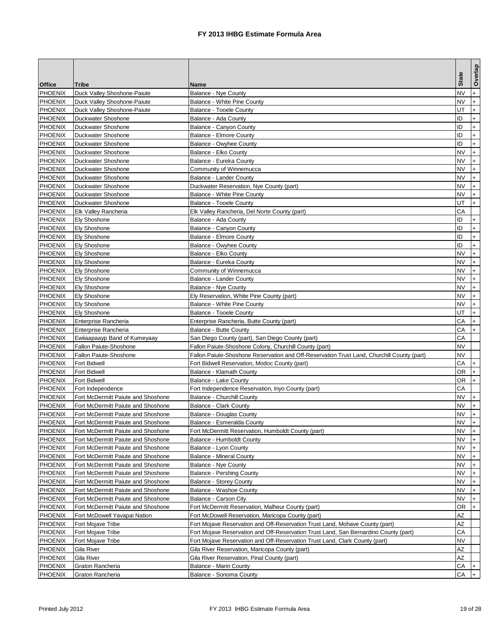|                |                                    |                                                                                            |              | Overlap   |
|----------------|------------------------------------|--------------------------------------------------------------------------------------------|--------------|-----------|
| <b>Office</b>  | <b>Tribe</b>                       | Name                                                                                       | <b>State</b> |           |
| <b>PHOENIX</b> | Duck Valley Shoshone-Paiute        | Balance - Nye County                                                                       | N٧           | $+$       |
| <b>PHOENIX</b> | Duck Valley Shoshone-Paiute        | Balance - White Pine County                                                                | NV           | $+$       |
| <b>PHOENIX</b> | Duck Valley Shoshone-Paiute        | Balance - Tooele County                                                                    | UT           | $+$       |
| <b>PHOENIX</b> | Duckwater Shoshone                 | Balance - Ada County                                                                       | ID           | $^{+}$    |
| <b>PHOENIX</b> | Duckwater Shoshone                 | Balance - Canyon County                                                                    | ID           | $\ddot{}$ |
| <b>PHOENIX</b> | Duckwater Shoshone                 | Balance - Elmore County                                                                    | ID           | $\ddot{}$ |
| <b>PHOENIX</b> | Duckwater Shoshone                 | Balance - Owyhee County                                                                    | ID           | $+$       |
| <b>PHOENIX</b> | Duckwater Shoshone                 | Balance - Elko County                                                                      | NV           | $+$       |
| <b>PHOENIX</b> | Duckwater Shoshone                 | Balance - Eureka County                                                                    | NV           | $+$       |
| <b>PHOENIX</b> | Duckwater Shoshone                 | Community of Winnemucca                                                                    | NV           |           |
| <b>PHOENIX</b> | Duckwater Shoshone                 | <b>Balance - Lander County</b>                                                             | NV           | $+$       |
| <b>PHOENIX</b> | Duckwater Shoshone                 | Duckwater Reservation, Nye County (part)                                                   | NV           | $\ddot{}$ |
| <b>PHOENIX</b> | Duckwater Shoshone                 | Balance - White Pine County                                                                | NV           | $+$       |
| <b>PHOENIX</b> | Duckwater Shoshone                 | Balance - Tooele County                                                                    | UT           | $+$       |
| <b>PHOENIX</b> | Elk Valley Rancheria               | Elk Valley Rancheria, Del Norte County (part)                                              | CА           |           |
| <b>PHOENIX</b> | <b>Ely Shoshone</b>                | Balance - Ada County                                                                       | ID           | $\ddot{}$ |
| <b>PHOENIX</b> | <b>Ely Shoshone</b>                | Balance - Canyon County                                                                    | ID           | $+$       |
| <b>PHOENIX</b> | <b>Ely Shoshone</b>                | <b>Balance - Elmore County</b>                                                             | ID           | $+$       |
| <b>PHOENIX</b> | <b>Ely Shoshone</b>                | Balance - Owyhee County                                                                    | ID           | $^{+}$    |
| <b>PHOENIX</b> | <b>Ely Shoshone</b>                | Balance - Elko County                                                                      | NV           | $+$       |
| <b>PHOENIX</b> | <b>Ely Shoshone</b>                | Balance - Eureka County                                                                    | NV           | $^{+}$    |
| <b>PHOENIX</b> | <b>Ely Shoshone</b>                | Community of Winnemucca                                                                    | NV           | $+$       |
| <b>PHOENIX</b> | <b>Ely Shoshone</b>                | Balance - Lander County                                                                    | NV           | $\ddot{}$ |
| <b>PHOENIX</b> | <b>Ely Shoshone</b>                | <b>Balance - Nye County</b>                                                                | NV           | $+$       |
| <b>PHOENIX</b> | <b>Ely Shoshone</b>                | Ely Reservation, White Pine County (part)                                                  | NV           |           |
| <b>PHOENIX</b> | <b>Ely Shoshone</b>                | Balance - White Pine County                                                                | NV           | $+$       |
| <b>PHOENIX</b> | <b>Ely Shoshone</b>                | Balance - Tooele County                                                                    | UT           | $+$       |
| <b>PHOENIX</b> | Enterprise Rancheria               | Enterprise Rancheria, Butte County (part)                                                  | CА           | $+$       |
| <b>PHOENIX</b> | Enterprise Rancheria               | <b>Balance - Butte County</b>                                                              | CА           | $+$       |
| <b>PHOENIX</b> | Ewiiaapaayp Band of Kumeyaay       | San Diego County (part), San Diego County (part)                                           | CА           |           |
| <b>PHOENIX</b> | Fallon Paiute-Shoshone             | Fallon Paiute-Shoshone Colony, Churchill County (part)                                     | NV           |           |
| <b>PHOENIX</b> | Fallon Paiute-Shoshone             | Fallon Paiute-Shoshone Reservation and Off-Reservation Trust Land, Churchill County (part) | NV           |           |
| <b>PHOENIX</b> | <b>Fort Bidwell</b>                | Fort Bidwell Reservation, Modoc County (part)                                              | CА           | $+$       |
| <b>PHOENIX</b> | <b>Fort Bidwell</b>                | Balance - Klamath County                                                                   | ΟR           | $+$       |
| <b>PHOENIX</b> | <b>Fort Bidwell</b>                | Balance - Lake County                                                                      | ΟR           | $+$       |
| <b>PHOENIX</b> | Fort Independence                  | Fort Independence Reservation, Inyo County (part)                                          | CА           |           |
| <b>PHOENIX</b> | Fort McDermitt Paiute and Shoshone | <b>Balance - Churchill County</b>                                                          | NV           | $+$       |
| <b>PHOENIX</b> | Fort McDermitt Paiute and Shoshone | <b>Balance - Clark County</b>                                                              | NV           | $\ddot{}$ |
| <b>PHOENIX</b> | Fort McDermitt Paiute and Shoshone | Balance - Douglas County                                                                   | NV           | $+$       |
| <b>PHOENIX</b> | Fort McDermitt Paiute and Shoshone | Balance - Esmeralda County                                                                 | <b>NV</b>    |           |
| <b>PHOENIX</b> | Fort McDermitt Paiute and Shoshone | Fort McDermitt Reservation, Humboldt County (part)                                         | ΝV           | I+.       |
| <b>PHOENIX</b> | Fort McDermitt Paiute and Shoshone | Balance - Humboldt County                                                                  | NV           |           |
| <b>PHOENIX</b> | Fort McDermitt Paiute and Shoshone | Balance - Lyon County                                                                      | NV           |           |
| <b>PHOENIX</b> | Fort McDermitt Paiute and Shoshone | <b>Balance - Mineral County</b>                                                            | <b>NV</b>    |           |
| <b>PHOENIX</b> | Fort McDermitt Paiute and Shoshone | <b>Balance - Nye County</b>                                                                | <b>NV</b>    | $+$       |
| <b>PHOENIX</b> | Fort McDermitt Paiute and Shoshone | Balance - Pershing County                                                                  | NV           | $+$       |
| <b>PHOENIX</b> | Fort McDermitt Paiute and Shoshone | Balance - Storey County                                                                    | NV           | $+$       |
| <b>PHOENIX</b> | Fort McDermitt Paiute and Shoshone | Balance - Washoe County                                                                    | <b>NV</b>    | $+$       |
| <b>PHOENIX</b> | Fort McDermitt Paiute and Shoshone | Balance - Carson City                                                                      | NV           | $+$       |
| <b>PHOENIX</b> | Fort McDermitt Paiute and Shoshone | Fort McDermitt Reservation, Malheur County (part)                                          | OR           |           |
| <b>PHOENIX</b> | Fort McDowell Yavapai Nation       | Fort McDowell Reservation, Maricopa County (part)                                          | ΑZ           |           |
| <b>PHOENIX</b> | Fort Mojave Tribe                  | Fort Mojave Reservation and Off-Reservation Trust Land, Mohave County (part)               | ΑZ           |           |
| <b>PHOENIX</b> | Fort Mojave Tribe                  | Fort Mojave Reservation and Off-Reservation Trust Land, San Bernardino County (part)       | CА           |           |
| <b>PHOENIX</b> | Fort Mojave Tribe                  | Fort Mojave Reservation and Off-Reservation Trust Land, Clark County (part)                | ΝV           |           |
| <b>PHOENIX</b> | Gila River                         | Gila River Reservation, Maricopa County (part)                                             | ΑZ           |           |
| <b>PHOENIX</b> | Gila River                         | Gila River Reservation, Pinal County (part)                                                | ΑZ           |           |
| <b>PHOENIX</b> | Graton Rancheria                   | <b>Balance - Marin County</b>                                                              | СA           |           |
| <b>PHOENIX</b> | Graton Rancheria                   | Balance - Sonoma County                                                                    | CА           |           |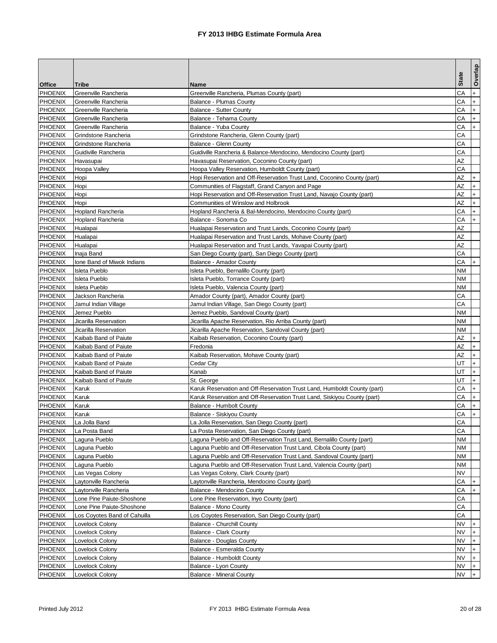| Tribe<br>Name<br>CА<br><b>PHOENIX</b><br>Greenville Rancheria<br>Greenville Rancheria, Plumas County (part)<br>$+$<br>СA<br><b>PHOENIX</b><br>$+$<br>Greenville Rancheria<br><b>Balance - Plumas County</b><br>СA<br>Greenville Rancheria<br><b>Balance - Sutter County</b><br>$+$<br><b>PHOENIX</b><br>CА<br>$+$<br>Greenville Rancheria<br>Balance - Tehama County<br><b>PHOENIX</b><br>Greenville Rancheria<br>Balance - Yuba County<br>CА<br>$+$<br><b>PHOENIX</b><br>СA<br>Grindstone Rancheria<br>Grindstone Rancheria, Glenn County (part)<br><b>PHOENIX</b><br>CА<br>Grindstone Rancheria<br>Balance - Glenn County<br>CА<br><b>PHOENIX</b><br>Guidiville Rancheria<br>Guidiville Rancheria & Balance-Mendocino, Mendocino County (part)<br>ΑZ<br><b>PHOENIX</b><br>Havasupai Reservation, Coconino County (part)<br>Havasupai<br><b>PHOENIX</b><br>CА<br>Hoopa Valley<br>Hoopa Valley Reservation, Humboldt County (part)<br>ΑZ<br><b>PHOENIX</b><br>Hopi<br>Hopi Reservation and Off-Reservation Trust Land, Coconino County (part)<br>ΑZ<br><b>PHOENIX</b><br>Communities of Flagstaff, Grand Canyon and Page<br>$+$<br>Hopi<br>$\ddot{}$<br>AZ<br><b>PHOENIX</b><br>Hopi<br>Hopi Reservation and Off-Reservation Trust Land, Navajo County (part)<br><b>PHOENIX</b><br>AΖ<br>$+$<br>Hopi<br>Communities of Winslow and Holbrook<br>$+$<br><b>PHOENIX</b><br>CА<br>Hopland Rancheria<br>Hopland Rancheria & Bal-Mendocino, Mendocino County (part)<br><b>PHOENIX</b><br>Balance - Sonoma Co<br>CА<br>$+$<br>Hopland Rancheria<br>AΖ<br><b>PHOENIX</b><br>Hualapai<br>Hualapai Reservation and Trust Lands, Coconino County (part)<br>AZ<br><b>PHOENIX</b><br>Hualapai<br>Hualapai Reservation and Trust Lands, Mohave County (part)<br><b>PHOENIX</b><br>AZ<br>Hualapai Reservation and Trust Lands, Yavapai County (part)<br>Hualapai<br><b>PHOENIX</b><br>CА<br>San Diego County (part), San Diego County (part)<br>Inaja Band<br><b>PHOENIX</b><br>CА<br>$+$<br>Ione Band of Miwok Indians<br>Balance - Amador County<br><b>PHOENIX</b><br>NΜ<br>Isleta Pueblo<br>Isleta Pueblo, Bernalillo County (part)<br><b>PHOENIX</b><br>Isleta Pueblo<br>Isleta Pueblo, Torrance County (part)<br>ΝM<br>NΜ<br><b>PHOENIX</b><br>Isleta Pueblo<br>Isleta Pueblo, Valencia County (part)<br><b>PHOENIX</b><br>CА<br>Jackson Rancheria<br>Amador County (part), Amador County (part)<br><b>PHOENIX</b><br>CА<br>Jamul Indian Village<br>Jamul Indian Village, San Diego County (part)<br><b>PHOENIX</b><br>Jemez Pueblo<br>ΝM<br>Jemez Pueblo, Sandoval County (part)<br><b>PHOENIX</b><br>Jicarilla Reservation<br>Jicarilla Apache Reservation, Rio Arriba County (part)<br>ΝM<br><b>PHOENIX</b><br>Jicarilla Reservation<br>Jicarilla Apache Reservation, Sandoval County (part)<br>ΝM<br>ΑZ<br><b>PHOENIX</b><br>Kaibab Band of Paiute<br>Kaibab Reservation, Coconino County (part)<br>ΑZ<br><b>PHOENIX</b><br>$\ddot{}$<br>Kaibab Band of Paiute<br>Fredonia<br>AΖ<br><b>PHOENIX</b><br>$+$<br>Kaibab Band of Paiute<br>Kaibab Reservation, Mohave County (part)<br>UT<br>$+$<br><b>PHOENIX</b><br>Kaibab Band of Paiute<br>Cedar City<br>$+$<br><b>PHOENIX</b><br>UT<br>Kaibab Band of Paiute<br>Kanab<br><b>PHOENIX</b><br>Kaibab Band of Paiute<br>UT<br>$+$<br>St. George<br><b>PHOENIX</b><br>CА<br>$+$<br>Karuk<br>Karuk Reservation and Off-Reservation Trust Land, Humboldt County (part)<br>$+$<br><b>PHOENIX</b><br>CА<br>Karuk<br>Karuk Reservation and Off-Reservation Trust Land, Siskiyou County (part)<br><b>PHOENIX</b><br>CА<br>$+$<br>Karuk<br>Balance - Humbolt County<br><b>PHOENIX</b><br>CА<br>Karuk<br>Balance - Siskiyou County<br>$+$<br>CA<br><b>PHOENIX</b><br>La Jolla Band<br>La Jolla Reservation, San Diego County (part)<br><b>PHOENIX</b><br>CА<br>La Posta Reservation, San Diego County (part)<br>La Posta Band<br><b>PHOENIX</b><br>Laguna Pueblo and Off-Reservation Trust Land, Bernalillo County (part)<br>ΝM<br>Laguna Pueblo<br><b>PHOENIX</b><br>Laguna Pueblo<br>Laguna Pueblo and Off-Reservation Trust Land, Cibola County (part)<br>ΝM<br><b>PHOENIX</b><br>Laguna Pueblo<br>Laguna Pueblo and Off-Reservation Trust Land, Sandoval County (part)<br>ΝM<br><b>PHOENIX</b><br>Laguna Pueblo<br>Laguna Pueblo and Off-Reservation Trust Land, Valencia County (part)<br>ΝM<br><b>PHOENIX</b><br>NV<br>Las Vegas Colony<br>Las Vegas Colony, Clark County (part)<br><b>PHOENIX</b><br>СA<br>Laytonville Rancheria<br>Laytonville Rancheria, Mendocino County (part)<br><b>PHOENIX</b><br>Laytonville Rancheria<br>Balance - Mendocino County<br>CА<br><b>PHOENIX</b><br>СA<br>Lone Pine Paiute-Shoshone<br>Lone Pine Reservation, Inyo County (part)<br><b>PHOENIX</b><br>CА<br>Lone Pine Paiute-Shoshone<br>Balance - Mono County<br><b>PHOENIX</b><br>CА<br>Los Coyotes Band of Cahuilla<br>Los Coyotes Reservation, San Diego County (part)<br><b>PHOENIX</b><br>NV<br>Lovelock Colony<br><b>Balance - Churchill County</b><br><b>PHOENIX</b><br>NV<br>Lovelock Colony<br><b>Balance - Clark County</b><br>$+$<br><b>PHOENIX</b><br>NV<br>Lovelock Colony<br>Balance - Douglas County<br>NV<br><b>PHOENIX</b><br>Lovelock Colony<br>Balance - Esmeralda County<br><b>PHOENIX</b><br>NV<br>Lovelock Colony<br>Balance - Humboldt County<br><b>PHOENIX</b><br>Lovelock Colony<br>Balance - Lyon County<br>NV<br>Lovelock Colony<br><b>Balance - Mineral County</b><br>NV |                |  | <b>State</b> | Overlap |
|------------------------------------------------------------------------------------------------------------------------------------------------------------------------------------------------------------------------------------------------------------------------------------------------------------------------------------------------------------------------------------------------------------------------------------------------------------------------------------------------------------------------------------------------------------------------------------------------------------------------------------------------------------------------------------------------------------------------------------------------------------------------------------------------------------------------------------------------------------------------------------------------------------------------------------------------------------------------------------------------------------------------------------------------------------------------------------------------------------------------------------------------------------------------------------------------------------------------------------------------------------------------------------------------------------------------------------------------------------------------------------------------------------------------------------------------------------------------------------------------------------------------------------------------------------------------------------------------------------------------------------------------------------------------------------------------------------------------------------------------------------------------------------------------------------------------------------------------------------------------------------------------------------------------------------------------------------------------------------------------------------------------------------------------------------------------------------------------------------------------------------------------------------------------------------------------------------------------------------------------------------------------------------------------------------------------------------------------------------------------------------------------------------------------------------------------------------------------------------------------------------------------------------------------------------------------------------------------------------------------------------------------------------------------------------------------------------------------------------------------------------------------------------------------------------------------------------------------------------------------------------------------------------------------------------------------------------------------------------------------------------------------------------------------------------------------------------------------------------------------------------------------------------------------------------------------------------------------------------------------------------------------------------------------------------------------------------------------------------------------------------------------------------------------------------------------------------------------------------------------------------------------------------------------------------------------------------------------------------------------------------------------------------------------------------------------------------------------------------------------------------------------------------------------------------------------------------------------------------------------------------------------------------------------------------------------------------------------------------------------------------------------------------------------------------------------------------------------------------------------------------------------------------------------------------------------------------------------------------------------------------------------------------------------------------------------------------------------------------------------------------------------------------------------------------------------------------------------------------------------------------------------------------------------------------------------------------------------------------------------------------------------------------------------------------------------------------------------------------------------------------------------------------------------------------------------------------------------------------------------------------------------------------------------------------------------------------------------------------------------------------------------------------------------------------------------------------------------------------------------------------------------------------------------------------------------------------------------------------------------------------------------------------------------------------------------------------------------------------------------------------------------------------------------------|----------------|--|--------------|---------|
|                                                                                                                                                                                                                                                                                                                                                                                                                                                                                                                                                                                                                                                                                                                                                                                                                                                                                                                                                                                                                                                                                                                                                                                                                                                                                                                                                                                                                                                                                                                                                                                                                                                                                                                                                                                                                                                                                                                                                                                                                                                                                                                                                                                                                                                                                                                                                                                                                                                                                                                                                                                                                                                                                                                                                                                                                                                                                                                                                                                                                                                                                                                                                                                                                                                                                                                                                                                                                                                                                                                                                                                                                                                                                                                                                                                                                                                                                                                                                                                                                                                                                                                                                                                                                                                                                                                                                                                                                                                                                                                                                                                                                                                                                                                                                                                                                                                                                                                                                                                                                                                                                                                                                                                                                                                                                                                                                                                                                              | <b>Office</b>  |  |              |         |
|                                                                                                                                                                                                                                                                                                                                                                                                                                                                                                                                                                                                                                                                                                                                                                                                                                                                                                                                                                                                                                                                                                                                                                                                                                                                                                                                                                                                                                                                                                                                                                                                                                                                                                                                                                                                                                                                                                                                                                                                                                                                                                                                                                                                                                                                                                                                                                                                                                                                                                                                                                                                                                                                                                                                                                                                                                                                                                                                                                                                                                                                                                                                                                                                                                                                                                                                                                                                                                                                                                                                                                                                                                                                                                                                                                                                                                                                                                                                                                                                                                                                                                                                                                                                                                                                                                                                                                                                                                                                                                                                                                                                                                                                                                                                                                                                                                                                                                                                                                                                                                                                                                                                                                                                                                                                                                                                                                                                                              |                |  |              |         |
|                                                                                                                                                                                                                                                                                                                                                                                                                                                                                                                                                                                                                                                                                                                                                                                                                                                                                                                                                                                                                                                                                                                                                                                                                                                                                                                                                                                                                                                                                                                                                                                                                                                                                                                                                                                                                                                                                                                                                                                                                                                                                                                                                                                                                                                                                                                                                                                                                                                                                                                                                                                                                                                                                                                                                                                                                                                                                                                                                                                                                                                                                                                                                                                                                                                                                                                                                                                                                                                                                                                                                                                                                                                                                                                                                                                                                                                                                                                                                                                                                                                                                                                                                                                                                                                                                                                                                                                                                                                                                                                                                                                                                                                                                                                                                                                                                                                                                                                                                                                                                                                                                                                                                                                                                                                                                                                                                                                                                              |                |  |              |         |
|                                                                                                                                                                                                                                                                                                                                                                                                                                                                                                                                                                                                                                                                                                                                                                                                                                                                                                                                                                                                                                                                                                                                                                                                                                                                                                                                                                                                                                                                                                                                                                                                                                                                                                                                                                                                                                                                                                                                                                                                                                                                                                                                                                                                                                                                                                                                                                                                                                                                                                                                                                                                                                                                                                                                                                                                                                                                                                                                                                                                                                                                                                                                                                                                                                                                                                                                                                                                                                                                                                                                                                                                                                                                                                                                                                                                                                                                                                                                                                                                                                                                                                                                                                                                                                                                                                                                                                                                                                                                                                                                                                                                                                                                                                                                                                                                                                                                                                                                                                                                                                                                                                                                                                                                                                                                                                                                                                                                                              | <b>PHOENIX</b> |  |              |         |
|                                                                                                                                                                                                                                                                                                                                                                                                                                                                                                                                                                                                                                                                                                                                                                                                                                                                                                                                                                                                                                                                                                                                                                                                                                                                                                                                                                                                                                                                                                                                                                                                                                                                                                                                                                                                                                                                                                                                                                                                                                                                                                                                                                                                                                                                                                                                                                                                                                                                                                                                                                                                                                                                                                                                                                                                                                                                                                                                                                                                                                                                                                                                                                                                                                                                                                                                                                                                                                                                                                                                                                                                                                                                                                                                                                                                                                                                                                                                                                                                                                                                                                                                                                                                                                                                                                                                                                                                                                                                                                                                                                                                                                                                                                                                                                                                                                                                                                                                                                                                                                                                                                                                                                                                                                                                                                                                                                                                                              |                |  |              |         |
|                                                                                                                                                                                                                                                                                                                                                                                                                                                                                                                                                                                                                                                                                                                                                                                                                                                                                                                                                                                                                                                                                                                                                                                                                                                                                                                                                                                                                                                                                                                                                                                                                                                                                                                                                                                                                                                                                                                                                                                                                                                                                                                                                                                                                                                                                                                                                                                                                                                                                                                                                                                                                                                                                                                                                                                                                                                                                                                                                                                                                                                                                                                                                                                                                                                                                                                                                                                                                                                                                                                                                                                                                                                                                                                                                                                                                                                                                                                                                                                                                                                                                                                                                                                                                                                                                                                                                                                                                                                                                                                                                                                                                                                                                                                                                                                                                                                                                                                                                                                                                                                                                                                                                                                                                                                                                                                                                                                                                              |                |  |              |         |
|                                                                                                                                                                                                                                                                                                                                                                                                                                                                                                                                                                                                                                                                                                                                                                                                                                                                                                                                                                                                                                                                                                                                                                                                                                                                                                                                                                                                                                                                                                                                                                                                                                                                                                                                                                                                                                                                                                                                                                                                                                                                                                                                                                                                                                                                                                                                                                                                                                                                                                                                                                                                                                                                                                                                                                                                                                                                                                                                                                                                                                                                                                                                                                                                                                                                                                                                                                                                                                                                                                                                                                                                                                                                                                                                                                                                                                                                                                                                                                                                                                                                                                                                                                                                                                                                                                                                                                                                                                                                                                                                                                                                                                                                                                                                                                                                                                                                                                                                                                                                                                                                                                                                                                                                                                                                                                                                                                                                                              |                |  |              |         |
|                                                                                                                                                                                                                                                                                                                                                                                                                                                                                                                                                                                                                                                                                                                                                                                                                                                                                                                                                                                                                                                                                                                                                                                                                                                                                                                                                                                                                                                                                                                                                                                                                                                                                                                                                                                                                                                                                                                                                                                                                                                                                                                                                                                                                                                                                                                                                                                                                                                                                                                                                                                                                                                                                                                                                                                                                                                                                                                                                                                                                                                                                                                                                                                                                                                                                                                                                                                                                                                                                                                                                                                                                                                                                                                                                                                                                                                                                                                                                                                                                                                                                                                                                                                                                                                                                                                                                                                                                                                                                                                                                                                                                                                                                                                                                                                                                                                                                                                                                                                                                                                                                                                                                                                                                                                                                                                                                                                                                              |                |  |              |         |
|                                                                                                                                                                                                                                                                                                                                                                                                                                                                                                                                                                                                                                                                                                                                                                                                                                                                                                                                                                                                                                                                                                                                                                                                                                                                                                                                                                                                                                                                                                                                                                                                                                                                                                                                                                                                                                                                                                                                                                                                                                                                                                                                                                                                                                                                                                                                                                                                                                                                                                                                                                                                                                                                                                                                                                                                                                                                                                                                                                                                                                                                                                                                                                                                                                                                                                                                                                                                                                                                                                                                                                                                                                                                                                                                                                                                                                                                                                                                                                                                                                                                                                                                                                                                                                                                                                                                                                                                                                                                                                                                                                                                                                                                                                                                                                                                                                                                                                                                                                                                                                                                                                                                                                                                                                                                                                                                                                                                                              |                |  |              |         |
|                                                                                                                                                                                                                                                                                                                                                                                                                                                                                                                                                                                                                                                                                                                                                                                                                                                                                                                                                                                                                                                                                                                                                                                                                                                                                                                                                                                                                                                                                                                                                                                                                                                                                                                                                                                                                                                                                                                                                                                                                                                                                                                                                                                                                                                                                                                                                                                                                                                                                                                                                                                                                                                                                                                                                                                                                                                                                                                                                                                                                                                                                                                                                                                                                                                                                                                                                                                                                                                                                                                                                                                                                                                                                                                                                                                                                                                                                                                                                                                                                                                                                                                                                                                                                                                                                                                                                                                                                                                                                                                                                                                                                                                                                                                                                                                                                                                                                                                                                                                                                                                                                                                                                                                                                                                                                                                                                                                                                              |                |  |              |         |
|                                                                                                                                                                                                                                                                                                                                                                                                                                                                                                                                                                                                                                                                                                                                                                                                                                                                                                                                                                                                                                                                                                                                                                                                                                                                                                                                                                                                                                                                                                                                                                                                                                                                                                                                                                                                                                                                                                                                                                                                                                                                                                                                                                                                                                                                                                                                                                                                                                                                                                                                                                                                                                                                                                                                                                                                                                                                                                                                                                                                                                                                                                                                                                                                                                                                                                                                                                                                                                                                                                                                                                                                                                                                                                                                                                                                                                                                                                                                                                                                                                                                                                                                                                                                                                                                                                                                                                                                                                                                                                                                                                                                                                                                                                                                                                                                                                                                                                                                                                                                                                                                                                                                                                                                                                                                                                                                                                                                                              |                |  |              |         |
|                                                                                                                                                                                                                                                                                                                                                                                                                                                                                                                                                                                                                                                                                                                                                                                                                                                                                                                                                                                                                                                                                                                                                                                                                                                                                                                                                                                                                                                                                                                                                                                                                                                                                                                                                                                                                                                                                                                                                                                                                                                                                                                                                                                                                                                                                                                                                                                                                                                                                                                                                                                                                                                                                                                                                                                                                                                                                                                                                                                                                                                                                                                                                                                                                                                                                                                                                                                                                                                                                                                                                                                                                                                                                                                                                                                                                                                                                                                                                                                                                                                                                                                                                                                                                                                                                                                                                                                                                                                                                                                                                                                                                                                                                                                                                                                                                                                                                                                                                                                                                                                                                                                                                                                                                                                                                                                                                                                                                              |                |  |              |         |
|                                                                                                                                                                                                                                                                                                                                                                                                                                                                                                                                                                                                                                                                                                                                                                                                                                                                                                                                                                                                                                                                                                                                                                                                                                                                                                                                                                                                                                                                                                                                                                                                                                                                                                                                                                                                                                                                                                                                                                                                                                                                                                                                                                                                                                                                                                                                                                                                                                                                                                                                                                                                                                                                                                                                                                                                                                                                                                                                                                                                                                                                                                                                                                                                                                                                                                                                                                                                                                                                                                                                                                                                                                                                                                                                                                                                                                                                                                                                                                                                                                                                                                                                                                                                                                                                                                                                                                                                                                                                                                                                                                                                                                                                                                                                                                                                                                                                                                                                                                                                                                                                                                                                                                                                                                                                                                                                                                                                                              |                |  |              |         |
|                                                                                                                                                                                                                                                                                                                                                                                                                                                                                                                                                                                                                                                                                                                                                                                                                                                                                                                                                                                                                                                                                                                                                                                                                                                                                                                                                                                                                                                                                                                                                                                                                                                                                                                                                                                                                                                                                                                                                                                                                                                                                                                                                                                                                                                                                                                                                                                                                                                                                                                                                                                                                                                                                                                                                                                                                                                                                                                                                                                                                                                                                                                                                                                                                                                                                                                                                                                                                                                                                                                                                                                                                                                                                                                                                                                                                                                                                                                                                                                                                                                                                                                                                                                                                                                                                                                                                                                                                                                                                                                                                                                                                                                                                                                                                                                                                                                                                                                                                                                                                                                                                                                                                                                                                                                                                                                                                                                                                              |                |  |              |         |
|                                                                                                                                                                                                                                                                                                                                                                                                                                                                                                                                                                                                                                                                                                                                                                                                                                                                                                                                                                                                                                                                                                                                                                                                                                                                                                                                                                                                                                                                                                                                                                                                                                                                                                                                                                                                                                                                                                                                                                                                                                                                                                                                                                                                                                                                                                                                                                                                                                                                                                                                                                                                                                                                                                                                                                                                                                                                                                                                                                                                                                                                                                                                                                                                                                                                                                                                                                                                                                                                                                                                                                                                                                                                                                                                                                                                                                                                                                                                                                                                                                                                                                                                                                                                                                                                                                                                                                                                                                                                                                                                                                                                                                                                                                                                                                                                                                                                                                                                                                                                                                                                                                                                                                                                                                                                                                                                                                                                                              |                |  |              |         |
|                                                                                                                                                                                                                                                                                                                                                                                                                                                                                                                                                                                                                                                                                                                                                                                                                                                                                                                                                                                                                                                                                                                                                                                                                                                                                                                                                                                                                                                                                                                                                                                                                                                                                                                                                                                                                                                                                                                                                                                                                                                                                                                                                                                                                                                                                                                                                                                                                                                                                                                                                                                                                                                                                                                                                                                                                                                                                                                                                                                                                                                                                                                                                                                                                                                                                                                                                                                                                                                                                                                                                                                                                                                                                                                                                                                                                                                                                                                                                                                                                                                                                                                                                                                                                                                                                                                                                                                                                                                                                                                                                                                                                                                                                                                                                                                                                                                                                                                                                                                                                                                                                                                                                                                                                                                                                                                                                                                                                              |                |  |              |         |
|                                                                                                                                                                                                                                                                                                                                                                                                                                                                                                                                                                                                                                                                                                                                                                                                                                                                                                                                                                                                                                                                                                                                                                                                                                                                                                                                                                                                                                                                                                                                                                                                                                                                                                                                                                                                                                                                                                                                                                                                                                                                                                                                                                                                                                                                                                                                                                                                                                                                                                                                                                                                                                                                                                                                                                                                                                                                                                                                                                                                                                                                                                                                                                                                                                                                                                                                                                                                                                                                                                                                                                                                                                                                                                                                                                                                                                                                                                                                                                                                                                                                                                                                                                                                                                                                                                                                                                                                                                                                                                                                                                                                                                                                                                                                                                                                                                                                                                                                                                                                                                                                                                                                                                                                                                                                                                                                                                                                                              |                |  |              |         |
|                                                                                                                                                                                                                                                                                                                                                                                                                                                                                                                                                                                                                                                                                                                                                                                                                                                                                                                                                                                                                                                                                                                                                                                                                                                                                                                                                                                                                                                                                                                                                                                                                                                                                                                                                                                                                                                                                                                                                                                                                                                                                                                                                                                                                                                                                                                                                                                                                                                                                                                                                                                                                                                                                                                                                                                                                                                                                                                                                                                                                                                                                                                                                                                                                                                                                                                                                                                                                                                                                                                                                                                                                                                                                                                                                                                                                                                                                                                                                                                                                                                                                                                                                                                                                                                                                                                                                                                                                                                                                                                                                                                                                                                                                                                                                                                                                                                                                                                                                                                                                                                                                                                                                                                                                                                                                                                                                                                                                              |                |  |              |         |
|                                                                                                                                                                                                                                                                                                                                                                                                                                                                                                                                                                                                                                                                                                                                                                                                                                                                                                                                                                                                                                                                                                                                                                                                                                                                                                                                                                                                                                                                                                                                                                                                                                                                                                                                                                                                                                                                                                                                                                                                                                                                                                                                                                                                                                                                                                                                                                                                                                                                                                                                                                                                                                                                                                                                                                                                                                                                                                                                                                                                                                                                                                                                                                                                                                                                                                                                                                                                                                                                                                                                                                                                                                                                                                                                                                                                                                                                                                                                                                                                                                                                                                                                                                                                                                                                                                                                                                                                                                                                                                                                                                                                                                                                                                                                                                                                                                                                                                                                                                                                                                                                                                                                                                                                                                                                                                                                                                                                                              |                |  |              |         |
|                                                                                                                                                                                                                                                                                                                                                                                                                                                                                                                                                                                                                                                                                                                                                                                                                                                                                                                                                                                                                                                                                                                                                                                                                                                                                                                                                                                                                                                                                                                                                                                                                                                                                                                                                                                                                                                                                                                                                                                                                                                                                                                                                                                                                                                                                                                                                                                                                                                                                                                                                                                                                                                                                                                                                                                                                                                                                                                                                                                                                                                                                                                                                                                                                                                                                                                                                                                                                                                                                                                                                                                                                                                                                                                                                                                                                                                                                                                                                                                                                                                                                                                                                                                                                                                                                                                                                                                                                                                                                                                                                                                                                                                                                                                                                                                                                                                                                                                                                                                                                                                                                                                                                                                                                                                                                                                                                                                                                              |                |  |              |         |
|                                                                                                                                                                                                                                                                                                                                                                                                                                                                                                                                                                                                                                                                                                                                                                                                                                                                                                                                                                                                                                                                                                                                                                                                                                                                                                                                                                                                                                                                                                                                                                                                                                                                                                                                                                                                                                                                                                                                                                                                                                                                                                                                                                                                                                                                                                                                                                                                                                                                                                                                                                                                                                                                                                                                                                                                                                                                                                                                                                                                                                                                                                                                                                                                                                                                                                                                                                                                                                                                                                                                                                                                                                                                                                                                                                                                                                                                                                                                                                                                                                                                                                                                                                                                                                                                                                                                                                                                                                                                                                                                                                                                                                                                                                                                                                                                                                                                                                                                                                                                                                                                                                                                                                                                                                                                                                                                                                                                                              |                |  |              |         |
|                                                                                                                                                                                                                                                                                                                                                                                                                                                                                                                                                                                                                                                                                                                                                                                                                                                                                                                                                                                                                                                                                                                                                                                                                                                                                                                                                                                                                                                                                                                                                                                                                                                                                                                                                                                                                                                                                                                                                                                                                                                                                                                                                                                                                                                                                                                                                                                                                                                                                                                                                                                                                                                                                                                                                                                                                                                                                                                                                                                                                                                                                                                                                                                                                                                                                                                                                                                                                                                                                                                                                                                                                                                                                                                                                                                                                                                                                                                                                                                                                                                                                                                                                                                                                                                                                                                                                                                                                                                                                                                                                                                                                                                                                                                                                                                                                                                                                                                                                                                                                                                                                                                                                                                                                                                                                                                                                                                                                              |                |  |              |         |
|                                                                                                                                                                                                                                                                                                                                                                                                                                                                                                                                                                                                                                                                                                                                                                                                                                                                                                                                                                                                                                                                                                                                                                                                                                                                                                                                                                                                                                                                                                                                                                                                                                                                                                                                                                                                                                                                                                                                                                                                                                                                                                                                                                                                                                                                                                                                                                                                                                                                                                                                                                                                                                                                                                                                                                                                                                                                                                                                                                                                                                                                                                                                                                                                                                                                                                                                                                                                                                                                                                                                                                                                                                                                                                                                                                                                                                                                                                                                                                                                                                                                                                                                                                                                                                                                                                                                                                                                                                                                                                                                                                                                                                                                                                                                                                                                                                                                                                                                                                                                                                                                                                                                                                                                                                                                                                                                                                                                                              |                |  |              |         |
|                                                                                                                                                                                                                                                                                                                                                                                                                                                                                                                                                                                                                                                                                                                                                                                                                                                                                                                                                                                                                                                                                                                                                                                                                                                                                                                                                                                                                                                                                                                                                                                                                                                                                                                                                                                                                                                                                                                                                                                                                                                                                                                                                                                                                                                                                                                                                                                                                                                                                                                                                                                                                                                                                                                                                                                                                                                                                                                                                                                                                                                                                                                                                                                                                                                                                                                                                                                                                                                                                                                                                                                                                                                                                                                                                                                                                                                                                                                                                                                                                                                                                                                                                                                                                                                                                                                                                                                                                                                                                                                                                                                                                                                                                                                                                                                                                                                                                                                                                                                                                                                                                                                                                                                                                                                                                                                                                                                                                              |                |  |              |         |
|                                                                                                                                                                                                                                                                                                                                                                                                                                                                                                                                                                                                                                                                                                                                                                                                                                                                                                                                                                                                                                                                                                                                                                                                                                                                                                                                                                                                                                                                                                                                                                                                                                                                                                                                                                                                                                                                                                                                                                                                                                                                                                                                                                                                                                                                                                                                                                                                                                                                                                                                                                                                                                                                                                                                                                                                                                                                                                                                                                                                                                                                                                                                                                                                                                                                                                                                                                                                                                                                                                                                                                                                                                                                                                                                                                                                                                                                                                                                                                                                                                                                                                                                                                                                                                                                                                                                                                                                                                                                                                                                                                                                                                                                                                                                                                                                                                                                                                                                                                                                                                                                                                                                                                                                                                                                                                                                                                                                                              |                |  |              |         |
|                                                                                                                                                                                                                                                                                                                                                                                                                                                                                                                                                                                                                                                                                                                                                                                                                                                                                                                                                                                                                                                                                                                                                                                                                                                                                                                                                                                                                                                                                                                                                                                                                                                                                                                                                                                                                                                                                                                                                                                                                                                                                                                                                                                                                                                                                                                                                                                                                                                                                                                                                                                                                                                                                                                                                                                                                                                                                                                                                                                                                                                                                                                                                                                                                                                                                                                                                                                                                                                                                                                                                                                                                                                                                                                                                                                                                                                                                                                                                                                                                                                                                                                                                                                                                                                                                                                                                                                                                                                                                                                                                                                                                                                                                                                                                                                                                                                                                                                                                                                                                                                                                                                                                                                                                                                                                                                                                                                                                              |                |  |              |         |
|                                                                                                                                                                                                                                                                                                                                                                                                                                                                                                                                                                                                                                                                                                                                                                                                                                                                                                                                                                                                                                                                                                                                                                                                                                                                                                                                                                                                                                                                                                                                                                                                                                                                                                                                                                                                                                                                                                                                                                                                                                                                                                                                                                                                                                                                                                                                                                                                                                                                                                                                                                                                                                                                                                                                                                                                                                                                                                                                                                                                                                                                                                                                                                                                                                                                                                                                                                                                                                                                                                                                                                                                                                                                                                                                                                                                                                                                                                                                                                                                                                                                                                                                                                                                                                                                                                                                                                                                                                                                                                                                                                                                                                                                                                                                                                                                                                                                                                                                                                                                                                                                                                                                                                                                                                                                                                                                                                                                                              |                |  |              |         |
|                                                                                                                                                                                                                                                                                                                                                                                                                                                                                                                                                                                                                                                                                                                                                                                                                                                                                                                                                                                                                                                                                                                                                                                                                                                                                                                                                                                                                                                                                                                                                                                                                                                                                                                                                                                                                                                                                                                                                                                                                                                                                                                                                                                                                                                                                                                                                                                                                                                                                                                                                                                                                                                                                                                                                                                                                                                                                                                                                                                                                                                                                                                                                                                                                                                                                                                                                                                                                                                                                                                                                                                                                                                                                                                                                                                                                                                                                                                                                                                                                                                                                                                                                                                                                                                                                                                                                                                                                                                                                                                                                                                                                                                                                                                                                                                                                                                                                                                                                                                                                                                                                                                                                                                                                                                                                                                                                                                                                              |                |  |              |         |
|                                                                                                                                                                                                                                                                                                                                                                                                                                                                                                                                                                                                                                                                                                                                                                                                                                                                                                                                                                                                                                                                                                                                                                                                                                                                                                                                                                                                                                                                                                                                                                                                                                                                                                                                                                                                                                                                                                                                                                                                                                                                                                                                                                                                                                                                                                                                                                                                                                                                                                                                                                                                                                                                                                                                                                                                                                                                                                                                                                                                                                                                                                                                                                                                                                                                                                                                                                                                                                                                                                                                                                                                                                                                                                                                                                                                                                                                                                                                                                                                                                                                                                                                                                                                                                                                                                                                                                                                                                                                                                                                                                                                                                                                                                                                                                                                                                                                                                                                                                                                                                                                                                                                                                                                                                                                                                                                                                                                                              |                |  |              |         |
|                                                                                                                                                                                                                                                                                                                                                                                                                                                                                                                                                                                                                                                                                                                                                                                                                                                                                                                                                                                                                                                                                                                                                                                                                                                                                                                                                                                                                                                                                                                                                                                                                                                                                                                                                                                                                                                                                                                                                                                                                                                                                                                                                                                                                                                                                                                                                                                                                                                                                                                                                                                                                                                                                                                                                                                                                                                                                                                                                                                                                                                                                                                                                                                                                                                                                                                                                                                                                                                                                                                                                                                                                                                                                                                                                                                                                                                                                                                                                                                                                                                                                                                                                                                                                                                                                                                                                                                                                                                                                                                                                                                                                                                                                                                                                                                                                                                                                                                                                                                                                                                                                                                                                                                                                                                                                                                                                                                                                              |                |  |              |         |
|                                                                                                                                                                                                                                                                                                                                                                                                                                                                                                                                                                                                                                                                                                                                                                                                                                                                                                                                                                                                                                                                                                                                                                                                                                                                                                                                                                                                                                                                                                                                                                                                                                                                                                                                                                                                                                                                                                                                                                                                                                                                                                                                                                                                                                                                                                                                                                                                                                                                                                                                                                                                                                                                                                                                                                                                                                                                                                                                                                                                                                                                                                                                                                                                                                                                                                                                                                                                                                                                                                                                                                                                                                                                                                                                                                                                                                                                                                                                                                                                                                                                                                                                                                                                                                                                                                                                                                                                                                                                                                                                                                                                                                                                                                                                                                                                                                                                                                                                                                                                                                                                                                                                                                                                                                                                                                                                                                                                                              |                |  |              |         |
|                                                                                                                                                                                                                                                                                                                                                                                                                                                                                                                                                                                                                                                                                                                                                                                                                                                                                                                                                                                                                                                                                                                                                                                                                                                                                                                                                                                                                                                                                                                                                                                                                                                                                                                                                                                                                                                                                                                                                                                                                                                                                                                                                                                                                                                                                                                                                                                                                                                                                                                                                                                                                                                                                                                                                                                                                                                                                                                                                                                                                                                                                                                                                                                                                                                                                                                                                                                                                                                                                                                                                                                                                                                                                                                                                                                                                                                                                                                                                                                                                                                                                                                                                                                                                                                                                                                                                                                                                                                                                                                                                                                                                                                                                                                                                                                                                                                                                                                                                                                                                                                                                                                                                                                                                                                                                                                                                                                                                              |                |  |              |         |
|                                                                                                                                                                                                                                                                                                                                                                                                                                                                                                                                                                                                                                                                                                                                                                                                                                                                                                                                                                                                                                                                                                                                                                                                                                                                                                                                                                                                                                                                                                                                                                                                                                                                                                                                                                                                                                                                                                                                                                                                                                                                                                                                                                                                                                                                                                                                                                                                                                                                                                                                                                                                                                                                                                                                                                                                                                                                                                                                                                                                                                                                                                                                                                                                                                                                                                                                                                                                                                                                                                                                                                                                                                                                                                                                                                                                                                                                                                                                                                                                                                                                                                                                                                                                                                                                                                                                                                                                                                                                                                                                                                                                                                                                                                                                                                                                                                                                                                                                                                                                                                                                                                                                                                                                                                                                                                                                                                                                                              |                |  |              |         |
|                                                                                                                                                                                                                                                                                                                                                                                                                                                                                                                                                                                                                                                                                                                                                                                                                                                                                                                                                                                                                                                                                                                                                                                                                                                                                                                                                                                                                                                                                                                                                                                                                                                                                                                                                                                                                                                                                                                                                                                                                                                                                                                                                                                                                                                                                                                                                                                                                                                                                                                                                                                                                                                                                                                                                                                                                                                                                                                                                                                                                                                                                                                                                                                                                                                                                                                                                                                                                                                                                                                                                                                                                                                                                                                                                                                                                                                                                                                                                                                                                                                                                                                                                                                                                                                                                                                                                                                                                                                                                                                                                                                                                                                                                                                                                                                                                                                                                                                                                                                                                                                                                                                                                                                                                                                                                                                                                                                                                              |                |  |              |         |
|                                                                                                                                                                                                                                                                                                                                                                                                                                                                                                                                                                                                                                                                                                                                                                                                                                                                                                                                                                                                                                                                                                                                                                                                                                                                                                                                                                                                                                                                                                                                                                                                                                                                                                                                                                                                                                                                                                                                                                                                                                                                                                                                                                                                                                                                                                                                                                                                                                                                                                                                                                                                                                                                                                                                                                                                                                                                                                                                                                                                                                                                                                                                                                                                                                                                                                                                                                                                                                                                                                                                                                                                                                                                                                                                                                                                                                                                                                                                                                                                                                                                                                                                                                                                                                                                                                                                                                                                                                                                                                                                                                                                                                                                                                                                                                                                                                                                                                                                                                                                                                                                                                                                                                                                                                                                                                                                                                                                                              |                |  |              |         |
|                                                                                                                                                                                                                                                                                                                                                                                                                                                                                                                                                                                                                                                                                                                                                                                                                                                                                                                                                                                                                                                                                                                                                                                                                                                                                                                                                                                                                                                                                                                                                                                                                                                                                                                                                                                                                                                                                                                                                                                                                                                                                                                                                                                                                                                                                                                                                                                                                                                                                                                                                                                                                                                                                                                                                                                                                                                                                                                                                                                                                                                                                                                                                                                                                                                                                                                                                                                                                                                                                                                                                                                                                                                                                                                                                                                                                                                                                                                                                                                                                                                                                                                                                                                                                                                                                                                                                                                                                                                                                                                                                                                                                                                                                                                                                                                                                                                                                                                                                                                                                                                                                                                                                                                                                                                                                                                                                                                                                              |                |  |              |         |
|                                                                                                                                                                                                                                                                                                                                                                                                                                                                                                                                                                                                                                                                                                                                                                                                                                                                                                                                                                                                                                                                                                                                                                                                                                                                                                                                                                                                                                                                                                                                                                                                                                                                                                                                                                                                                                                                                                                                                                                                                                                                                                                                                                                                                                                                                                                                                                                                                                                                                                                                                                                                                                                                                                                                                                                                                                                                                                                                                                                                                                                                                                                                                                                                                                                                                                                                                                                                                                                                                                                                                                                                                                                                                                                                                                                                                                                                                                                                                                                                                                                                                                                                                                                                                                                                                                                                                                                                                                                                                                                                                                                                                                                                                                                                                                                                                                                                                                                                                                                                                                                                                                                                                                                                                                                                                                                                                                                                                              |                |  |              |         |
|                                                                                                                                                                                                                                                                                                                                                                                                                                                                                                                                                                                                                                                                                                                                                                                                                                                                                                                                                                                                                                                                                                                                                                                                                                                                                                                                                                                                                                                                                                                                                                                                                                                                                                                                                                                                                                                                                                                                                                                                                                                                                                                                                                                                                                                                                                                                                                                                                                                                                                                                                                                                                                                                                                                                                                                                                                                                                                                                                                                                                                                                                                                                                                                                                                                                                                                                                                                                                                                                                                                                                                                                                                                                                                                                                                                                                                                                                                                                                                                                                                                                                                                                                                                                                                                                                                                                                                                                                                                                                                                                                                                                                                                                                                                                                                                                                                                                                                                                                                                                                                                                                                                                                                                                                                                                                                                                                                                                                              |                |  |              |         |
|                                                                                                                                                                                                                                                                                                                                                                                                                                                                                                                                                                                                                                                                                                                                                                                                                                                                                                                                                                                                                                                                                                                                                                                                                                                                                                                                                                                                                                                                                                                                                                                                                                                                                                                                                                                                                                                                                                                                                                                                                                                                                                                                                                                                                                                                                                                                                                                                                                                                                                                                                                                                                                                                                                                                                                                                                                                                                                                                                                                                                                                                                                                                                                                                                                                                                                                                                                                                                                                                                                                                                                                                                                                                                                                                                                                                                                                                                                                                                                                                                                                                                                                                                                                                                                                                                                                                                                                                                                                                                                                                                                                                                                                                                                                                                                                                                                                                                                                                                                                                                                                                                                                                                                                                                                                                                                                                                                                                                              |                |  |              |         |
|                                                                                                                                                                                                                                                                                                                                                                                                                                                                                                                                                                                                                                                                                                                                                                                                                                                                                                                                                                                                                                                                                                                                                                                                                                                                                                                                                                                                                                                                                                                                                                                                                                                                                                                                                                                                                                                                                                                                                                                                                                                                                                                                                                                                                                                                                                                                                                                                                                                                                                                                                                                                                                                                                                                                                                                                                                                                                                                                                                                                                                                                                                                                                                                                                                                                                                                                                                                                                                                                                                                                                                                                                                                                                                                                                                                                                                                                                                                                                                                                                                                                                                                                                                                                                                                                                                                                                                                                                                                                                                                                                                                                                                                                                                                                                                                                                                                                                                                                                                                                                                                                                                                                                                                                                                                                                                                                                                                                                              |                |  |              |         |
|                                                                                                                                                                                                                                                                                                                                                                                                                                                                                                                                                                                                                                                                                                                                                                                                                                                                                                                                                                                                                                                                                                                                                                                                                                                                                                                                                                                                                                                                                                                                                                                                                                                                                                                                                                                                                                                                                                                                                                                                                                                                                                                                                                                                                                                                                                                                                                                                                                                                                                                                                                                                                                                                                                                                                                                                                                                                                                                                                                                                                                                                                                                                                                                                                                                                                                                                                                                                                                                                                                                                                                                                                                                                                                                                                                                                                                                                                                                                                                                                                                                                                                                                                                                                                                                                                                                                                                                                                                                                                                                                                                                                                                                                                                                                                                                                                                                                                                                                                                                                                                                                                                                                                                                                                                                                                                                                                                                                                              |                |  |              |         |
|                                                                                                                                                                                                                                                                                                                                                                                                                                                                                                                                                                                                                                                                                                                                                                                                                                                                                                                                                                                                                                                                                                                                                                                                                                                                                                                                                                                                                                                                                                                                                                                                                                                                                                                                                                                                                                                                                                                                                                                                                                                                                                                                                                                                                                                                                                                                                                                                                                                                                                                                                                                                                                                                                                                                                                                                                                                                                                                                                                                                                                                                                                                                                                                                                                                                                                                                                                                                                                                                                                                                                                                                                                                                                                                                                                                                                                                                                                                                                                                                                                                                                                                                                                                                                                                                                                                                                                                                                                                                                                                                                                                                                                                                                                                                                                                                                                                                                                                                                                                                                                                                                                                                                                                                                                                                                                                                                                                                                              |                |  |              |         |
|                                                                                                                                                                                                                                                                                                                                                                                                                                                                                                                                                                                                                                                                                                                                                                                                                                                                                                                                                                                                                                                                                                                                                                                                                                                                                                                                                                                                                                                                                                                                                                                                                                                                                                                                                                                                                                                                                                                                                                                                                                                                                                                                                                                                                                                                                                                                                                                                                                                                                                                                                                                                                                                                                                                                                                                                                                                                                                                                                                                                                                                                                                                                                                                                                                                                                                                                                                                                                                                                                                                                                                                                                                                                                                                                                                                                                                                                                                                                                                                                                                                                                                                                                                                                                                                                                                                                                                                                                                                                                                                                                                                                                                                                                                                                                                                                                                                                                                                                                                                                                                                                                                                                                                                                                                                                                                                                                                                                                              |                |  |              |         |
|                                                                                                                                                                                                                                                                                                                                                                                                                                                                                                                                                                                                                                                                                                                                                                                                                                                                                                                                                                                                                                                                                                                                                                                                                                                                                                                                                                                                                                                                                                                                                                                                                                                                                                                                                                                                                                                                                                                                                                                                                                                                                                                                                                                                                                                                                                                                                                                                                                                                                                                                                                                                                                                                                                                                                                                                                                                                                                                                                                                                                                                                                                                                                                                                                                                                                                                                                                                                                                                                                                                                                                                                                                                                                                                                                                                                                                                                                                                                                                                                                                                                                                                                                                                                                                                                                                                                                                                                                                                                                                                                                                                                                                                                                                                                                                                                                                                                                                                                                                                                                                                                                                                                                                                                                                                                                                                                                                                                                              |                |  |              |         |
|                                                                                                                                                                                                                                                                                                                                                                                                                                                                                                                                                                                                                                                                                                                                                                                                                                                                                                                                                                                                                                                                                                                                                                                                                                                                                                                                                                                                                                                                                                                                                                                                                                                                                                                                                                                                                                                                                                                                                                                                                                                                                                                                                                                                                                                                                                                                                                                                                                                                                                                                                                                                                                                                                                                                                                                                                                                                                                                                                                                                                                                                                                                                                                                                                                                                                                                                                                                                                                                                                                                                                                                                                                                                                                                                                                                                                                                                                                                                                                                                                                                                                                                                                                                                                                                                                                                                                                                                                                                                                                                                                                                                                                                                                                                                                                                                                                                                                                                                                                                                                                                                                                                                                                                                                                                                                                                                                                                                                              |                |  |              |         |
|                                                                                                                                                                                                                                                                                                                                                                                                                                                                                                                                                                                                                                                                                                                                                                                                                                                                                                                                                                                                                                                                                                                                                                                                                                                                                                                                                                                                                                                                                                                                                                                                                                                                                                                                                                                                                                                                                                                                                                                                                                                                                                                                                                                                                                                                                                                                                                                                                                                                                                                                                                                                                                                                                                                                                                                                                                                                                                                                                                                                                                                                                                                                                                                                                                                                                                                                                                                                                                                                                                                                                                                                                                                                                                                                                                                                                                                                                                                                                                                                                                                                                                                                                                                                                                                                                                                                                                                                                                                                                                                                                                                                                                                                                                                                                                                                                                                                                                                                                                                                                                                                                                                                                                                                                                                                                                                                                                                                                              |                |  |              |         |
|                                                                                                                                                                                                                                                                                                                                                                                                                                                                                                                                                                                                                                                                                                                                                                                                                                                                                                                                                                                                                                                                                                                                                                                                                                                                                                                                                                                                                                                                                                                                                                                                                                                                                                                                                                                                                                                                                                                                                                                                                                                                                                                                                                                                                                                                                                                                                                                                                                                                                                                                                                                                                                                                                                                                                                                                                                                                                                                                                                                                                                                                                                                                                                                                                                                                                                                                                                                                                                                                                                                                                                                                                                                                                                                                                                                                                                                                                                                                                                                                                                                                                                                                                                                                                                                                                                                                                                                                                                                                                                                                                                                                                                                                                                                                                                                                                                                                                                                                                                                                                                                                                                                                                                                                                                                                                                                                                                                                                              |                |  |              |         |
|                                                                                                                                                                                                                                                                                                                                                                                                                                                                                                                                                                                                                                                                                                                                                                                                                                                                                                                                                                                                                                                                                                                                                                                                                                                                                                                                                                                                                                                                                                                                                                                                                                                                                                                                                                                                                                                                                                                                                                                                                                                                                                                                                                                                                                                                                                                                                                                                                                                                                                                                                                                                                                                                                                                                                                                                                                                                                                                                                                                                                                                                                                                                                                                                                                                                                                                                                                                                                                                                                                                                                                                                                                                                                                                                                                                                                                                                                                                                                                                                                                                                                                                                                                                                                                                                                                                                                                                                                                                                                                                                                                                                                                                                                                                                                                                                                                                                                                                                                                                                                                                                                                                                                                                                                                                                                                                                                                                                                              |                |  |              |         |
|                                                                                                                                                                                                                                                                                                                                                                                                                                                                                                                                                                                                                                                                                                                                                                                                                                                                                                                                                                                                                                                                                                                                                                                                                                                                                                                                                                                                                                                                                                                                                                                                                                                                                                                                                                                                                                                                                                                                                                                                                                                                                                                                                                                                                                                                                                                                                                                                                                                                                                                                                                                                                                                                                                                                                                                                                                                                                                                                                                                                                                                                                                                                                                                                                                                                                                                                                                                                                                                                                                                                                                                                                                                                                                                                                                                                                                                                                                                                                                                                                                                                                                                                                                                                                                                                                                                                                                                                                                                                                                                                                                                                                                                                                                                                                                                                                                                                                                                                                                                                                                                                                                                                                                                                                                                                                                                                                                                                                              |                |  |              |         |
|                                                                                                                                                                                                                                                                                                                                                                                                                                                                                                                                                                                                                                                                                                                                                                                                                                                                                                                                                                                                                                                                                                                                                                                                                                                                                                                                                                                                                                                                                                                                                                                                                                                                                                                                                                                                                                                                                                                                                                                                                                                                                                                                                                                                                                                                                                                                                                                                                                                                                                                                                                                                                                                                                                                                                                                                                                                                                                                                                                                                                                                                                                                                                                                                                                                                                                                                                                                                                                                                                                                                                                                                                                                                                                                                                                                                                                                                                                                                                                                                                                                                                                                                                                                                                                                                                                                                                                                                                                                                                                                                                                                                                                                                                                                                                                                                                                                                                                                                                                                                                                                                                                                                                                                                                                                                                                                                                                                                                              |                |  |              |         |
|                                                                                                                                                                                                                                                                                                                                                                                                                                                                                                                                                                                                                                                                                                                                                                                                                                                                                                                                                                                                                                                                                                                                                                                                                                                                                                                                                                                                                                                                                                                                                                                                                                                                                                                                                                                                                                                                                                                                                                                                                                                                                                                                                                                                                                                                                                                                                                                                                                                                                                                                                                                                                                                                                                                                                                                                                                                                                                                                                                                                                                                                                                                                                                                                                                                                                                                                                                                                                                                                                                                                                                                                                                                                                                                                                                                                                                                                                                                                                                                                                                                                                                                                                                                                                                                                                                                                                                                                                                                                                                                                                                                                                                                                                                                                                                                                                                                                                                                                                                                                                                                                                                                                                                                                                                                                                                                                                                                                                              |                |  |              |         |
|                                                                                                                                                                                                                                                                                                                                                                                                                                                                                                                                                                                                                                                                                                                                                                                                                                                                                                                                                                                                                                                                                                                                                                                                                                                                                                                                                                                                                                                                                                                                                                                                                                                                                                                                                                                                                                                                                                                                                                                                                                                                                                                                                                                                                                                                                                                                                                                                                                                                                                                                                                                                                                                                                                                                                                                                                                                                                                                                                                                                                                                                                                                                                                                                                                                                                                                                                                                                                                                                                                                                                                                                                                                                                                                                                                                                                                                                                                                                                                                                                                                                                                                                                                                                                                                                                                                                                                                                                                                                                                                                                                                                                                                                                                                                                                                                                                                                                                                                                                                                                                                                                                                                                                                                                                                                                                                                                                                                                              |                |  |              |         |
|                                                                                                                                                                                                                                                                                                                                                                                                                                                                                                                                                                                                                                                                                                                                                                                                                                                                                                                                                                                                                                                                                                                                                                                                                                                                                                                                                                                                                                                                                                                                                                                                                                                                                                                                                                                                                                                                                                                                                                                                                                                                                                                                                                                                                                                                                                                                                                                                                                                                                                                                                                                                                                                                                                                                                                                                                                                                                                                                                                                                                                                                                                                                                                                                                                                                                                                                                                                                                                                                                                                                                                                                                                                                                                                                                                                                                                                                                                                                                                                                                                                                                                                                                                                                                                                                                                                                                                                                                                                                                                                                                                                                                                                                                                                                                                                                                                                                                                                                                                                                                                                                                                                                                                                                                                                                                                                                                                                                                              |                |  |              |         |
|                                                                                                                                                                                                                                                                                                                                                                                                                                                                                                                                                                                                                                                                                                                                                                                                                                                                                                                                                                                                                                                                                                                                                                                                                                                                                                                                                                                                                                                                                                                                                                                                                                                                                                                                                                                                                                                                                                                                                                                                                                                                                                                                                                                                                                                                                                                                                                                                                                                                                                                                                                                                                                                                                                                                                                                                                                                                                                                                                                                                                                                                                                                                                                                                                                                                                                                                                                                                                                                                                                                                                                                                                                                                                                                                                                                                                                                                                                                                                                                                                                                                                                                                                                                                                                                                                                                                                                                                                                                                                                                                                                                                                                                                                                                                                                                                                                                                                                                                                                                                                                                                                                                                                                                                                                                                                                                                                                                                                              |                |  |              |         |
|                                                                                                                                                                                                                                                                                                                                                                                                                                                                                                                                                                                                                                                                                                                                                                                                                                                                                                                                                                                                                                                                                                                                                                                                                                                                                                                                                                                                                                                                                                                                                                                                                                                                                                                                                                                                                                                                                                                                                                                                                                                                                                                                                                                                                                                                                                                                                                                                                                                                                                                                                                                                                                                                                                                                                                                                                                                                                                                                                                                                                                                                                                                                                                                                                                                                                                                                                                                                                                                                                                                                                                                                                                                                                                                                                                                                                                                                                                                                                                                                                                                                                                                                                                                                                                                                                                                                                                                                                                                                                                                                                                                                                                                                                                                                                                                                                                                                                                                                                                                                                                                                                                                                                                                                                                                                                                                                                                                                                              |                |  |              |         |
|                                                                                                                                                                                                                                                                                                                                                                                                                                                                                                                                                                                                                                                                                                                                                                                                                                                                                                                                                                                                                                                                                                                                                                                                                                                                                                                                                                                                                                                                                                                                                                                                                                                                                                                                                                                                                                                                                                                                                                                                                                                                                                                                                                                                                                                                                                                                                                                                                                                                                                                                                                                                                                                                                                                                                                                                                                                                                                                                                                                                                                                                                                                                                                                                                                                                                                                                                                                                                                                                                                                                                                                                                                                                                                                                                                                                                                                                                                                                                                                                                                                                                                                                                                                                                                                                                                                                                                                                                                                                                                                                                                                                                                                                                                                                                                                                                                                                                                                                                                                                                                                                                                                                                                                                                                                                                                                                                                                                                              |                |  |              |         |
|                                                                                                                                                                                                                                                                                                                                                                                                                                                                                                                                                                                                                                                                                                                                                                                                                                                                                                                                                                                                                                                                                                                                                                                                                                                                                                                                                                                                                                                                                                                                                                                                                                                                                                                                                                                                                                                                                                                                                                                                                                                                                                                                                                                                                                                                                                                                                                                                                                                                                                                                                                                                                                                                                                                                                                                                                                                                                                                                                                                                                                                                                                                                                                                                                                                                                                                                                                                                                                                                                                                                                                                                                                                                                                                                                                                                                                                                                                                                                                                                                                                                                                                                                                                                                                                                                                                                                                                                                                                                                                                                                                                                                                                                                                                                                                                                                                                                                                                                                                                                                                                                                                                                                                                                                                                                                                                                                                                                                              |                |  |              |         |
|                                                                                                                                                                                                                                                                                                                                                                                                                                                                                                                                                                                                                                                                                                                                                                                                                                                                                                                                                                                                                                                                                                                                                                                                                                                                                                                                                                                                                                                                                                                                                                                                                                                                                                                                                                                                                                                                                                                                                                                                                                                                                                                                                                                                                                                                                                                                                                                                                                                                                                                                                                                                                                                                                                                                                                                                                                                                                                                                                                                                                                                                                                                                                                                                                                                                                                                                                                                                                                                                                                                                                                                                                                                                                                                                                                                                                                                                                                                                                                                                                                                                                                                                                                                                                                                                                                                                                                                                                                                                                                                                                                                                                                                                                                                                                                                                                                                                                                                                                                                                                                                                                                                                                                                                                                                                                                                                                                                                                              | <b>PHOENIX</b> |  |              |         |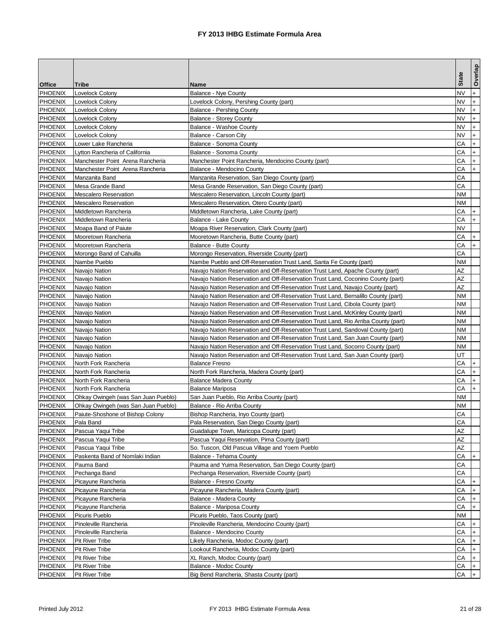|                |                                     |                                                                                    | <b>State</b> | Overlap   |
|----------------|-------------------------------------|------------------------------------------------------------------------------------|--------------|-----------|
| <b>Office</b>  | Tribe                               | Name                                                                               |              |           |
| <b>PHOENIX</b> | Lovelock Colony                     | <b>Balance - Nye County</b>                                                        | NV           | $+$       |
| <b>PHOENIX</b> | Lovelock Colony                     | Lovelock Colony, Pershing County (part)                                            | NV           | $+$       |
| <b>PHOENIX</b> | Lovelock Colony                     | <b>Balance - Pershing County</b>                                                   | <b>NV</b>    | $+$       |
| <b>PHOENIX</b> | Lovelock Colony                     | <b>Balance - Storey County</b>                                                     | NV           | $+$       |
| <b>PHOENIX</b> | Lovelock Colony                     | Balance - Washoe County                                                            | NV           | $+$       |
| <b>PHOENIX</b> | Lovelock Colony                     | Balance - Carson City                                                              | NV           | $+$       |
| <b>PHOENIX</b> | Lower Lake Rancheria                | Balance - Sonoma County                                                            | CА           | $+$       |
| <b>PHOENIX</b> | Lytton Rancheria of California      | Balance - Sonoma County                                                            | CА           | $+$       |
| <b>PHOENIX</b> | Manchester Point Arena Rancheria    | Manchester Point Rancheria, Mendocino County (part)                                | CА           | $+$       |
| <b>PHOENIX</b> | Manchester Point Arena Rancheria    | Balance - Mendocino County                                                         | СA           | $+$       |
| <b>PHOENIX</b> | Manzanita Band                      | Manzanita Reservation, San Diego County (part)                                     | CА           |           |
| <b>PHOENIX</b> | Mesa Grande Band                    | Mesa Grande Reservation, San Diego County (part)                                   | CА           |           |
| <b>PHOENIX</b> | Mescalero Reservation               | Mescalero Reservation, Lincoln County (part)                                       | ΝM           |           |
| <b>PHOENIX</b> | Mescalero Reservation               | Mescalero Reservation, Otero County (part)                                         | ΝM           |           |
| <b>PHOENIX</b> | Middletown Rancheria                | Middletown Rancheria, Lake County (part)                                           | СA           |           |
| <b>PHOENIX</b> | Middletown Rancheria                | Balance - Lake County                                                              | CА           | $+$       |
| <b>PHOENIX</b> | Moapa Band of Paiute                | Moapa River Reservation, Clark County (part)                                       | NV           |           |
| <b>PHOENIX</b> | Mooretown Rancheria                 | Mooretown Rancheria, Butte County (part)                                           | CА           | $+$       |
| <b>PHOENIX</b> | Mooretown Rancheria                 | Balance - Butte County                                                             | CА           | $+$       |
| <b>PHOENIX</b> | Morongo Band of Cahuilla            | Morongo Reservation, Riverside County (part)                                       | СA           |           |
| <b>PHOENIX</b> | Nambe Pueblo                        | Nambe Pueblo and Off-Reservation Trust Land, Santa Fe County (part)                | ΝM           |           |
| <b>PHOENIX</b> | Navajo Nation                       | Navajo Nation Reservation and Off-Reservation Trust Land, Apache County (part)     | AZ           |           |
| <b>PHOENIX</b> | Navajo Nation                       | Navajo Nation Reservation and Off-Reservation Trust Land, Coconino County (part)   | ΑZ           |           |
| <b>PHOENIX</b> | Navajo Nation                       | Navajo Nation Reservation and Off-Reservation Trust Land, Navajo County (part)     | ΑZ           |           |
| <b>PHOENIX</b> | Navajo Nation                       | Navajo Nation Reservation and Off-Reservation Trust Land, Bernalillo County (part) | NΜ           |           |
| <b>PHOENIX</b> | Navajo Nation                       | Navajo Nation Reservation and Off-Reservation Trust Land, Cibola County (part)     | NΜ           |           |
| <b>PHOENIX</b> | Navajo Nation                       | Navajo Nation Reservation and Off-Reservation Trust Land, McKinley County (part)   | ΝM           |           |
| <b>PHOENIX</b> | Navajo Nation                       | Navajo Nation Reservation and Off-Reservation Trust Land, Rio Arriba County (part) | ΝM           |           |
| <b>PHOENIX</b> | Navajo Nation                       | Navajo Nation Reservation and Off-Reservation Trust Land, Sandoval County (part)   | ΝM           |           |
| <b>PHOENIX</b> | Navajo Nation                       | Navajo Nation Reservation and Off-Reservation Trust Land, San Juan County (part)   | ΝM           |           |
| <b>PHOENIX</b> | Navajo Nation                       | Navajo Nation Reservation and Off-Reservation Trust Land, Socorro County (part)    | ΝM           |           |
| <b>PHOENIX</b> | Navajo Nation                       | Navajo Nation Reservation and Off-Reservation Trust Land, San Juan County (part)   | UT           |           |
| <b>PHOENIX</b> | North Fork Rancheria                | <b>Balance Fresno</b>                                                              | CА           |           |
| <b>PHOENIX</b> | North Fork Rancheria                | North Fork Rancheria, Madera County (part)                                         | CА           | $+$       |
| <b>PHOENIX</b> | North Fork Rancheria                | <b>Balance Madera County</b>                                                       | CА           | $+$       |
| <b>PHOENIX</b> | North Fork Rancheria                | <b>Balance Mariposa</b>                                                            | CА           | $+$       |
| <b>PHOENIX</b> | Ohkay Owingeh (was San Juan Pueblo) | San Juan Pueblo, Rio Arriba County (part)                                          | NΜ           |           |
| <b>PHOENIX</b> | Ohkay Owingeh (was San Juan Pueblo) | Balance - Rio Arriba County                                                        | ΝM           |           |
| <b>PHOENIX</b> | Paiute-Shoshone of Bishop Colony    | Bishop Rancheria, Inyo County (part)                                               | CА           |           |
| <b>PHOENIX</b> | Pala Band                           | Pala Reservation, San Diego County (part)                                          | CA           |           |
| <b>PHOENIX</b> | Pascua Yaqui Tribe                  | Guadalupe Town, Maricopa County (part)                                             | ΑZ           |           |
| <b>PHOENIX</b> | Pascua Yaqui Tribe                  | Pascua Yaqui Reservation, Pima County (part)                                       | AΖ           |           |
| <b>PHOENIX</b> | Pascua Yaqui Tribe                  | So. Tuscon, Old Pascua Village and Yoem Pueblo                                     | ΑZ           |           |
| <b>PHOENIX</b> | Paskenta Band of Nomlaki Indian     | Balance - Tehama County                                                            | СA           |           |
| <b>PHOENIX</b> | Pauma Band                          | Pauma and Yuima Reservation, San Diego County (part)                               | CА           |           |
| <b>PHOENIX</b> | Pechanga Band                       | Pechanga Reservation, Riverside County (part)                                      | CА           |           |
| <b>PHOENIX</b> | Picayune Rancheria                  | Balance - Fresno County                                                            | СA           |           |
| <b>PHOENIX</b> | Picayune Rancheria                  | Picayune Rancheria, Madera County (part)                                           | СA           |           |
| <b>PHOENIX</b> | Picayune Rancheria                  | Balance - Madera County                                                            | СA           |           |
| <b>PHOENIX</b> | Picayune Rancheria                  | Balance - Mariposa County                                                          | СA           | $+$       |
| <b>PHOENIX</b> | Picuris Pueblo                      | Picuris Pueblo, Taos County (part)                                                 | ΝM           |           |
| <b>PHOENIX</b> | Pinoleville Rancheria               | Pinoleville Rancheria, Mendocino County (part)                                     | СA           |           |
| <b>PHOENIX</b> | Pinoleville Rancheria               | Balance - Mendocino County                                                         | СA           | $+$       |
| <b>PHOENIX</b> | Pit River Tribe                     | Likely Rancheria, Modoc County (part)                                              | CА           | $\ddot{}$ |
| <b>PHOENIX</b> | Pit River Tribe                     | Lookout Rancheria, Modoc County (part)                                             | СA           |           |
| <b>PHOENIX</b> | Pit River Tribe                     | XL Ranch, Modoc County (part)                                                      | СA           | $+$       |
| <b>PHOENIX</b> | Pit River Tribe                     | Balance - Modoc County                                                             | СA           |           |
| <b>PHOENIX</b> | Pit River Tribe                     | Big Bend Rancheria, Shasta County (part)                                           | СA           |           |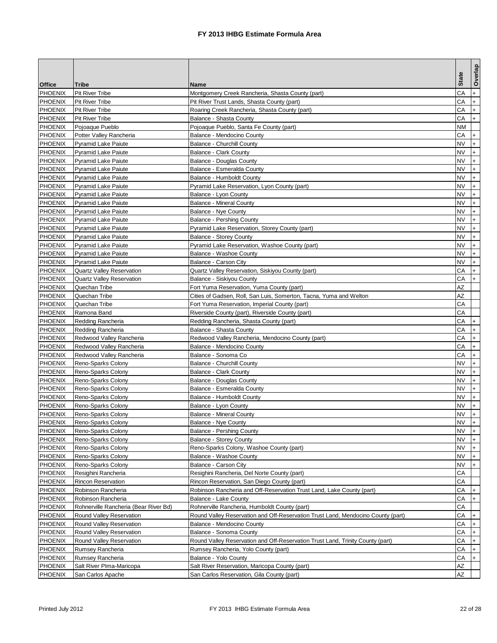|                |                                       |                                                                                  |              | Overlap            |
|----------------|---------------------------------------|----------------------------------------------------------------------------------|--------------|--------------------|
| <b>Office</b>  | Tribe                                 | Name                                                                             | <b>State</b> |                    |
| <b>PHOENIX</b> | <b>Pit River Tribe</b>                | Montgomery Creek Rancheria, Shasta County (part)                                 | СA           | $+$                |
| <b>PHOENIX</b> | <b>Pit River Tribe</b>                | Pit River Trust Lands, Shasta County (part)                                      | CА           | $+$                |
| <b>PHOENIX</b> | <b>Pit River Tribe</b>                | Roaring Creek Rancheria, Shasta County (part)                                    | CА           | $+$                |
| <b>PHOENIX</b> | <b>Pit River Tribe</b>                | Balance - Shasta County                                                          | CА           | $+$                |
| <b>PHOENIX</b> | Pojoaque Pueblo                       | Pojoaque Pueblo, Santa Fe County (part)                                          | ΝM           |                    |
| <b>PHOENIX</b> | Potter Valley Rancheria               | Balance - Mendocino County                                                       | CА           | $^{+}$             |
| <b>PHOENIX</b> | <b>Pyramid Lake Paiute</b>            | <b>Balance - Churchill County</b>                                                | NV           | $+$                |
| <b>PHOENIX</b> | <b>Pyramid Lake Paiute</b>            | Balance - Clark County                                                           | NV           | $+$                |
| <b>PHOENIX</b> | <b>Pyramid Lake Paiute</b>            | Balance - Douglas County                                                         | NV           | $\ddot{}$          |
| <b>PHOENIX</b> | <b>Pyramid Lake Paiute</b>            | Balance - Esmeralda County                                                       | NV           | $+$                |
| <b>PHOENIX</b> | <b>Pyramid Lake Paiute</b>            | Balance - Humboldt County                                                        | NV           | $+$                |
| <b>PHOENIX</b> | Pyramid Lake Paiute                   | Pyramid Lake Reservation, Lyon County (part)                                     | NV           | $+$                |
| <b>PHOENIX</b> | <b>Pyramid Lake Paiute</b>            | Balance - Lyon County                                                            | NV           | $+$                |
| <b>PHOENIX</b> | <b>Pyramid Lake Paiute</b>            | <b>Balance - Mineral County</b>                                                  | <b>NV</b>    | $+$                |
| <b>PHOENIX</b> | <b>Pyramid Lake Paiute</b>            | <b>Balance - Nye County</b>                                                      | <b>NV</b>    | $+$                |
| <b>PHOENIX</b> | Pyramid Lake Paiute                   | <b>Balance - Pershing County</b>                                                 | NV           | $+$                |
| <b>PHOENIX</b> | <b>Pyramid Lake Paiute</b>            | Pyramid Lake Reservation, Storey County (part)                                   | NV           | $+$                |
| <b>PHOENIX</b> | <b>Pyramid Lake Paiute</b>            | <b>Balance - Storey County</b>                                                   | NV           | $+$                |
| <b>PHOENIX</b> | <b>Pyramid Lake Paiute</b>            | Pyramid Lake Reservation, Washoe County (part)                                   | NV           | $+$                |
| <b>PHOENIX</b> | <b>Pyramid Lake Paiute</b>            | Balance - Washoe County                                                          | NV           | $+$                |
| <b>PHOENIX</b> | <b>Pyramid Lake Paiute</b>            | Balance - Carson City                                                            | NV           | $+$                |
| <b>PHOENIX</b> | <b>Quartz Valley Reservation</b>      | Quartz Valley Reservation, Siskiyou County (part)                                | CА           | $+$                |
| <b>PHOENIX</b> | <b>Quartz Valley Reservation</b>      | Balance - Siskiyou County                                                        | CА           | $+$                |
| <b>PHOENIX</b> | Quechan Tribe                         | Fort Yuma Reservation, Yuma County (part)                                        | AZ           |                    |
| <b>PHOENIX</b> | Quechan Tribe                         | Cities of Gadsen, Roll, San Luis, Somerton, Tacna, Yuma and Welton               | AZ           |                    |
| <b>PHOENIX</b> | Quechan Tribe                         | Fort Yuma Reservation, Imperial County (part)                                    | CА           |                    |
| <b>PHOENIX</b> | Ramona Band                           | Riverside County (part), Riverside County (part)                                 | CА           |                    |
| <b>PHOENIX</b> | Redding Rancheria                     | Redding Rancheria, Shasta County (part)                                          | CА           | $+$                |
| <b>PHOENIX</b> | Redding Rancheria                     | Balance - Shasta County                                                          | CА           | $+$                |
| <b>PHOENIX</b> | Redwood Valley Rancheria              | Redwood Valley Rancheria, Mendocino County (part)                                | CА           | $+$                |
| <b>PHOENIX</b> | Redwood Valley Rancheria              | Balance - Mendocino County                                                       | CА           | $+$                |
| <b>PHOENIX</b> | Redwood Valley Rancheria              | Balance - Sonoma Co                                                              | CА           | $+$                |
| <b>PHOENIX</b> | Reno-Sparks Colony                    | <b>Balance - Churchill County</b>                                                | NV           | $+$                |
| <b>PHOENIX</b> | Reno-Sparks Colony                    | <b>Balance - Clark County</b>                                                    | NV           | $+$                |
| <b>PHOENIX</b> | Reno-Sparks Colony                    | Balance - Douglas County                                                         | ΝV           | $+$                |
| <b>PHOENIX</b> | Reno-Sparks Colony                    | Balance - Esmeralda County                                                       | NV           | $^{+}$             |
| <b>PHOENIX</b> | Reno-Sparks Colony                    | Balance - Humboldt County                                                        | NV           | $+$                |
| <b>PHOENIX</b> | Reno-Sparks Colony                    | Balance - Lyon County                                                            | NV           | $+$                |
| <b>PHOENIX</b> | Reno-Sparks Colony                    | <b>Balance - Mineral County</b>                                                  | NV           | $+$                |
| <b>PHOENIX</b> | Reno-Sparks Colony                    | Balance - Nye County                                                             | <b>NV</b>    |                    |
| <b>PHOENIX</b> | Reno-Sparks Colony                    | Balance - Pershing County                                                        | NV           | $\left  + \right $ |
| <b>PHOENIX</b> | Reno-Sparks Colony                    | Balance - Storey County                                                          | <b>NV</b>    | I+                 |
| <b>PHOENIX</b> | Reno-Sparks Colony                    | Reno-Sparks Colony, Washoe County (part)                                         | NV           |                    |
| <b>PHOENIX</b> | Reno-Sparks Colony                    | Balance - Washoe County                                                          | NV.          |                    |
| <b>PHOENIX</b> | Reno-Sparks Colony                    | Balance - Carson City                                                            | NV           | $+$                |
| <b>PHOENIX</b> | Resighini Rancheria                   | Resighini Rancheria, Del Norte County (part)                                     | CА           |                    |
| <b>PHOENIX</b> | <b>Rincon Reservation</b>             | Rincon Reservation, San Diego County (part)                                      | СA           |                    |
| <b>PHOENIX</b> | Robinson Rancheria                    | Robinson Rancheria and Off-Reservation Trust Land, Lake County (part)            | СA           | $+$                |
| <b>PHOENIX</b> | Robinson Rancheria                    | <b>Balance - Lake County</b>                                                     | СA           | $+$                |
| <b>PHOENIX</b> | Rohnerville Rancheria (Bear River Bd) | Rohnerville Rancheria, Humboldt County (part)                                    | СA           |                    |
| <b>PHOENIX</b> | Round Valley Reservation              | Round Valley Reservation and Off-Reservation Trust Land, Mendocino County (part) | СA           |                    |
| <b>PHOENIX</b> | Round Valley Reservation              | Balance - Mendocino County                                                       | CА           | $+$                |
| <b>PHOENIX</b> | Round Valley Reservation              | Balance - Sonoma County                                                          | СA           | $\ddot{}$          |
| <b>PHOENIX</b> | Round Valley Reservation              | Round Valley Reservation and Off-Reservation Trust Land, Trinity County (part)   | СA           | $+$                |
| <b>PHOENIX</b> | Rumsey Rancheria                      | Rumsey Rancheria, Yolo County (part)                                             | СA           | l+                 |
| <b>PHOENIX</b> | Rumsey Rancheria                      | Balance - Yolo County                                                            | СA           | $+$                |
| <b>PHOENIX</b> | Salt River Plma-Maricopa              | Salt River Reservation, Maricopa County (part)                                   | ΑZ           |                    |
| <b>PHOENIX</b> | San Carlos Apache                     | San Carlos Reservation, Gila County (part)                                       | AΖ           |                    |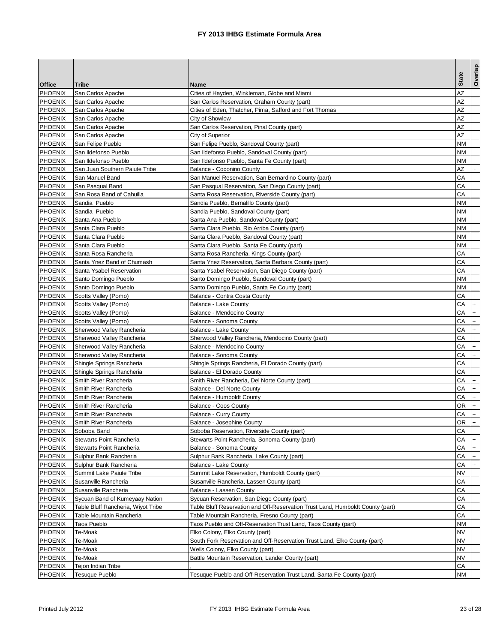|                |                                    |                                                                                |                 | Overlap   |
|----------------|------------------------------------|--------------------------------------------------------------------------------|-----------------|-----------|
| <b>Office</b>  | Tribe                              | Name                                                                           | <b>State</b>    |           |
| <b>PHOENIX</b> | San Carlos Apache                  | Cities of Hayden, Winkleman, Globe and Miami                                   | AZ              |           |
| <b>PHOENIX</b> | San Carlos Apache                  | San Carlos Reservation, Graham County (part)                                   | AZ              |           |
| <b>PHOENIX</b> | San Carlos Apache                  | Cities of Eden, Thatcher, Pima, Safford and Fort Thomas                        | AZ              |           |
| <b>PHOENIX</b> | San Carlos Apache                  | City of Showlow                                                                | AΖ              |           |
| <b>PHOENIX</b> | San Carlos Apache                  | San Carlos Reservation, Pinal County (part)                                    | AZ              |           |
| <b>PHOENIX</b> | San Carlos Apache                  | City of Superior                                                               | AΖ              |           |
| <b>PHOENIX</b> | San Felipe Pueblo                  | San Felipe Pueblo, Sandoval County (part)                                      | ΝM              |           |
| <b>PHOENIX</b> | San Ildefonso Pueblo               | San Ildefonso Pueblo, Sandoval County (part)                                   | ΝM              |           |
| <b>PHOENIX</b> | San Ildefonso Pueblo               | San Ildefonso Pueblo, Santa Fe County (part)                                   | ΝM              |           |
| <b>PHOENIX</b> | San Juan Southern Paiute Tribe     | Balance - Coconino County                                                      | AΖ              |           |
| <b>PHOENIX</b> | San Manuel Band                    | San Manuel Reservation, San Bernardino County (part)                           | CА              |           |
| <b>PHOENIX</b> | San Pasqual Band                   | San Pasqual Reservation, San Diego County (part)                               | CА              |           |
| <b>PHOENIX</b> | San Rosa Band of Cahuilla          | Santa Rosa Reservation, Riverside County (part)                                | CА              |           |
| <b>PHOENIX</b> | Sandia Pueblo                      | Sandia Pueblo, Bernalillo County (part)                                        | ΝM              |           |
| <b>PHOENIX</b> | Sandia Pueblo                      | Sandia Pueblo, Sandoval County (part)                                          | ΝM              |           |
| <b>PHOENIX</b> | Santa Ana Pueblo                   | Santa Ana Pueblo, Sandoval County (part)                                       | ΝM              |           |
| <b>PHOENIX</b> | Santa Clara Pueblo                 | Santa Clara Pueblo, Rio Arriba County (part)                                   | NΜ              |           |
| <b>PHOENIX</b> | Santa Clara Pueblo                 | Santa Clara Pueblo, Sandoval County (part)                                     | NΜ              |           |
| <b>PHOENIX</b> | Santa Clara Pueblo                 | Santa Clara Pueblo, Santa Fe County (part)                                     | ΝM              |           |
| <b>PHOENIX</b> | Santa Rosa Rancheria               | Santa Rosa Rancheria, Kings County (part)                                      | CА              |           |
| <b>PHOENIX</b> | Santa Ynez Band of Chumash         | Santa Ynez Reservation, Santa Barbara County (part)                            | CА              |           |
| <b>PHOENIX</b> | Santa Ysabel Reservation           | Santa Ysabel Reservation, San Diego County (part)                              | CА              |           |
| <b>PHOENIX</b> | Santo Domingo Pueblo               | Santo Domingo Pueblo, Sandoval County (part)                                   | ΝM              |           |
| <b>PHOENIX</b> | Santo Domingo Pueblo               | Santo Domingo Pueblo, Santa Fe County (part)                                   | ΝM              |           |
| <b>PHOENIX</b> | Scotts Valley (Pomo)               | Balance - Contra Costa County                                                  | CА              |           |
| <b>PHOENIX</b> | Scotts Valley (Pomo)               | <b>Balance - Lake County</b>                                                   | CА              | $+$       |
| <b>PHOENIX</b> | Scotts Valley (Pomo)               | Balance - Mendocino County                                                     | CА              | $\ddot{}$ |
| <b>PHOENIX</b> | Scotts Valley (Pomo)               | Balance - Sonoma County                                                        | CА              | $+$       |
| <b>PHOENIX</b> | Sherwood Valley Rancheria          | Balance - Lake County                                                          | CА              | $+$       |
| <b>PHOENIX</b> | Sherwood Valley Rancheria          | Sherwood Valley Rancheria, Mendocino County (part)                             | CА              | $+$       |
| <b>PHOENIX</b> | Sherwood Valley Rancheria          | Balance - Mendocino County                                                     | CА              | $+$       |
| <b>PHOENIX</b> | Sherwood Valley Rancheria          | Balance - Sonoma County                                                        | CА              | $+$       |
| <b>PHOENIX</b> | Shingle Springs Rancheria          | Shingle Springs Rancheria, El Dorado County (part)                             | CА              |           |
| <b>PHOENIX</b> | Shingle Springs Rancheria          | Balance - El Dorado County                                                     | CА              |           |
| <b>PHOENIX</b> | Smith River Rancheria              | Smith River Rancheria, Del Norte County (part)                                 | CА              | $+$       |
| <b>PHOENIX</b> | Smith River Rancheria              | Balance - Del Norte County                                                     | CА              | $\ddot{}$ |
| <b>PHOENIX</b> | Smith River Rancheria              | <b>Balance - Humboldt County</b>                                               | CА              | $+$       |
| <b>PHOENIX</b> | Smith River Rancheria              | Balance - Coos County                                                          | ΟR              | $\ddot{}$ |
| <b>PHOENIX</b> | Smith River Rancheria              | <b>Balance - Curry County</b>                                                  | CА              | $+$       |
| <b>PHOENIX</b> | Smith River Rancheria              | Balance - Josephine County                                                     | OR <sub>.</sub> |           |
| <b>PHOENIX</b> | Soboba Band                        | Soboba Reservation, Riverside County (part)                                    | СA              |           |
| <b>PHOENIX</b> | Stewarts Point Rancheria           | Stewarts Point Rancheria, Sonoma County (part)                                 | СA              | $ + $     |
| <b>PHOENIX</b> | Stewarts Point Rancheria           | Balance - Sonoma County                                                        | СA              |           |
| <b>PHOENIX</b> | Sulphur Bank Rancheria             | Sulphur Bank Rancheria, Lake County (part)                                     | СA              | $+$       |
| <b>PHOENIX</b> | Sulphur Bank Rancheria             | Balance - Lake County                                                          | СA              | $+$       |
| <b>PHOENIX</b> | Summit Lake Paiute Tribe           | Summit Lake Reservation, Humboldt County (part)                                | ΝV              |           |
| <b>PHOENIX</b> | Susanville Rancheria               | Susanville Rancheria, Lassen County (part)                                     | CА              |           |
| <b>PHOENIX</b> | Susanville Rancheria               | Balance - Lassen County                                                        | СA              |           |
| <b>PHOENIX</b> | Sycuan Band of Kumeyaay Nation     | Sycuan Reservation, San Diego County (part)                                    | СA              |           |
| <b>PHOENIX</b> | Table Bluff Rancheria, Wiyot Tribe | Table Bluff Reservation and Off-Reservation Trust Land, Humboldt County (part) | CА              |           |
| <b>PHOENIX</b> | Table Mountain Rancheria           | Table Mountain Rancheria, Fresno County (part)                                 | СA              |           |
| <b>PHOENIX</b> | <b>Taos Pueblo</b>                 | Taos Pueblo and Off-Reservation Trust Land, Taos County (part)                 | ΝM              |           |
| <b>PHOENIX</b> | Te-Moak                            | Elko Colony, Elko County (part)                                                | ΝV              |           |
| <b>PHOENIX</b> | Te-Moak                            | South Fork Reservation and Off-Reservation Trust Land, Elko County (part)      | NV              |           |
| <b>PHOENIX</b> | Te-Moak                            | Wells Colony, Elko County (part)                                               | NV              |           |
| <b>PHOENIX</b> | Te-Moak                            | Battle Mountain Reservation, Lander County (part)                              | NV              |           |
| <b>PHOENIX</b> | <b>Tejon Indian Tribe</b>          |                                                                                | СA              |           |
| <b>PHOENIX</b> | <b>Tesuque Pueblo</b>              | Tesuque Pueblo and Off-Reservation Trust Land, Santa Fe County (part)          | ΝM              |           |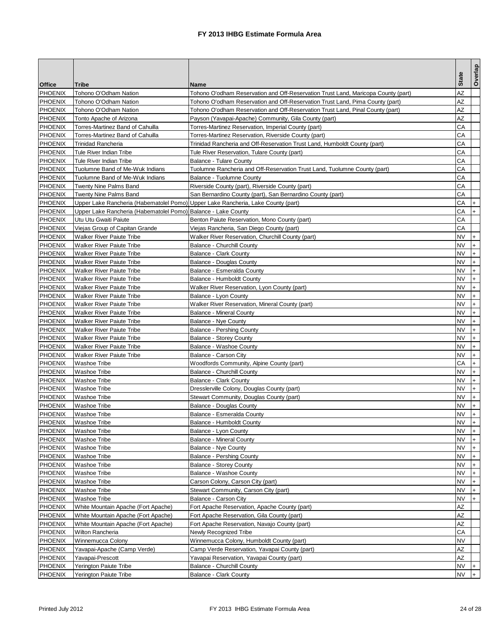|                                  |                                                                                                                                                   |                                                                                   | <b>State</b> | Overlap    |
|----------------------------------|---------------------------------------------------------------------------------------------------------------------------------------------------|-----------------------------------------------------------------------------------|--------------|------------|
| <b>Office</b>                    | Tribe                                                                                                                                             | Name                                                                              |              |            |
| <b>PHOENIX</b>                   | Tohono O'Odham Nation                                                                                                                             | Tohono O'odham Reservation and Off-Reservation Trust Land, Maricopa County (part) | AZ           |            |
| <b>PHOENIX</b>                   | Tohono O'Odham Nation                                                                                                                             | Tohono O'odham Reservation and Off-Reservation Trust Land, Pima County (part)     | AZ           |            |
| <b>PHOENIX</b>                   | Tohono O'Odham Nation                                                                                                                             | Tohono O'odham Reservation and Off-Reservation Trust Land, Pinal County (part)    | AZ           |            |
| <b>PHOENIX</b>                   | Tonto Apache of Arizona                                                                                                                           | Payson (Yavapai-Apache) Community, Gila County (part)                             | AZ           |            |
| <b>PHOENIX</b>                   | Torres-Martinez Band of Cahuilla                                                                                                                  | Torres-Martinez Reservation, Imperial County (part)                               | CА           |            |
| <b>PHOENIX</b>                   | Torres-Martinez Band of Cahuilla                                                                                                                  | Torres-Martinez Reservation, Riverside County (part)                              | CА           |            |
| <b>PHOENIX</b>                   | <b>Trinidad Rancheria</b>                                                                                                                         | Trinidad Rancheria and Off-Reservation Trust Land, Humboldt County (part)         | CА           |            |
| <b>PHOENIX</b>                   | Tule River Indian Tribe                                                                                                                           | Tule River Reservation, Tulare County (part)                                      | CА           |            |
| <b>PHOENIX</b>                   | Tule River Indian Tribe                                                                                                                           | <b>Balance - Tulare County</b>                                                    | CА           |            |
| <b>PHOENIX</b>                   | Tuolumne Band of Me-Wuk Indians                                                                                                                   | Tuolumne Rancheria and Off-Reservation Trust Land, Tuolumne County (part)         | CА           |            |
| <b>PHOENIX</b>                   | Tuolumne Band of Me-Wuk Indians                                                                                                                   | Balance - Tuolumne County                                                         | CА           |            |
| <b>PHOENIX</b>                   | Twenty Nine Palms Band                                                                                                                            | Riverside County (part), Riverside County (part)                                  | CА           |            |
| <b>PHOENIX</b>                   | <b>Twenty Nine Palms Band</b>                                                                                                                     | San Bernardino County (part), San Bernardino County (part)                        | CА           |            |
| <b>PHOENIX</b><br><b>PHOENIX</b> | Upper Lake Rancheria (Habematolel Pomo) Upper Lake Rancheria, Lake County (part)<br>Upper Lake Rancheria (Habematolel Pomo) Balance - Lake County |                                                                                   | CА<br>CА     | $+$<br>$+$ |
| <b>PHOENIX</b>                   | Utu Utu Gwaiti Paiute                                                                                                                             | Benton Paiute Reservation, Mono County (part)                                     | CА           |            |
| <b>PHOENIX</b>                   | Viejas Group of Capitan Grande                                                                                                                    | Viejas Rancheria, San Diego County (part)                                         | CА           |            |
| <b>PHOENIX</b>                   | <b>Walker River Paiute Tribe</b>                                                                                                                  | Walker River Reservation, Churchill County (part)                                 | NV           | $+$        |
| <b>PHOENIX</b>                   | <b>Walker River Paiute Tribe</b>                                                                                                                  | Balance - Churchill County                                                        | NV           | $+$        |
| <b>PHOENIX</b>                   | <b>Walker River Paiute Tribe</b>                                                                                                                  | <b>Balance - Clark County</b>                                                     | NV           | $+$        |
| <b>PHOENIX</b>                   | <b>Walker River Paiute Tribe</b>                                                                                                                  | <b>Balance - Douglas County</b>                                                   | NV           | $\ddot{}$  |
| <b>PHOENIX</b>                   | <b>Walker River Paiute Tribe</b>                                                                                                                  | Balance - Esmeralda County                                                        | NV           | $+$        |
| <b>PHOENIX</b>                   | <b>Walker River Paiute Tribe</b>                                                                                                                  | Balance - Humboldt County                                                         | NV           | $+$        |
| <b>PHOENIX</b>                   | <b>Walker River Paiute Tribe</b>                                                                                                                  | Walker River Reservation, Lyon County (part)                                      | NV           | $\ddot{}$  |
| <b>PHOENIX</b>                   | <b>Walker River Paiute Tribe</b>                                                                                                                  | Balance - Lyon County                                                             | NV           | $+$        |
| <b>PHOENIX</b>                   | <b>Walker River Paiute Tribe</b>                                                                                                                  | Walker River Reservation, Mineral County (part)                                   | NV           | $+$        |
| <b>PHOENIX</b>                   | <b>Walker River Paiute Tribe</b>                                                                                                                  | Balance - Mineral County                                                          | NV           | $+$        |
| <b>PHOENIX</b>                   | <b>Walker River Paiute Tribe</b>                                                                                                                  | Balance - Nye County                                                              | NV           | $\ddot{}$  |
| <b>PHOENIX</b>                   | <b>Walker River Paiute Tribe</b>                                                                                                                  | <b>Balance - Pershing County</b>                                                  | NV           | $+$        |
| <b>PHOENIX</b>                   | <b>Walker River Paiute Tribe</b>                                                                                                                  | <b>Balance - Storey County</b>                                                    | NV           | $+$        |
| <b>PHOENIX</b>                   | <b>Walker River Paiute Tribe</b>                                                                                                                  | Balance - Washoe County                                                           | NV           | $+$        |
| <b>PHOENIX</b>                   | <b>Walker River Paiute Tribe</b>                                                                                                                  | Balance - Carson City                                                             | NV           | $+$        |
| <b>PHOENIX</b>                   | <b>Washoe Tribe</b>                                                                                                                               | Woodfords Community, Alpine County (part)                                         | СA           | $+$        |
| <b>PHOENIX</b>                   | <b>Washoe Tribe</b>                                                                                                                               | <b>Balance - Churchill County</b>                                                 | NV           | $+$        |
| <b>PHOENIX</b>                   | Washoe Tribe                                                                                                                                      | Balance - Clark County                                                            | NV           | $+$        |
| <b>PHOENIX</b>                   | <b>Washoe Tribe</b>                                                                                                                               | Dresslerville Colony, Douglas County (part)                                       | NV           | $\ddot{}$  |
| <b>PHOENIX</b>                   | <b>Washoe Tribe</b>                                                                                                                               | Stewart Community, Douglas County (part)                                          | NV           | $+$        |
| <b>PHOENIX</b>                   | <b>Washoe Tribe</b>                                                                                                                               | <b>Balance - Douglas County</b>                                                   | NV           | $\ddot{}$  |
| <b>PHOENIX</b>                   | <b>Washoe Tribe</b>                                                                                                                               | Balance - Esmeralda County                                                        | NV           | $+$        |
| <b>PHOENIX</b>                   | <b>Washoe Tribe</b>                                                                                                                               | <b>Balance - Humboldt County</b>                                                  | <b>NV</b>    |            |
| <b>PHOENIX</b>                   | <b>Washoe Tribe</b>                                                                                                                               | Balance - Lyon County                                                             | NV           | $+$        |
| <b>PHOENIX</b>                   | <b>Washoe Tribe</b>                                                                                                                               | <b>Balance - Mineral County</b>                                                   | NV           |            |
| <b>PHOENIX</b>                   | <b>Washoe Tribe</b>                                                                                                                               | <b>Balance - Nye County</b>                                                       | NV           |            |
| <b>PHOENIX</b>                   | <b>Washoe Tribe</b>                                                                                                                               | <b>Balance - Pershing County</b>                                                  | <b>NV</b>    |            |
| <b>PHOENIX</b>                   | Washoe Tribe                                                                                                                                      | <b>Balance - Storey County</b>                                                    | <b>NV</b>    | $+$        |
| <b>PHOENIX</b>                   | <b>Washoe Tribe</b>                                                                                                                               | Balance - Washoe County                                                           | NV           | $+$        |
| <b>PHOENIX</b>                   | <b>Washoe Tribe</b>                                                                                                                               | Carson Colony, Carson City (part)                                                 | NV           |            |
| <b>PHOENIX</b>                   | Washoe Tribe                                                                                                                                      | Stewart Community, Carson City (part)                                             | <b>NV</b>    |            |
| <b>PHOENIX</b>                   | <b>Washoe Tribe</b>                                                                                                                               | Balance - Carson City                                                             | NV           | $+$        |
| <b>PHOENIX</b>                   | White Mountain Apache (Fort Apache)                                                                                                               | Fort Apache Reservation, Apache County (part)                                     | ΑZ           |            |
| <b>PHOENIX</b>                   | White Mountain Apache (Fort Apache)                                                                                                               | Fort Apache Reservation, Gila County (part)                                       | ΑZ           |            |
| <b>PHOENIX</b>                   | White Mountain Apache (Fort Apache)                                                                                                               | Fort Apache Reservation, Navajo County (part)                                     | ΑZ           |            |
| <b>PHOENIX</b>                   | Wilton Rancheria                                                                                                                                  | Newly Recognized Tribe                                                            | CА<br>ΝV     |            |
| <b>PHOENIX</b>                   | Winnemucca Colony                                                                                                                                 | Winnemucca Colony, Humboldt County (part)                                         |              |            |
| <b>PHOENIX</b>                   | Yavapai-Apache (Camp Verde)                                                                                                                       | Camp Verde Reservation, Yavapai County (part)                                     | ΑZ<br>ΑZ     |            |
| <b>PHOENIX</b><br><b>PHOENIX</b> | Yavapai-Prescott<br>Yerington Paiute Tribe                                                                                                        | Yavapai Reservation, Yavapai County (part)                                        | NV           |            |
| <b>PHOENIX</b>                   | Yerington Paiute Tribe                                                                                                                            | Balance - Churchill County<br><b>Balance - Clark County</b>                       | NV           |            |
|                                  |                                                                                                                                                   |                                                                                   |              |            |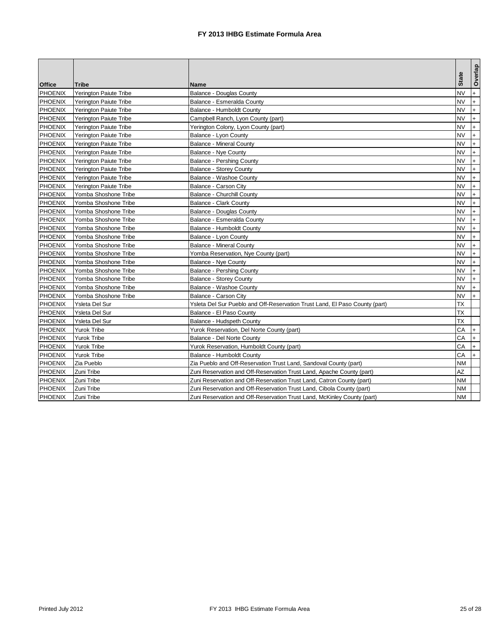|                                 | Tribe                                            | Name                                                                        | <b>State</b>    | Overlap    |
|---------------------------------|--------------------------------------------------|-----------------------------------------------------------------------------|-----------------|------------|
| <b>Office</b><br><b>PHOENIX</b> | <b>Yerington Paiute Tribe</b>                    | <b>Balance - Douglas County</b>                                             | <b>NV</b>       | $+$        |
| <b>PHOENIX</b>                  | <b>Yerington Paiute Tribe</b>                    | Balance - Esmeralda County                                                  | NV              | $+$        |
| <b>PHOENIX</b>                  | Yerington Paiute Tribe                           | Balance - Humboldt County                                                   | NV              | $+$        |
| <b>PHOENIX</b>                  | Yerington Paiute Tribe                           | Campbell Ranch, Lyon County (part)                                          | <b>NV</b>       | $+$        |
| <b>PHOENIX</b>                  | Yerington Paiute Tribe                           | Yerington Colony, Lyon County (part)                                        | <b>NV</b>       | $+$        |
| <b>PHOENIX</b>                  | <b>Yerington Paiute Tribe</b>                    | Balance - Lyon County                                                       | NV              | $\ddot{}$  |
| <b>PHOENIX</b>                  | <b>Yerington Paiute Tribe</b>                    | <b>Balance - Mineral County</b>                                             | <b>NV</b>       | $+$        |
| <b>PHOENIX</b>                  | <b>Yerington Paiute Tribe</b>                    | <b>Balance - Nye County</b>                                                 | NV              | $+$        |
| <b>PHOENIX</b>                  | Yerington Paiute Tribe                           | Balance - Pershing County                                                   | NV              | $+$        |
| <b>PHOENIX</b>                  | <b>Yerington Paiute Tribe</b>                    | <b>Balance - Storey County</b>                                              | NV              | $+$        |
| <b>PHOENIX</b>                  |                                                  | Balance - Washoe County                                                     | <b>NV</b>       | $+$        |
| <b>PHOENIX</b>                  | Yerington Paiute Tribe<br>Yerington Paiute Tribe |                                                                             | <b>NV</b>       | $+$        |
|                                 | Yomba Shoshone Tribe                             | Balance - Carson City<br><b>Balance - Churchill County</b>                  | <b>NV</b>       | $+$        |
| <b>PHOENIX</b>                  |                                                  |                                                                             | <b>NV</b>       | $+$        |
| <b>PHOENIX</b>                  | Yomba Shoshone Tribe                             | <b>Balance - Clark County</b>                                               |                 |            |
| <b>PHOENIX</b>                  | Yomba Shoshone Tribe                             | <b>Balance - Douglas County</b>                                             | NV<br><b>NV</b> | $+$<br>$+$ |
| <b>PHOENIX</b>                  | Yomba Shoshone Tribe                             | Balance - Esmeralda County                                                  | <b>NV</b>       |            |
| <b>PHOENIX</b>                  | Yomba Shoshone Tribe                             | Balance - Humboldt County                                                   |                 | $+$        |
| <b>PHOENIX</b>                  | Yomba Shoshone Tribe                             | Balance - Lyon County                                                       | NV              | $+$        |
| <b>PHOENIX</b>                  | Yomba Shoshone Tribe                             | <b>Balance - Mineral County</b>                                             | <b>NV</b>       | $+$        |
| <b>PHOENIX</b>                  | Yomba Shoshone Tribe                             | Yomba Reservation, Nye County (part)                                        | NV              | $+$        |
| <b>PHOENIX</b>                  | Yomba Shoshone Tribe                             | <b>Balance - Nye County</b>                                                 | <b>NV</b>       | $+$        |
| <b>PHOENIX</b>                  | Yomba Shoshone Tribe                             | Balance - Pershing County                                                   | <b>NV</b>       | $+$        |
| <b>PHOENIX</b>                  | Yomba Shoshone Tribe                             | <b>Balance - Storey County</b>                                              | <b>NV</b>       | $+$        |
| <b>PHOENIX</b>                  | Yomba Shoshone Tribe                             | Balance - Washoe County                                                     | <b>NV</b>       | $+$        |
| <b>PHOENIX</b>                  | Yomba Shoshone Tribe                             | Balance - Carson City                                                       | NV              | $+$        |
| <b>PHOENIX</b>                  | Ysleta Del Sur                                   | Ysleta Del Sur Pueblo and Off-Reservation Trust Land, El Paso County (part) | <b>TX</b>       |            |
| <b>PHOENIX</b>                  | Ysleta Del Sur                                   | Balance - El Paso County                                                    | ТX              |            |
| <b>PHOENIX</b>                  | Ysleta Del Sur                                   | Balance - Hudspeth County                                                   | ТX              |            |
| <b>PHOENIX</b>                  | Yurok Tribe                                      | Yurok Reservation, Del Norte County (part)                                  | CА              | $+$        |
| <b>PHOENIX</b>                  | <b>Yurok Tribe</b>                               | Balance - Del Norte County                                                  | CА              | $+$        |
| <b>PHOENIX</b>                  | <b>Yurok Tribe</b>                               | Yurok Reservation, Humboldt County (part)                                   | СA              | $+$        |
| <b>PHOENIX</b>                  | Yurok Tribe                                      | <b>Balance - Humboldt County</b>                                            | CА              | $+$        |
| <b>PHOENIX</b>                  | Zia Pueblo                                       | Zia Pueblo and Off-Reservation Trust Land, Sandoval County (part)           | NM              |            |
| <b>PHOENIX</b>                  | Zuni Tribe                                       | Zuni Reservation and Off-Reservation Trust Land, Apache County (part)       | AZ              |            |
| <b>PHOENIX</b>                  | Zuni Tribe                                       | Zuni Reservation and Off-Reservation Trust Land, Catron County (part)       | ΝM              |            |
| <b>PHOENIX</b>                  | Zuni Tribe                                       | Zuni Reservation and Off-Reservation Trust Land, Cibola County (part)       | NΜ              |            |
| <b>PHOENIX</b>                  | Zuni Tribe                                       | Zuni Reservation and Off-Reservation Trust Land, McKinley County (part)     | NΜ              |            |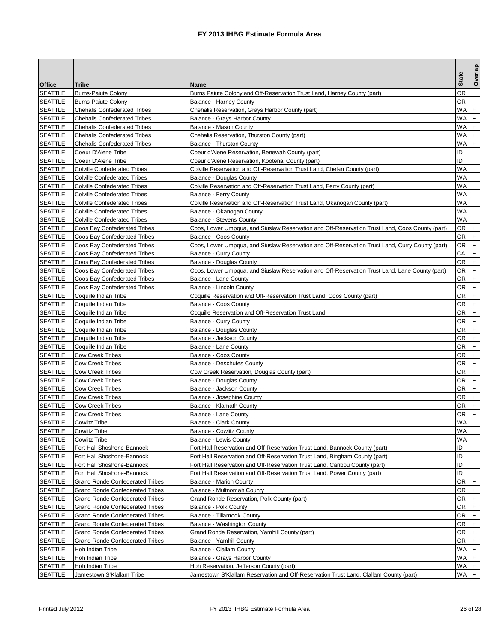|                |                                        |                                                                                                 |              | Overlap   |
|----------------|----------------------------------------|-------------------------------------------------------------------------------------------------|--------------|-----------|
| <b>Office</b>  | Tribe                                  | Name                                                                                            | <b>State</b> |           |
| <b>SEATTLE</b> | <b>Burns-Paiute Colony</b>             | Burns Paiute Colony and Off-Reservation Trust Land, Harney County (part)                        | ΟR           |           |
| <b>SEATTLE</b> | <b>Burns-Paiute Colony</b>             | <b>Balance - Harney County</b>                                                                  | OR           |           |
| <b>SEATTLE</b> | <b>Chehalis Confederated Tribes</b>    | Chehalis Reservation, Grays Harbor County (part)                                                | WA           |           |
| <b>SEATTLE</b> | <b>Chehalis Confederated Tribes</b>    | Balance - Grays Harbor County                                                                   | WA           | $+$       |
| <b>SEATTLE</b> | <b>Chehalis Confederated Tribes</b>    | Balance - Mason County                                                                          | WA           | $+$       |
| SEATTLE        | <b>Chehalis Confederated Tribes</b>    | Chehalis Reservation, Thurston County (part)                                                    | WA           | $\ddot{}$ |
| <b>SEATTLE</b> | <b>Chehalis Confederated Tribes</b>    | <b>Balance - Thurston County</b>                                                                | WA           | $+$       |
| <b>SEATTLE</b> | Coeur D'Alene Tribe                    | Coeur d'Alene Reservation, Benewah County (part)                                                | ID           |           |
| <b>SEATTLE</b> | Coeur D'Alene Tribe                    | Coeur d'Alene Reservation, Kootenai County (part)                                               | ID           |           |
| SEATTLE        | <b>Colville Confederated Tribes</b>    | Colville Reservation and Off-Reservation Trust Land, Chelan County (part)                       | WA           |           |
| <b>SEATTLE</b> | <b>Colville Confederated Tribes</b>    | Balance - Douglas County                                                                        | WA           |           |
| SEATTLE        | <b>Colville Confederated Tribes</b>    | Colville Reservation and Off-Reservation Trust Land, Ferry County (part)                        | WA           |           |
| <b>SEATTLE</b> | <b>Colville Confederated Tribes</b>    | Balance - Ferry County                                                                          | WA           |           |
| SEATTLE        | <b>Colville Confederated Tribes</b>    | Colville Reservation and Off-Reservation Trust Land, Okanogan County (part)                     | WA           |           |
| <b>SEATTLE</b> | <b>Colville Confederated Tribes</b>    | Balance - Okanogan County                                                                       | WA           |           |
| <b>SEATTLE</b> | <b>Colville Confederated Tribes</b>    | <b>Balance - Stevens County</b>                                                                 | WA           |           |
| <b>SEATTLE</b> | Coos Bay Confederated Tribes           | Coos, Lower Umpqua, and Siuslaw Reservation and Off-Reservation Trust Land, Coos County (part)  | OR           | $+$       |
| <b>SEATTLE</b> | Coos Bay Confederated Tribes           | <b>Balance - Coos County</b>                                                                    | OR           | $+$       |
| <b>SEATTLE</b> | Coos Bay Confederated Tribes           | Coos, Lower Umpqua, and Siuslaw Reservation and Off-Reservation Trust Land, Curry County (part) | OR           | $+$       |
| <b>SEATTLE</b> | Coos Bay Confederated Tribes           | Balance - Curry County                                                                          | CА           | $+$       |
| SEATTLE        | Coos Bay Confederated Tribes           | <b>Balance - Douglas County</b>                                                                 | OR           | $+$       |
| <b>SEATTLE</b> | Coos Bay Confederated Tribes           | Coos, Lower Umpqua, and Siuslaw Reservation and Off-Reservation Trust Land, Lane County (part)  | OR           | $+$       |
| <b>SEATTLE</b> | Coos Bay Confederated Tribes           | Balance - Lane County                                                                           | ΟR           | $+$       |
| <b>SEATTLE</b> | Coos Bay Confederated Tribes           | Balance - Lincoln County                                                                        | ΟR           | $+$       |
| SEATTLE        | Coquille Indian Tribe                  | Coquille Reservation and Off-Reservation Trust Land, Coos County (part)                         | ΟR           | $+$       |
| <b>SEATTLE</b> | Coquille Indian Tribe                  | <b>Balance - Coos County</b>                                                                    | ΟR           | $+$       |
| SEATTLE        | Coquille Indian Tribe                  | Coquille Reservation and Off-Reservation Trust Land,                                            | OR           | $+$       |
| <b>SEATTLE</b> | Coquille Indian Tribe                  | <b>Balance - Curry County</b>                                                                   | OR           | $+$       |
| SEATTLE        | Coquille Indian Tribe                  | Balance - Douglas County                                                                        | OR           | $+$       |
| <b>SEATTLE</b> | Coquille Indian Tribe                  | Balance - Jackson County                                                                        | ΟR           | $+$       |
| <b>SEATTLE</b> | Coquille Indian Tribe                  | Balance - Lane County                                                                           | ΟR           | $+$       |
| <b>SEATTLE</b> | <b>Cow Creek Tribes</b>                | Balance - Coos County                                                                           | OR.          | $+$       |
| <b>SEATTLE</b> | <b>Cow Creek Tribes</b>                | <b>Balance - Deschutes County</b>                                                               | OR           | $+$       |
| <b>SEATTLE</b> | <b>Cow Creek Tribes</b>                | Cow Creek Reservation, Douglas County (part)                                                    | OR           | $+$       |
| <b>SEATTLE</b> | <b>Cow Creek Tribes</b>                | Balance - Douglas County                                                                        | ΟR           | $+$       |
| SEATTLE        | <b>Cow Creek Tribes</b>                | Balance - Jackson County                                                                        | OR           | $\ddot{}$ |
| <b>SEATTLE</b> | <b>Cow Creek Tribes</b>                | Balance - Josephine County                                                                      | OR           | $+$       |
| <b>SEATTLE</b> | <b>Cow Creek Tribes</b>                | Balance - Klamath County                                                                        | ΟR           | $\ddot{}$ |
| <b>SEATTLE</b> | <b>Cow Creek Tribes</b>                | <b>Balance - Lane County</b>                                                                    | ΟR           | $+$       |
| <b>SEATTLE</b> | <b>Cowlitz Tribe</b>                   | <b>Balance - Clark County</b>                                                                   | WA           |           |
| <b>SEATTLE</b> | <b>Cowlitz Tribe</b>                   | <b>Balance - Cowlitz County</b>                                                                 | WA           |           |
| <b>SEATTLE</b> | Cowlitz Tribe                          | Balance - Lewis County                                                                          | WA           |           |
| <b>SEATTLE</b> | Fort Hall Shoshone-Bannock             | Fort Hall Reservation and Off-Reservation Trust Land, Bannock County (part)                     | ID           |           |
| <b>SEATTLE</b> | Fort Hall Shoshone-Bannock             | Fort Hall Reservation and Off-Reservation Trust Land, Bingham County (part)                     | ID           |           |
| <b>SEATTLE</b> | Fort Hall Shoshone-Bannock             | Fort Hall Reservation and Off-Reservation Trust Land, Caribou County (part)                     | ID           |           |
| <b>SEATTLE</b> | Fort Hall Shoshone-Bannock             | Fort Hall Reservation and Off-Reservation Trust Land, Power County (part)                       | ID           |           |
| <b>SEATTLE</b> | <b>Grand Ronde Confederated Tribes</b> | Balance - Marion County                                                                         | OR           | $+$       |
| <b>SEATTLE</b> | <b>Grand Ronde Confederated Tribes</b> | Balance - Multnomah County                                                                      | OR           | $ + $     |
| <b>SEATTLE</b> | <b>Grand Ronde Confederated Tribes</b> | Grand Ronde Reservation, Polk County (part)                                                     | OR +         |           |
| <b>SEATTLE</b> | <b>Grand Ronde Confederated Tribes</b> | Balance - Polk County                                                                           | OR           | $+$       |
| <b>SEATTLE</b> | <b>Grand Ronde Confederated Tribes</b> | Balance - Tillamook County                                                                      | OR           |           |
| <b>SEATTLE</b> | <b>Grand Ronde Confederated Tribes</b> | Balance - Washington County                                                                     | OR           | $+$       |
| <b>SEATTLE</b> | <b>Grand Ronde Confederated Tribes</b> | Grand Ronde Reservation, Yamhill County (part)                                                  | OR           | $+$       |
| <b>SEATTLE</b> | <b>Grand Ronde Confederated Tribes</b> | Balance - Yamhill County                                                                        | OR           | $ + $     |
| <b>SEATTLE</b> | Hoh Indian Tribe                       | Balance - Clallam County                                                                        | WA +         |           |
| <b>SEATTLE</b> | Hoh Indian Tribe                       | Balance - Grays Harbor County                                                                   | WA +         |           |
| <b>SEATTLE</b> | Hoh Indian Tribe                       | Hoh Reservation, Jefferson County (part)                                                        | WA +         |           |
| <b>SEATTLE</b> | Jamestown S'Klallam Tribe              | Jamestown S'Klallam Reservation and Off-Reservation Trust Land, Clallam County (part)           | WA           |           |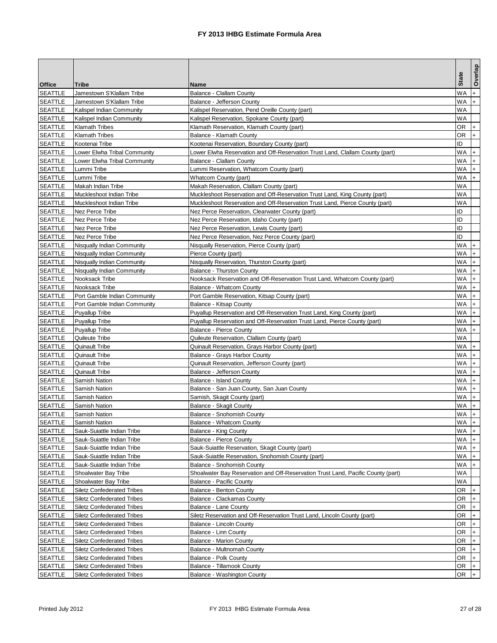|                |                                   |                                                                                  |              | Overlap        |
|----------------|-----------------------------------|----------------------------------------------------------------------------------|--------------|----------------|
| <b>Office</b>  | Tribe                             | Name                                                                             | <b>State</b> |                |
| <b>SEATTLE</b> | Jamestown S'Klallam Tribe         | <b>Balance - Clallam County</b>                                                  | WA           |                |
| <b>SEATTLE</b> | Jamestown S'Klallam Tribe         | Balance - Jefferson County                                                       | WA           | $+$            |
| <b>SEATTLE</b> | Kalispel Indian Community         | Kalispel Reservation, Pend Oreille County (part)                                 | WA           |                |
| SEATTLE        | Kalispel Indian Community         | Kalispel Reservation, Spokane County (part)                                      | WA           |                |
| <b>SEATTLE</b> | <b>Klamath Tribes</b>             | Klamath Reservation, Klamath County (part)                                       | OR           | $^{+}$         |
| <b>SEATTLE</b> | <b>Klamath Tribes</b>             | Balance - Klamath County                                                         | ΟR           | $\ddot{}$      |
| <b>SEATTLE</b> | Kootenai Tribe                    | Kootenai Reservation, Boundary County (part)                                     | ID           |                |
| <b>SEATTLE</b> | Lower Elwha Tribal Community      | Lower Elwha Reservation and Off-Reservation Trust Land, Clallam County (part)    | WA           | $\ddot{}$      |
| <b>SEATTLE</b> | Lower Elwha Tribal Community      | Balance - Clallam County                                                         | WA           |                |
| SEATTLE        | Lummi Tribe                       | Lummi Reservation, Whatcom County (part)                                         | WA           |                |
| <b>SEATTLE</b> | Lummi Tribe                       | Whatcom County (part)                                                            | WA           | $^{+}$         |
| SEATTLE        | Makah Indian Tribe                | Makah Reservation, Clallam County (part)                                         | WA           |                |
| <b>SEATTLE</b> | Muckleshoot Indian Tribe          | Muckleshoot Reservation and Off-Reservation Trust Land, King County (part)       | WA           |                |
| <b>SEATTLE</b> | Muckleshoot Indian Tribe          | Muckleshoot Reservation and Off-Reservation Trust Land, Pierce County (part)     | WA           |                |
| <b>SEATTLE</b> | Nez Perce Tribe                   | Nez Perce Reservation, Clearwater County (part)                                  | ID           |                |
| <b>SEATTLE</b> | Nez Perce Tribe                   | Nez Perce Reservation, Idaho County (part)                                       | ID           |                |
| <b>SEATTLE</b> | Nez Perce Tribe                   | Nez Perce Reservation, Lewis County (part)                                       | ID           |                |
| <b>SEATTLE</b> | Nez Perce Tribe                   | Nez Perce Reservation, Nez Perce County (part)                                   | ID           |                |
| SEATTLE        | Nisqually Indian Community        | Nisqually Reservation, Pierce County (part)                                      | WA           | $+$            |
| <b>SEATTLE</b> | Nisqually Indian Community        | Pierce County (part)                                                             | WA           | $+$            |
| SEATTLE        | Nisqually Indian Community        | Nisqually Reservation, Thurston County (part)                                    | WA           | $\ddot{}$      |
| <b>SEATTLE</b> | Nisqually Indian Community        | <b>Balance - Thurston County</b>                                                 | WA           | $+$            |
| <b>SEATTLE</b> | Nooksack Tribe                    | Nooksack Reservation and Off-Reservation Trust Land, Whatcom County (part)       | WA           | $+$            |
| <b>SEATTLE</b> | Nooksack Tribe                    | Balance - Whatcom County                                                         | WA           | $+$            |
| SEATTLE        | Port Gamble Indian Community      | Port Gamble Reservation, Kitsap County (part)                                    | WA           | $+$            |
| <b>SEATTLE</b> | Port Gamble Indian Community      | Balance - Kitsap County                                                          | WA           | $+$            |
| SEATTLE        | <b>Puyallup Tribe</b>             | Puyallup Reservation and Off-Reservation Trust Land, King County (part)          | WA           | $+$            |
| <b>SEATTLE</b> | <b>Puyallup Tribe</b>             | Puyallup Reservation and Off-Reservation Trust Land, Pierce County (part)        | WA           | $+$            |
| <b>SEATTLE</b> | <b>Puyallup Tribe</b>             | <b>Balance - Pierce County</b>                                                   | WA           | $+$            |
| <b>SEATTLE</b> | Quileute Tribe                    | Quileute Reservation, Clallam County (part)                                      | WA           |                |
| <b>SEATTLE</b> | <b>Quinault Tribe</b>             | Quinault Reservation, Grays Harbor County (part)                                 | WA           | $+$            |
| <b>SEATTLE</b> | Quinault Tribe                    | Balance - Grays Harbor County                                                    | WA           | $+$            |
| <b>SEATTLE</b> | Quinault Tribe                    | Quinault Reservation, Jefferson County (part)                                    | WA           | $+$            |
| <b>SEATTLE</b> | Quinault Tribe                    | Balance - Jefferson County                                                       | WA           | $+$            |
| <b>SEATTLE</b> | Samish Nation                     | <b>Balance - Island County</b>                                                   | WA           | $+$            |
| <b>SEATTLE</b> | <b>Samish Nation</b>              | Balance - San Juan County, San Juan County                                       | WA           | $\ddot{}$      |
| <b>SEATTLE</b> | <b>Samish Nation</b>              | Samish, Skagit County (part)                                                     | WA           | $+$            |
| <b>SEATTLE</b> | Samish Nation                     | Balance - Skagit County                                                          | WA           | $+$            |
| <b>SEATTLE</b> | <b>Samish Nation</b>              | Balance - Snohomish County                                                       | WA           | $+$            |
| <b>SEATTLE</b> | Samish Nation                     | Balance - Whatcom County                                                         | WA           |                |
| <b>SEATTLE</b> | Sauk-Suiattle Indian Tribe        | Balance - King County                                                            | WA +         |                |
| <b>SEATTLE</b> | Sauk-Suiattle Indian Tribe        | <b>Balance - Pierce County</b>                                                   | WA I+        |                |
| <b>SEATTLE</b> | Sauk-Suiattle Indian Tribe        | Sauk-Suiattle Reservation, Skagit County (part)                                  | WA           |                |
| <b>SEATTLE</b> | Sauk-Suiattle Indian Tribe        | Sauk-Suiattle Reservation, Snohomish County (part)                               | WA           | $+$            |
| <b>SEATTLE</b> | Sauk-Suiattle Indian Tribe        | Balance - Snohomish County                                                       | WA           | $+$            |
| <b>SEATTLE</b> | Shoalwater Bay Tribe              | Shoalwater Bay Reservation and Off-Reservation Trust Land, Pacific County (part) | WA           |                |
| <b>SEATTLE</b> | <b>Shoalwater Bay Tribe</b>       | <b>Balance - Pacific County</b>                                                  | WA           |                |
| <b>SEATTLE</b> | <b>Siletz Confederated Tribes</b> | Balance - Benton County                                                          | OR           | $+$            |
| <b>SEATTLE</b> | <b>Siletz Confederated Tribes</b> | Balance - Clackamas County                                                       | OR +         |                |
| <b>SEATTLE</b> | <b>Siletz Confederated Tribes</b> | <b>Balance - Lane County</b>                                                     | OR           | $+$            |
| <b>SEATTLE</b> | <b>Siletz Confederated Tribes</b> | Siletz Reservation and Off-Reservation Trust Land, Lincoln County (part)         | OR           |                |
| <b>SEATTLE</b> | <b>Siletz Confederated Tribes</b> | Balance - Lincoln County                                                         | OR           | $+$            |
| <b>SEATTLE</b> | <b>Siletz Confederated Tribes</b> | Balance - Linn County                                                            | OR           | $+$            |
| <b>SEATTLE</b> | <b>Siletz Confederated Tribes</b> | <b>Balance - Marion County</b>                                                   | OR           | I+             |
| <b>SEATTLE</b> | <b>Siletz Confederated Tribes</b> | Balance - Multnomah County                                                       | OR           | $\mathsf{I}$ + |
| <b>SEATTLE</b> | <b>Siletz Confederated Tribes</b> | <b>Balance - Polk County</b>                                                     | OR           | $ + $          |
| <b>SEATTLE</b> | <b>Siletz Confederated Tribes</b> | Balance - Tillamook County                                                       | OR           |                |
| <b>SEATTLE</b> | <b>Siletz Confederated Tribes</b> | Balance - Washington County                                                      | OR           | $+$            |